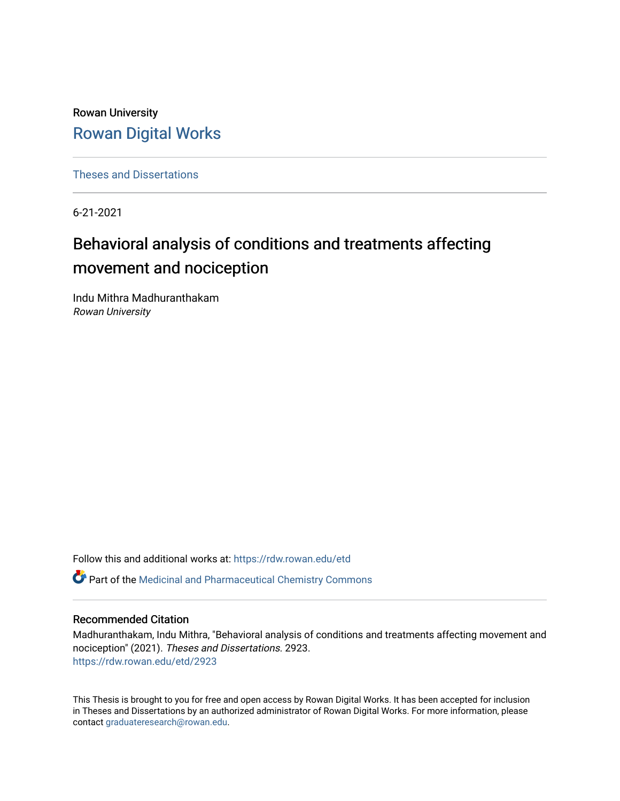Rowan University [Rowan Digital Works](https://rdw.rowan.edu/)

[Theses and Dissertations](https://rdw.rowan.edu/etd)

6-21-2021

# Behavioral analysis of conditions and treatments affecting movement and nociception

Indu Mithra Madhuranthakam Rowan University

Follow this and additional works at: [https://rdw.rowan.edu/etd](https://rdw.rowan.edu/etd?utm_source=rdw.rowan.edu%2Fetd%2F2923&utm_medium=PDF&utm_campaign=PDFCoverPages) 

Part of the [Medicinal and Pharmaceutical Chemistry Commons](http://network.bepress.com/hgg/discipline/734?utm_source=rdw.rowan.edu%2Fetd%2F2923&utm_medium=PDF&utm_campaign=PDFCoverPages) 

#### Recommended Citation

Madhuranthakam, Indu Mithra, "Behavioral analysis of conditions and treatments affecting movement and nociception" (2021). Theses and Dissertations. 2923. [https://rdw.rowan.edu/etd/2923](https://rdw.rowan.edu/etd/2923?utm_source=rdw.rowan.edu%2Fetd%2F2923&utm_medium=PDF&utm_campaign=PDFCoverPages)

This Thesis is brought to you for free and open access by Rowan Digital Works. It has been accepted for inclusion in Theses and Dissertations by an authorized administrator of Rowan Digital Works. For more information, please contact [graduateresearch@rowan.edu.](mailto:graduateresearch@rowan.edu)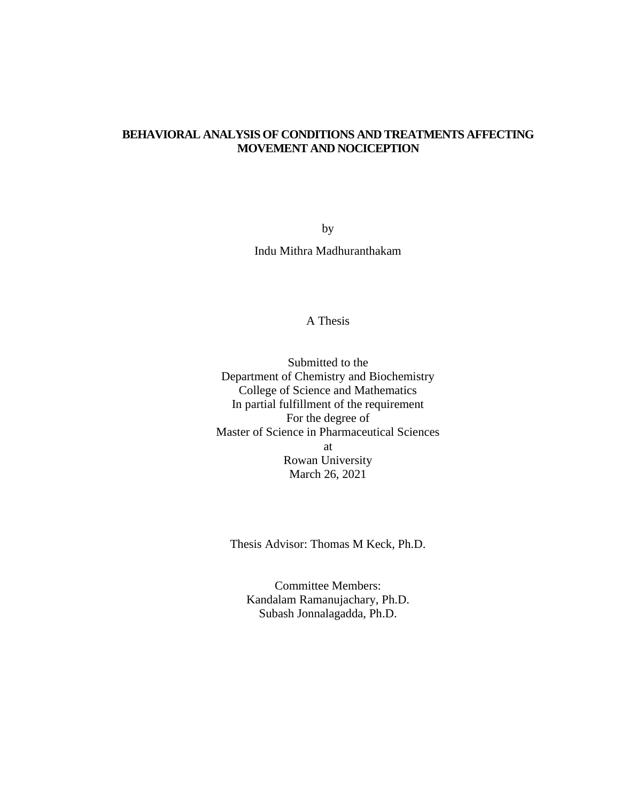## **BEHAVIORAL ANALYSIS OF CONDITIONS AND TREATMENTS AFFECTING MOVEMENT AND NOCICEPTION**

by Indu Mithra Madhuranthakam

## A Thesis

Submitted to the Department of Chemistry and Biochemistry College of Science and Mathematics In partial fulfillment of the requirement For the degree of Master of Science in Pharmaceutical Sciences at Rowan University March 26, 2021

Thesis Advisor: Thomas M Keck, Ph.D.

Committee Members: Kandalam Ramanujachary, Ph.D. Subash Jonnalagadda, Ph.D.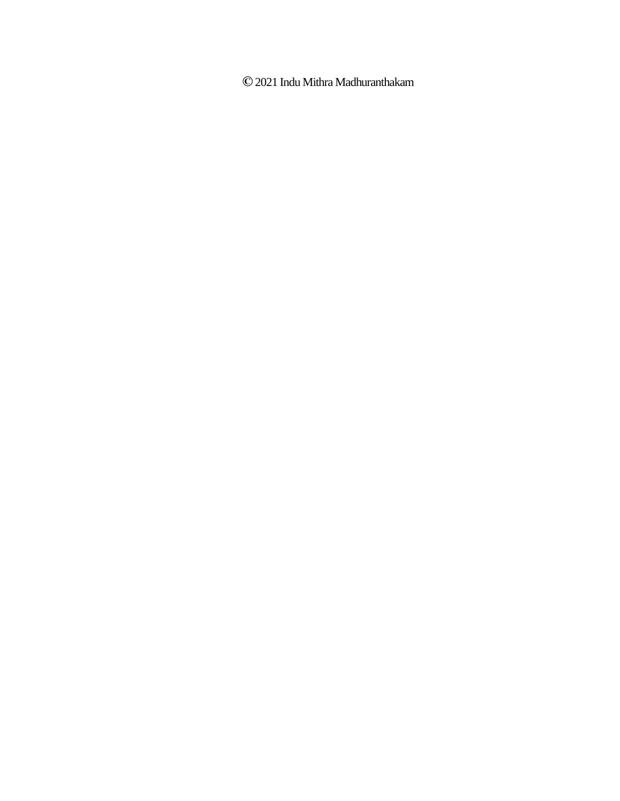**©**2021 Indu Mithra Madhuranthakam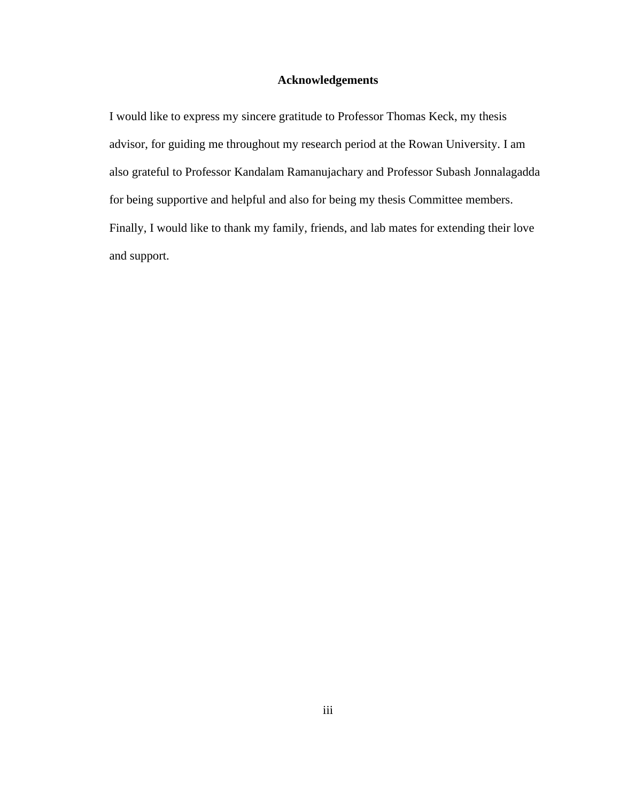## **Acknowledgements**

I would like to express my sincere gratitude to Professor Thomas Keck, my thesis advisor, for guiding me throughout my research period at the Rowan University. I am also grateful to Professor Kandalam Ramanujachary and Professor Subash Jonnalagadda for being supportive and helpful and also for being my thesis Committee members. Finally, I would like to thank my family, friends, and lab mates for extending their love and support.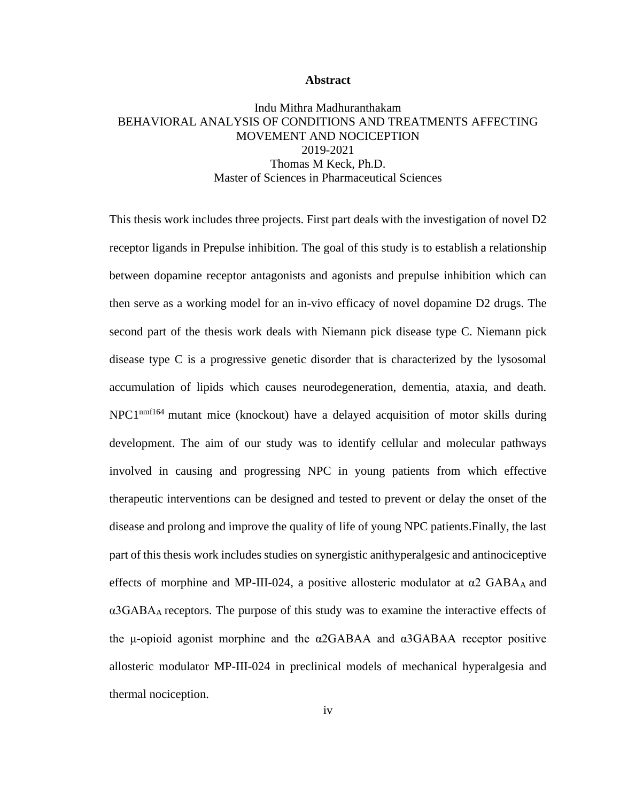#### **Abstract**

## Indu Mithra Madhuranthakam BEHAVIORAL ANALYSIS OF CONDITIONS AND TREATMENTS AFFECTING MOVEMENT AND NOCICEPTION 2019-2021 Thomas M Keck, Ph.D. Master of Sciences in Pharmaceutical Sciences

This thesis work includes three projects. First part deals with the investigation of novel D2 receptor ligands in Prepulse inhibition. The goal of this study is to establish a relationship between dopamine receptor antagonists and agonists and prepulse inhibition which can then serve as a working model for an in-vivo efficacy of novel dopamine D2 drugs. The second part of the thesis work deals with Niemann pick disease type C. Niemann pick disease type C is a progressive genetic disorder that is characterized by the lysosomal accumulation of lipids which causes neurodegeneration, dementia, ataxia, and death. NPC1<sup>nmf164</sup> mutant mice (knockout) have a delayed acquisition of motor skills during development. The aim of our study was to identify cellular and molecular pathways involved in causing and progressing NPC in young patients from which effective therapeutic interventions can be designed and tested to prevent or delay the onset of the disease and prolong and improve the quality of life of young NPC patients.Finally, the last part of this thesis work includes studies on synergistic anithyperalgesic and antinociceptive effects of morphine and MP-III-024, a positive allosteric modulator at  $\alpha$ 2 GABAA and  $\alpha$ 3GABA<sub>A</sub> receptors. The purpose of this study was to examine the interactive effects of the μ-opioid agonist morphine and the α2GABAA and α3GABAA receptor positive allosteric modulator MP-III-024 in preclinical models of mechanical hyperalgesia and thermal nociception.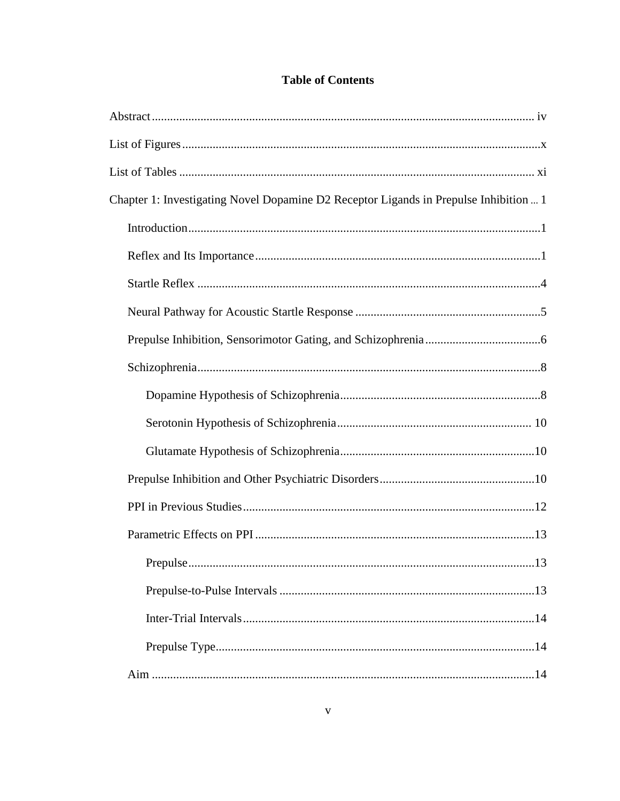# **Table of Contents**

| Chapter 1: Investigating Novel Dopamine D2 Receptor Ligands in Prepulse Inhibition  1 |
|---------------------------------------------------------------------------------------|
|                                                                                       |
|                                                                                       |
|                                                                                       |
|                                                                                       |
|                                                                                       |
|                                                                                       |
|                                                                                       |
|                                                                                       |
|                                                                                       |
|                                                                                       |
|                                                                                       |
|                                                                                       |
| 13                                                                                    |
|                                                                                       |
|                                                                                       |
|                                                                                       |
|                                                                                       |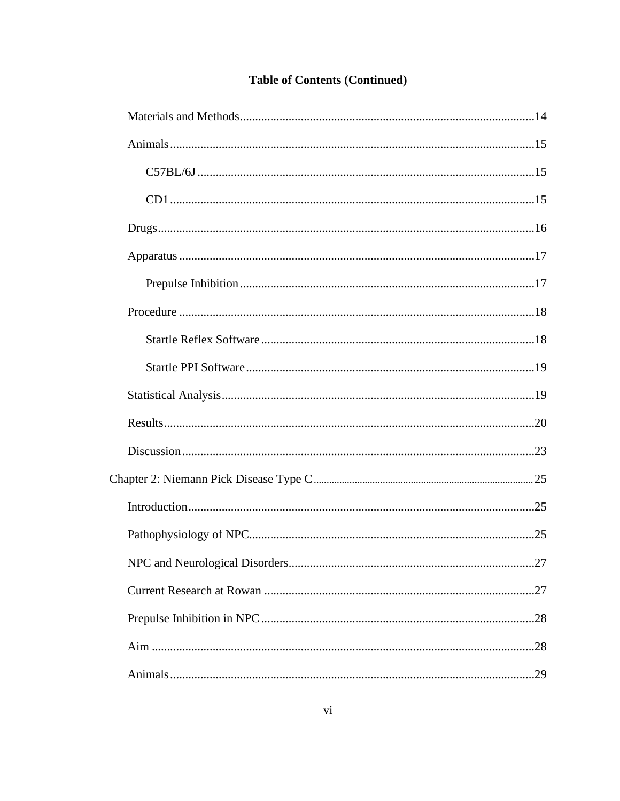| .27 |
|-----|
|     |
|     |
|     |
| 29  |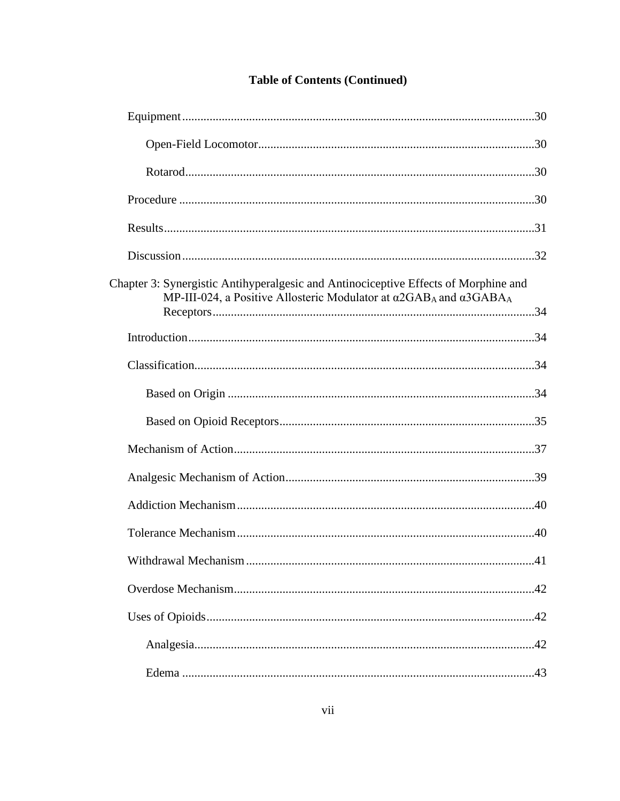| Chapter 3: Synergistic Antihyperalgesic and Antinociceptive Effects of Morphine and<br>MP-III-024, a Positive Allosteric Modulator at $\alpha$ 2GAB <sub>A</sub> and $\alpha$ 3GABA <sub>A</sub> |  |
|--------------------------------------------------------------------------------------------------------------------------------------------------------------------------------------------------|--|
|                                                                                                                                                                                                  |  |
|                                                                                                                                                                                                  |  |
|                                                                                                                                                                                                  |  |
|                                                                                                                                                                                                  |  |
|                                                                                                                                                                                                  |  |
|                                                                                                                                                                                                  |  |
|                                                                                                                                                                                                  |  |
|                                                                                                                                                                                                  |  |
| 41                                                                                                                                                                                               |  |
|                                                                                                                                                                                                  |  |
|                                                                                                                                                                                                  |  |
|                                                                                                                                                                                                  |  |
|                                                                                                                                                                                                  |  |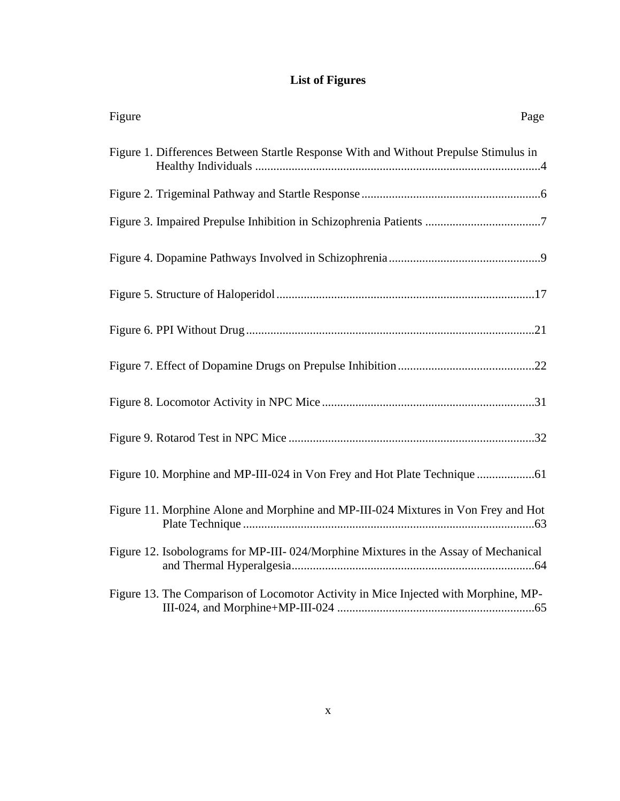# **List of Figures**

| Figure<br>Page                                                                       |
|--------------------------------------------------------------------------------------|
| Figure 1. Differences Between Startle Response With and Without Prepulse Stimulus in |
|                                                                                      |
|                                                                                      |
|                                                                                      |
|                                                                                      |
|                                                                                      |
|                                                                                      |
|                                                                                      |
|                                                                                      |
|                                                                                      |
| Figure 11. Morphine Alone and Morphine and MP-III-024 Mixtures in Von Frey and Hot   |
| Figure 12. Isobolograms for MP-III-024/Morphine Mixtures in the Assay of Mechanical  |
| Figure 13. The Comparison of Locomotor Activity in Mice Injected with Morphine, MP-  |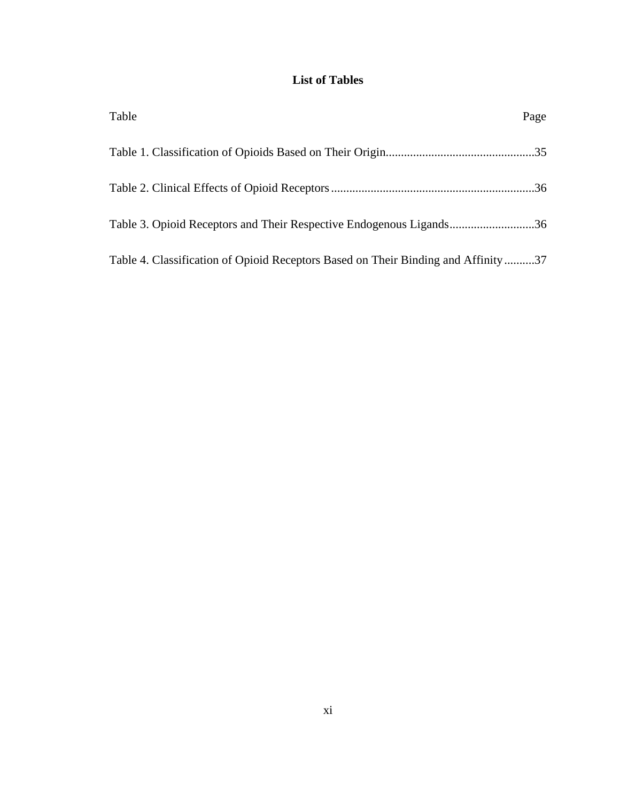# **List of Tables**

| Table                                                                             | Page |
|-----------------------------------------------------------------------------------|------|
|                                                                                   |      |
|                                                                                   |      |
| Table 3. Opioid Receptors and Their Respective Endogenous Ligands36               |      |
| Table 4. Classification of Opioid Receptors Based on Their Binding and Affinity37 |      |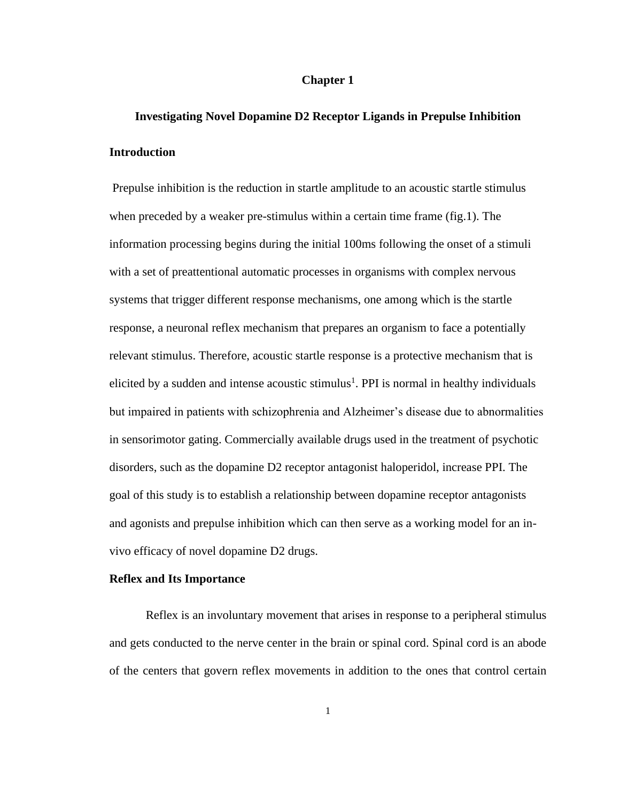#### <span id="page-12-0"></span>**Chapter 1**

# **Investigating Novel Dopamine D2 Receptor Ligands in Prepulse Inhibition Introduction**

Prepulse inhibition is the reduction in startle amplitude to an acoustic startle stimulus when preceded by a weaker pre-stimulus within a certain time frame (fig.1). The information processing begins during the initial 100ms following the onset of a stimuli with a set of preattentional automatic processes in organisms with complex nervous systems that trigger different response mechanisms, one among which is the startle response, a neuronal reflex mechanism that prepares an organism to face a potentially relevant stimulus. Therefore, acoustic startle response is a protective mechanism that is elicited by a sudden and intense acoustic stimulus<sup>1</sup>. PPI is normal in healthy individuals but impaired in patients with schizophrenia and Alzheimer's disease due to abnormalities in sensorimotor gating. Commercially available drugs used in the treatment of psychotic disorders, such as the dopamine D2 receptor antagonist haloperidol, increase PPI. The goal of this study is to establish a relationship between dopamine receptor antagonists and agonists and prepulse inhibition which can then serve as a working model for an invivo efficacy of novel dopamine D2 drugs.

#### **Reflex and Its Importance**

Reflex is an involuntary movement that arises in response to a peripheral stimulus and gets conducted to the nerve center in the brain or spinal cord. Spinal cord is an abode of the centers that govern reflex movements in addition to the ones that control certain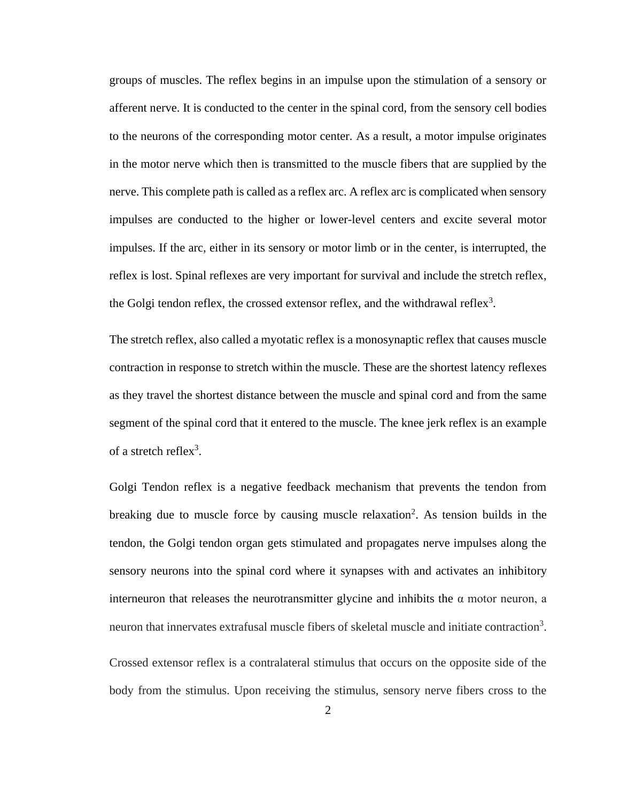groups of muscles. The reflex begins in an impulse upon the stimulation of a sensory or afferent nerve. It is conducted to the center in the spinal cord, from the sensory cell bodies to the neurons of the corresponding motor center. As a result, a motor impulse originates in the motor nerve which then is transmitted to the muscle fibers that are supplied by the nerve. This complete path is called as a reflex arc. A reflex arc is complicated when sensory impulses are conducted to the higher or lower-level centers and excite several motor impulses. If the arc, either in its sensory or motor limb or in the center, is interrupted, the reflex is lost. Spinal reflexes are very important for survival and include the stretch reflex, the Golgi tendon reflex, the crossed extensor reflex, and the withdrawal reflex<sup>3</sup>.

The stretch reflex, also called a myotatic reflex is a monosynaptic reflex that causes muscle contraction in response to stretch within the muscle. These are the shortest latency reflexes as they travel the shortest distance between the muscle and spinal cord and from the same segment of the spinal cord that it entered to the muscle. The knee jerk reflex is an example of a stretch reflex<sup>3</sup>.

Golgi Tendon reflex is a negative feedback mechanism that prevents the tendon from breaking due to muscle force by causing muscle relaxation<sup>2</sup>. As tension builds in the tendon, the Golgi tendon organ gets stimulated and propagates nerve impulses along the sensory neurons into the spinal cord where it synapses with and activates an inhibitory interneuron that releases the neurotransmitter glycine and inhibits the  $\alpha$  motor neuron, a neuron that innervates extrafusal muscle fibers of skeletal muscle and initiate contraction<sup>3</sup>.

Crossed extensor reflex is a contralateral stimulus that occurs on the opposite side of the body from the stimulus. Upon receiving the stimulus, sensory nerve fibers cross to the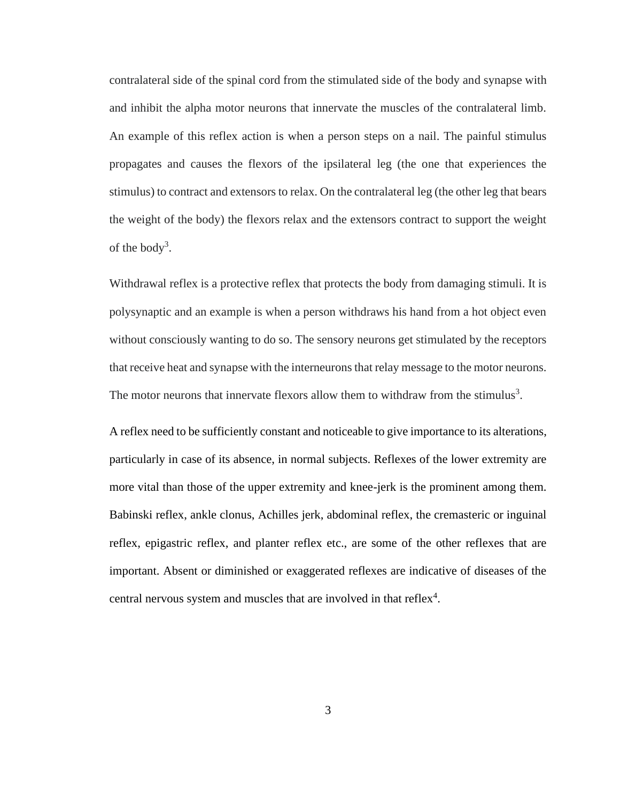contralateral side of the spinal cord from the stimulated side of the body and synapse with and inhibit the alpha motor neurons that innervate the muscles of the contralateral limb. An example of this reflex action is when a person steps on a nail. The painful stimulus propagates and causes the flexors of the ipsilateral leg (the one that experiences the stimulus) to contract and extensors to relax. On the contralateral leg (the other leg that bears the weight of the body) the flexors relax and the extensors contract to support the weight of the body<sup>3</sup>.

Withdrawal reflex is a protective reflex that protects the body from damaging stimuli. It is polysynaptic and an example is when a person withdraws his hand from a hot object even without consciously wanting to do so. The sensory neurons get stimulated by the receptors that receive heat and synapse with the interneurons that relay message to the motor neurons. The motor neurons that innervate flexors allow them to withdraw from the stimulus<sup>3</sup>.

A reflex need to be sufficiently constant and noticeable to give importance to its alterations, particularly in case of its absence, in normal subjects. Reflexes of the lower extremity are more vital than those of the upper extremity and knee-jerk is the prominent among them. Babinski reflex, ankle clonus, Achilles jerk, abdominal reflex, the cremasteric or inguinal reflex, epigastric reflex, and planter reflex etc., are some of the other reflexes that are important. Absent or diminished or exaggerated reflexes are indicative of diseases of the central nervous system and muscles that are involved in that reflex<sup>4</sup>.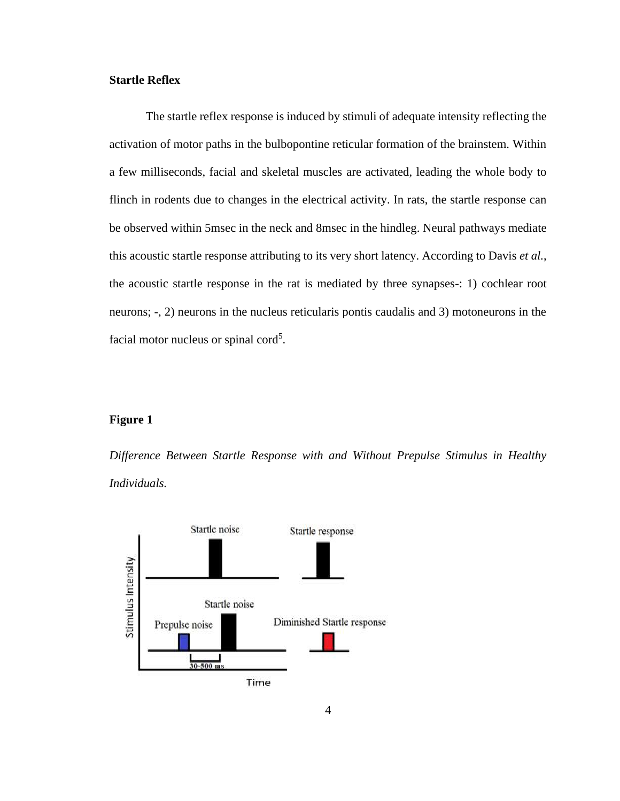#### **Startle Reflex**

The startle reflex response is induced by stimuli of adequate intensity reflecting the activation of motor paths in the bulbopontine reticular formation of the brainstem. Within a few milliseconds, facial and skeletal muscles are activated, leading the whole body to flinch in rodents due to changes in the electrical activity. In rats, the startle response can be observed within 5msec in the neck and 8msec in the hindleg. Neural pathways mediate this acoustic startle response attributing to its very short latency. According to Davis *et al.*, the acoustic startle response in the rat is mediated by three synapses-: 1) cochlear root neurons; -, 2) neurons in the nucleus reticularis pontis caudalis and 3) motoneurons in the facial motor nucleus or spinal cord<sup>5</sup>.

#### **Figure 1**

*Difference Between Startle Response with and Without Prepulse Stimulus in Healthy Individuals.*

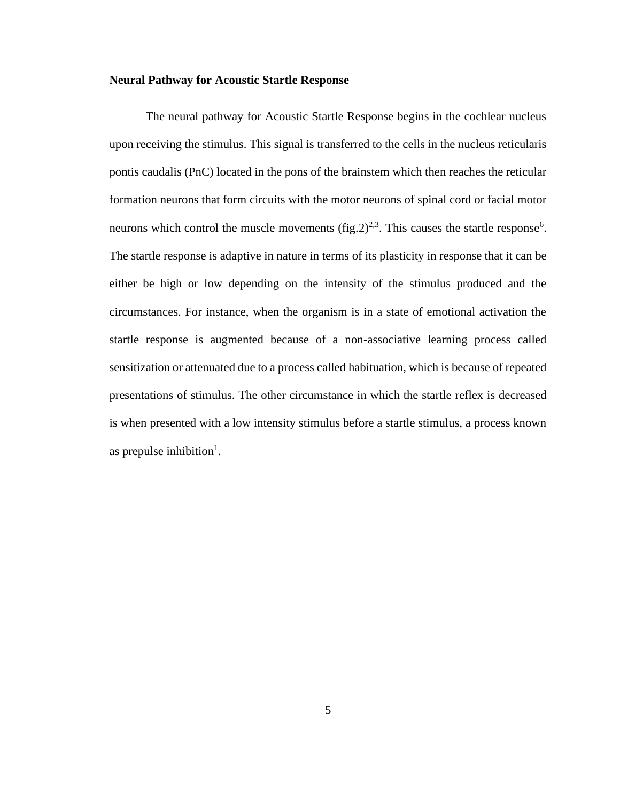#### **Neural Pathway for Acoustic Startle Response**

The neural pathway for Acoustic Startle Response begins in the cochlear nucleus upon receiving the stimulus. This signal is transferred to the cells in the nucleus reticularis pontis caudalis (PnC) located in the pons of the brainstem which then reaches the reticular formation neurons that form circuits with the motor neurons of spinal cord or facial motor neurons which control the muscle movements  $(fig.2)^{2,3}$ . This causes the startle response<sup>6</sup>. The startle response is adaptive in nature in terms of its plasticity in response that it can be either be high or low depending on the intensity of the stimulus produced and the circumstances. For instance, when the organism is in a state of emotional activation the startle response is augmented because of a non-associative learning process called sensitization or attenuated due to a process called habituation, which is because of repeated presentations of stimulus. The other circumstance in which the startle reflex is decreased is when presented with a low intensity stimulus before a startle stimulus, a process known as prepulse inhibition<sup>1</sup>.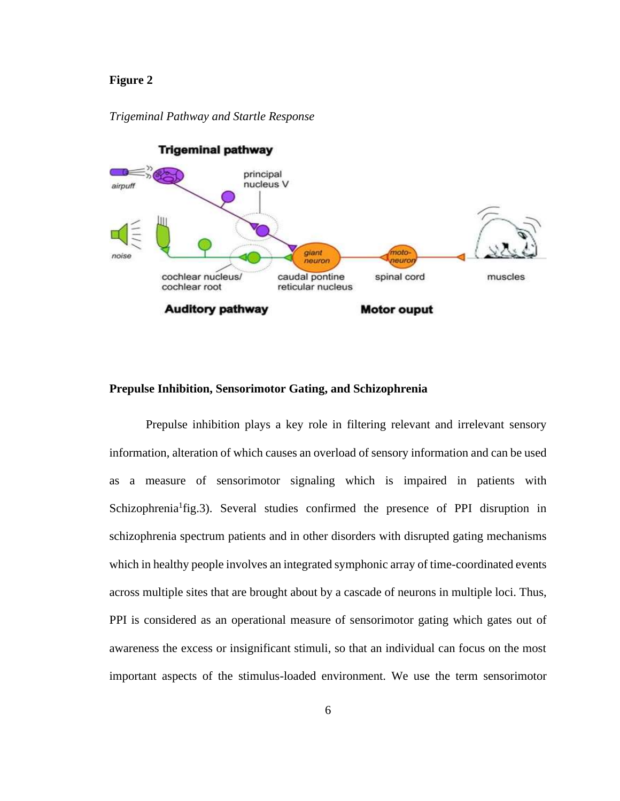#### **Figure 2**



#### *Trigeminal Pathway and Startle Response*

#### **Prepulse Inhibition, Sensorimotor Gating, and Schizophrenia**

Prepulse inhibition plays a key role in filtering relevant and irrelevant sensory information, alteration of which causes an overload of sensory information and can be used as a measure of sensorimotor signaling which is impaired in patients with Schizophrenia<sup>1</sup>fig.3). Several studies confirmed the presence of PPI disruption in schizophrenia spectrum patients and in other disorders with disrupted gating mechanisms which in healthy people involves an integrated symphonic array of time-coordinated events across multiple sites that are brought about by a cascade of neurons in multiple loci. Thus, PPI is considered as an operational measure of sensorimotor gating which gates out of awareness the excess or insignificant stimuli, so that an individual can focus on the most important aspects of the stimulus-loaded environment. We use the term sensorimotor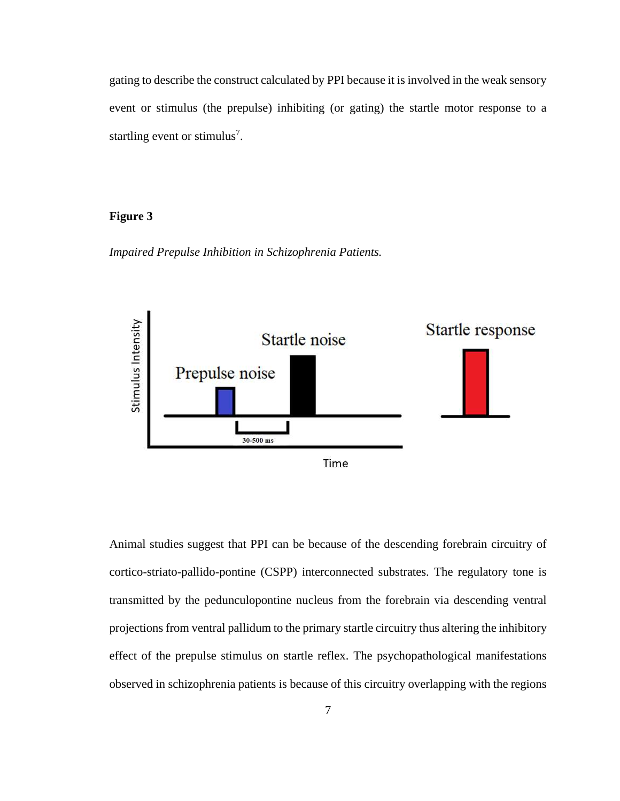gating to describe the construct calculated by PPI because it is involved in the weak sensory event or stimulus (the prepulse) inhibiting (or gating) the startle motor response to a startling event or stimulus<sup>7</sup>.

## **Figure 3**

*Impaired Prepulse Inhibition in Schizophrenia Patients.* 



Animal studies suggest that PPI can be because of the descending forebrain circuitry of cortico-striato-pallido-pontine (CSPP) interconnected substrates. The regulatory tone is transmitted by the pedunculopontine nucleus from the forebrain via descending ventral projections from ventral pallidum to the primary startle circuitry thus altering the inhibitory effect of the prepulse stimulus on startle reflex. The psychopathological manifestations observed in schizophrenia patients is because of this circuitry overlapping with the regions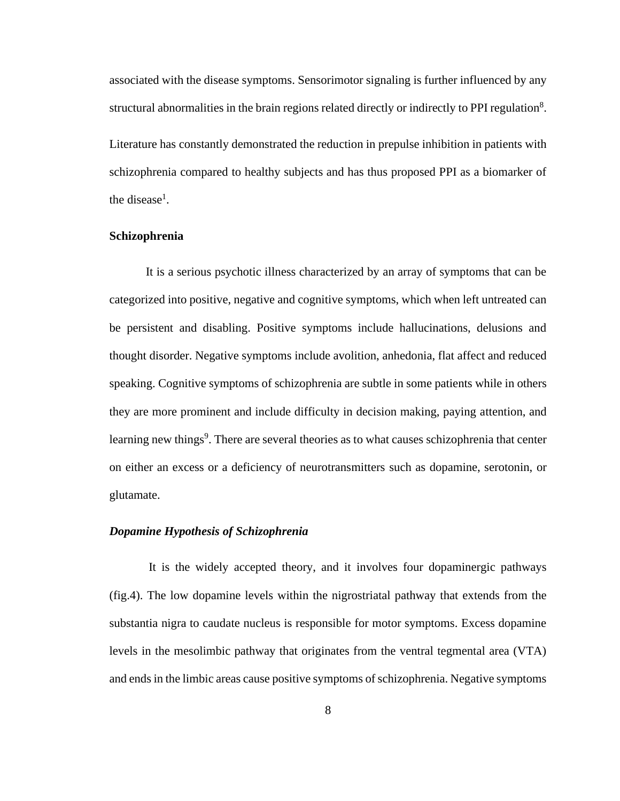associated with the disease symptoms. Sensorimotor signaling is further influenced by any structural abnormalities in the brain regions related directly or indirectly to PPI regulation<sup>8</sup>. Literature has constantly demonstrated the reduction in prepulse inhibition in patients with schizophrenia compared to healthy subjects and has thus proposed PPI as a biomarker of the disease<sup>1</sup>[.](#page-12-0)

#### **Schizophrenia**

It is a serious psychotic illness characterized by an array of symptoms that can be categorized into positive, negative and cognitive symptoms, which when left untreated can be persistent and disabling. Positive symptoms include hallucinations, delusions and thought disorder. Negative symptoms include avolition, anhedonia, flat affect and reduced speaking. Cognitive symptoms of schizophrenia are subtle in some patients while in others they are more prominent and include difficulty in decision making, paying attention, and learning new things<sup>9</sup>. There are several theories as to what causes schizophrenia that center on either an excess or a deficiency of neurotransmitters such as dopamine, serotonin, or glutamate.

#### *Dopamine Hypothesis of Schizophrenia*

It is the widely accepted theory, and it involves four dopaminergic pathways (fig.4). The low dopamine levels within the nigrostriatal pathway that extends from the substantia nigra to caudate nucleus is responsible for motor symptoms. Excess dopamine levels in the mesolimbic pathway that originates from the ventral tegmental area (VTA) and ends in the limbic areas cause positive symptoms of schizophrenia. Negative symptoms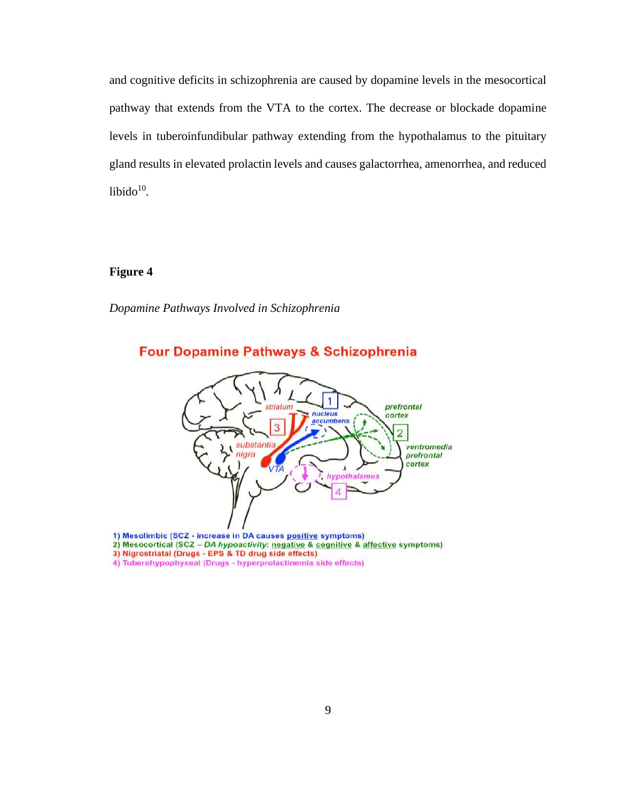and cognitive deficits in schizophrenia are caused by dopamine levels in the mesocortical pathway that extends from the VTA to the cortex. The decrease or blockade dopamine levels in tuberoinfundibular pathway extending from the hypothalamus to the pituitary gland results in elevated prolactin levels and causes galactorrhea, amenorrhea, and reduced  $libido<sup>10</sup>$ .

## **Figure 4**

*Dopamine Pathways Involved in Schizophrenia*



1) Mesolimbic (SCZ - increase in DA causes positive symptoms)

- 2) Mesocortical (SCZ DA hypoactivity: negative & cognitive & affective symptoms)
- 3) Nigrostriatal (Drugs EPS & TD drug side effects)
- 4) Tuberohypophyseal (Drugs hyperprolactinemia side effects)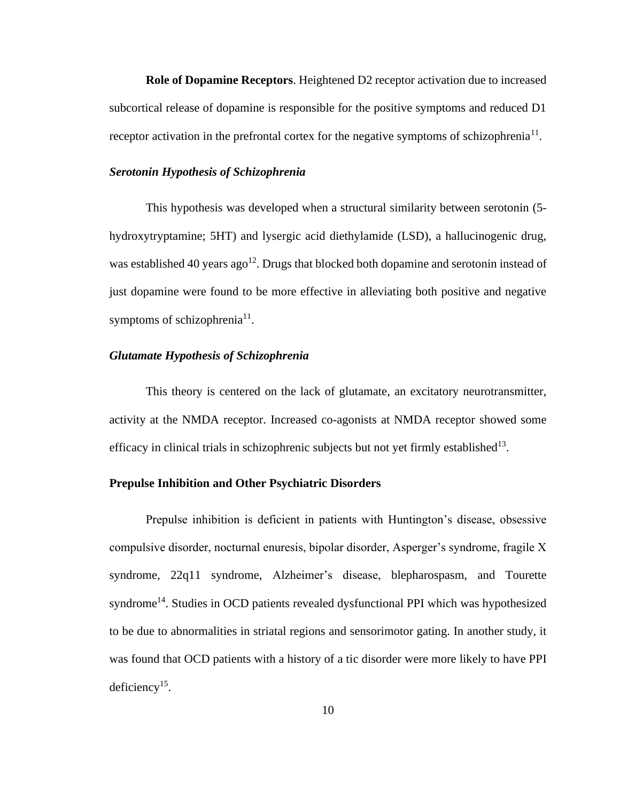**Role of Dopamine Receptors**. Heightened D2 receptor activation due to increased subcortical release of dopamine is responsible for the positive symptoms and reduced D1 receptor activation in the prefrontal cortex for the negative symptoms of schizophrenia<sup>11</sup>.

#### <span id="page-21-0"></span>*Serotonin Hypothesis of Schizophrenia*

This hypothesis was developed when a structural similarity between serotonin (5 hydroxytryptamine; 5HT) and lysergic acid diethylamide (LSD), a hallucinogenic drug, was established 40 years ago<sup>12</sup>. Drugs that blocked both dopamine and serotonin instead of just dopamine were found to be more effective in alleviating both positive and negative symptoms of schizophrenia<sup>[11](#page-21-0)</sup>.

## *Glutamate Hypothesis of Schizophrenia*

This theory is centered on the lack of glutamate, an excitatory neurotransmitter, activity at the NMDA receptor. Increased co-agonists at NMDA receptor showed some efficacy in clinical trials in schizophrenic subjects but not yet firmly established<sup>13</sup>.

#### **Prepulse Inhibition and Other Psychiatric Disorders**

Prepulse inhibition is deficient in patients with Huntington's disease, obsessive compulsive disorder, nocturnal enuresis, bipolar disorder, Asperger's syndrome, fragile X syndrome, 22q11 syndrome, Alzheimer's disease, blepharospasm, and Tourette syndrome<sup>14</sup>. Studies in OCD patients revealed dysfunctional PPI which was hypothesized to be due to abnormalities in striatal regions and sensorimotor gating. In another study, it was found that OCD patients with a history of a tic disorder were more likely to have PPI deficiency<sup>15</sup>.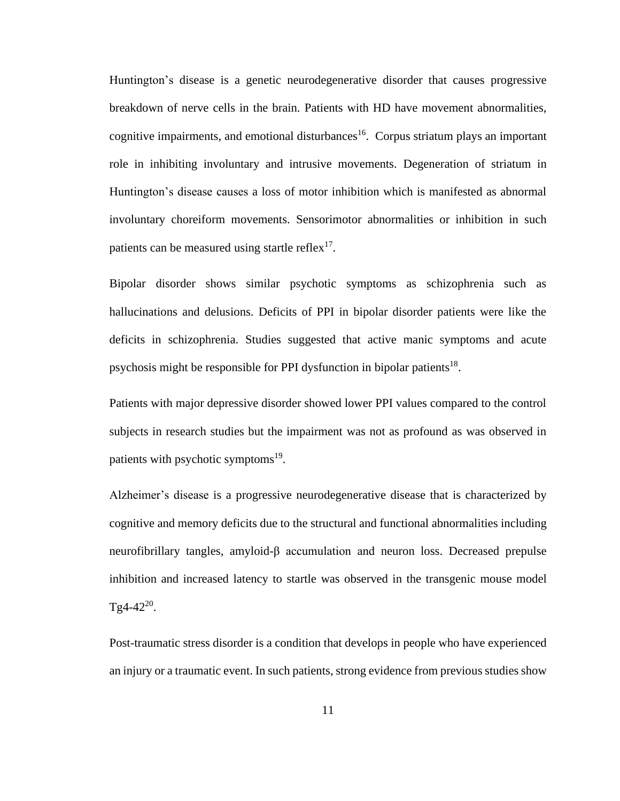Huntington's disease is a genetic neurodegenerative disorder that causes progressive breakdown of nerve cells in the brain. Patients with HD have movement abnormalities, cognitive impairments, and emotional disturbances<sup>16</sup>. Corpus striatum plays an important role in inhibiting involuntary and intrusive movements. Degeneration of striatum in Huntington's disease causes a loss of motor inhibition which is manifested as abnormal involuntary choreiform movements. Sensorimotor abnormalities or inhibition in such patients can be measured using startle reflex $17$ .

Bipolar disorder shows similar psychotic symptoms as schizophrenia such as hallucinations and delusions. Deficits of PPI in bipolar disorder patients were like the deficits in schizophrenia. Studies suggested that active manic symptoms and acute psychosis might be responsible for PPI dysfunction in bipolar patients<sup>18</sup>.

Patients with major depressive disorder showed lower PPI values compared to the control subjects in research studies but the impairment was not as profound as was observed in patients with psychotic symptoms<sup>19</sup>.

Alzheimer's disease is a progressive neurodegenerative disease that is characterized by cognitive and memory deficits due to the structural and functional abnormalities including neurofibrillary tangles, amyloid-β accumulation and neuron loss. Decreased prepulse inhibition and increased latency to startle was observed in the transgenic mouse model Tg4-42 $^{20}$ .

Post-traumatic stress disorder is a condition that develops in people who have experienced an injury or a traumatic event. In such patients, strong evidence from previous studies show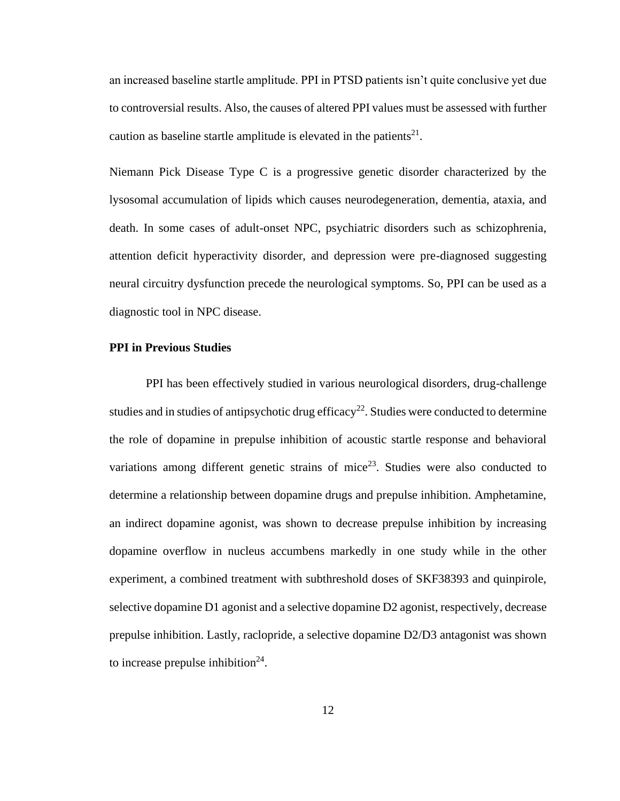an increased baseline startle amplitude. PPI in PTSD patients isn't quite conclusive yet due to controversial results. Also, the causes of altered PPI values must be assessed with further caution as baseline startle amplitude is elevated in the patients $2^1$ .

Niemann Pick Disease Type C is a progressive genetic disorder characterized by the lysosomal accumulation of lipids which causes neurodegeneration, dementia, ataxia, and death. In some cases of adult-onset NPC, psychiatric disorders such as schizophrenia, attention deficit hyperactivity disorder, and depression were pre-diagnosed suggesting neural circuitry dysfunction precede the neurological symptoms. So, PPI can be used as a diagnostic tool in NPC disease.

#### **PPI in Previous Studies**

PPI has been effectively studied in various neurological disorders, drug-challenge studies and in studies of antipsychotic drug efficacy<sup>22</sup>. Studies were conducted to determine the role of dopamine in prepulse inhibition of acoustic startle response and behavioral variations among different genetic strains of mice<sup>23</sup>. Studies were also conducted to determine a relationship between dopamine drugs and prepulse inhibition. Amphetamine, an indirect dopamine agonist, was shown to decrease prepulse inhibition by increasing dopamine overflow in nucleus accumbens markedly in one study while in the other experiment, a combined treatment with subthreshold doses of SKF38393 and quinpirole, selective dopamine D1 agonist and a selective dopamine D2 agonist, respectively, decrease prepulse inhibition. Lastly, raclopride, a selective dopamine D2/D3 antagonist was shown to increase prepulse inhibition<sup>24</sup>.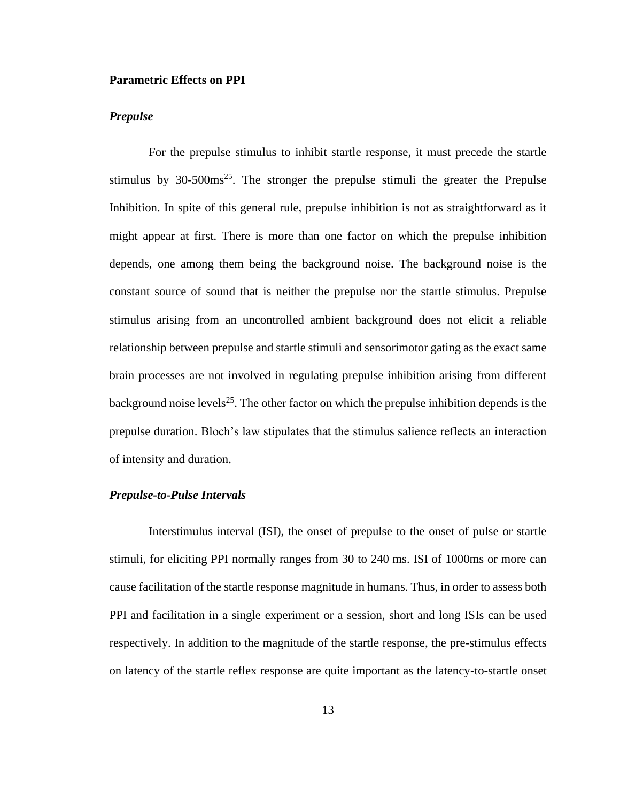#### **Parametric Effects on PPI**

#### *Prepulse*

For the prepulse stimulus to inhibit startle response, it must precede the startle stimulus by  $30-500 \text{ms}^{25}$ . The stronger the prepulse stimuli the greater the Prepulse Inhibition. In spite of this general rule, prepulse inhibition is not as straightforward as it might appear at first. There is more than one factor on which the prepulse inhibition depends, one among them being the background noise. The background noise is the constant source of sound that is neither the prepulse nor the startle stimulus. Prepulse stimulus arising from an uncontrolled ambient background does not elicit a reliable relationship between prepulse and startle stimuli and sensorimotor gating as the exact same brain processes are not involved in regulating prepulse inhibition arising from different background noise levels<sup>25</sup>. The other factor on which the prepulse inhibition depends is the prepulse duration. Bloch's law stipulates that the stimulus salience reflects an interaction of intensity and duration.

#### *Prepulse-to-Pulse Intervals*

Interstimulus interval (ISI), the onset of prepulse to the onset of pulse or startle stimuli, for eliciting PPI normally ranges from 30 to 240 ms. ISI of 1000ms or more can cause facilitation of the startle response magnitude in humans. Thus, in order to assess both PPI and facilitation in a single experiment or a session, short and long ISIs can be used respectively. In addition to the magnitude of the startle response, the pre-stimulus effects on latency of the startle reflex response are quite important as the latency-to-startle onset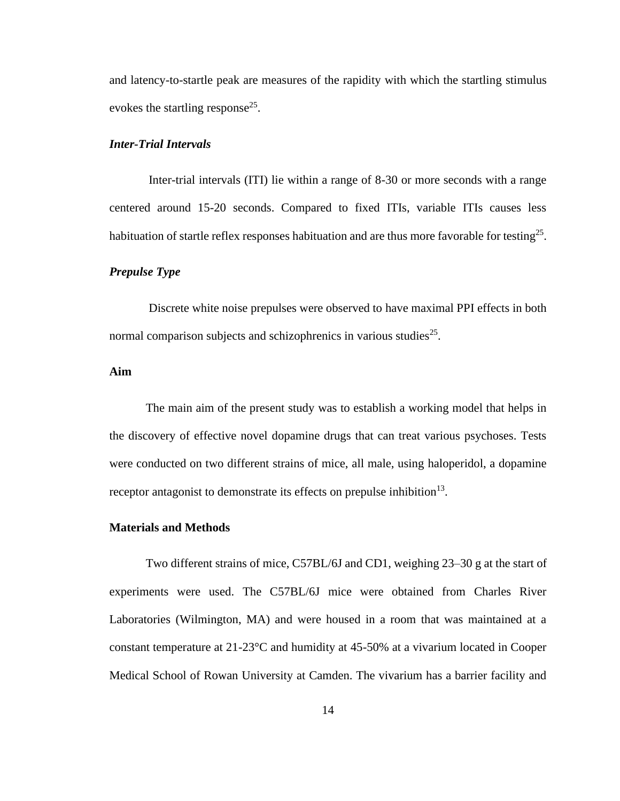and latency-to-startle peak are measures of the rapidity with which the startling stimulus evokes the startling response<sup>25</sup>.

#### *Inter-Trial Intervals*

Inter-trial intervals (ITI) lie within a range of 8-30 or more seconds with a range centered around 15-20 seconds. Compared to fixed ITIs, variable ITIs causes less habituation of startle reflex responses habituation and are thus more favorable for testing<sup>25</sup>.

#### *Prepulse Type*

Discrete white noise prepulses were observed to have maximal PPI effects in both normal comparison subjects and schizophrenics in various studies $^{25}$ .

#### **Aim**

The main aim of the present study was to establish a working model that helps in the discovery of effective novel dopamine drugs that can treat various psychoses. Tests were conducted on two different strains of mice, all male, using haloperidol, a dopamine receptor antagonist to demonstrate its effects on prepulse inhibition<sup>13</sup>.

#### **Materials and Methods**

Two different strains of mice, C57BL/6J and CD1, weighing 23–30 g at the start of experiments were used. The C57BL/6J mice were obtained from Charles River Laboratories (Wilmington, MA) and were housed in a room that was maintained at a constant temperature at 21-23°C and humidity at 45-50% at a vivarium located in Cooper Medical School of Rowan University at Camden. The vivarium has a barrier facility and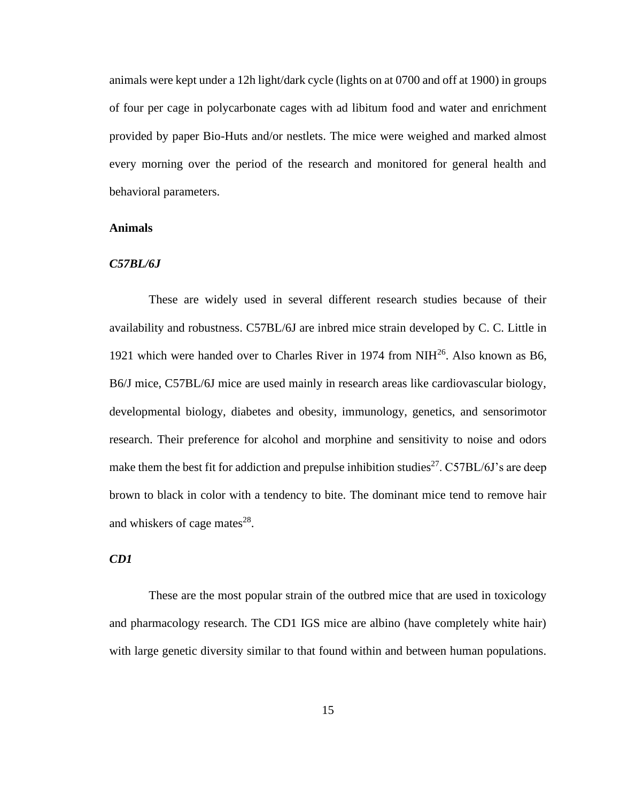animals were kept under a 12h light/dark cycle (lights on at 0700 and off at 1900) in groups of four per cage in polycarbonate cages with ad libitum food and water and enrichment provided by paper Bio-Huts and/or nestlets. The mice were weighed and marked almost every morning over the period of the research and monitored for general health and behavioral parameters.

#### **Animals**

#### *C57BL/6J*

These are widely used in several different research studies because of their availability and robustness. C57BL/6J are inbred mice strain developed by C. C. Little in 1921 which were handed over to Charles River in 1974 from NIH<sup>26</sup>. Also known as B6, B6/J mice, C57BL/6J mice are used mainly in research areas like cardiovascular biology, developmental biology, diabetes and obesity, immunology, genetics, and sensorimotor research. Their preference for alcohol and morphine and sensitivity to noise and odors make them the best fit for addiction and prepulse inhibition studies<sup>27</sup>. C57BL/6J's are deep brown to black in color with a tendency to bite. The dominant mice tend to remove hair and whiskers of cage mates $^{28}$ .

#### *CD1*

These are the most popular strain of the outbred mice that are used in toxicology and pharmacology research. The CD1 IGS mice are albino (have completely white hair) with large genetic diversity similar to that found within and between human populations.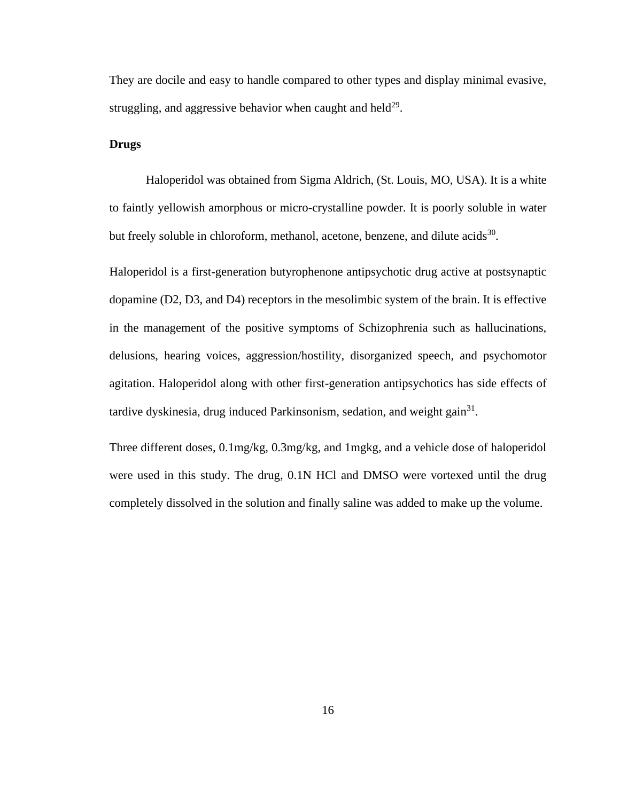They are docile and easy to handle compared to other types and display minimal evasive, struggling, and aggressive behavior when caught and held $^{29}$ .

#### **Drugs**

Haloperidol was obtained from Sigma Aldrich, (St. Louis, MO, USA). It is a white to faintly yellowish amorphous or micro-crystalline powder. It is poorly soluble in water but freely soluble in chloroform, methanol, acetone, benzene, and dilute acids<sup>30</sup>.

Haloperidol is a first-generation butyrophenone antipsychotic drug active at postsynaptic dopamine (D2, D3, and D4) receptors in the mesolimbic system of the brain. It is effective in the management of the positive symptoms of Schizophrenia such as hallucinations, delusions, hearing voices, aggression/hostility, disorganized speech, and psychomotor agitation. Haloperidol along with other first-generation antipsychotics has side effects of tardive dyskinesia, drug induced Parkinsonism, sedation, and weight gain<sup>31</sup>.

Three different doses, 0.1mg/kg, 0.3mg/kg, and 1mgkg, and a vehicle dose of haloperidol were used in this study. The drug, 0.1N HCl and DMSO were vortexed until the drug completely dissolved in the solution and finally saline was added to make up the volume.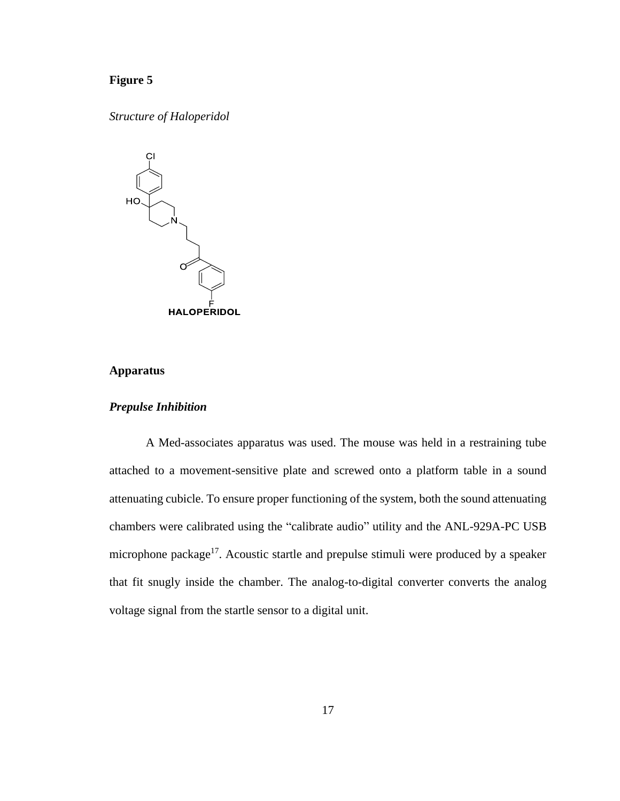## **Figure 5**

*Structure of Haloperidol*



#### **Apparatus**

### *Prepulse Inhibition*

A Med-associates apparatus was used. The mouse was held in a restraining tube attached to a movement-sensitive plate and screwed onto a platform table in a sound attenuating cubicle. To ensure proper functioning of the system, both the sound attenuating chambers were calibrated using the "calibrate audio" utility and the ANL-929A-PC USB microphone package<sup>17</sup>. Acoustic startle and prepulse stimuli were produced by a speaker that fit snugly inside the chamber. The analog-to-digital converter converts the analog voltage signal from the startle sensor to a digital unit.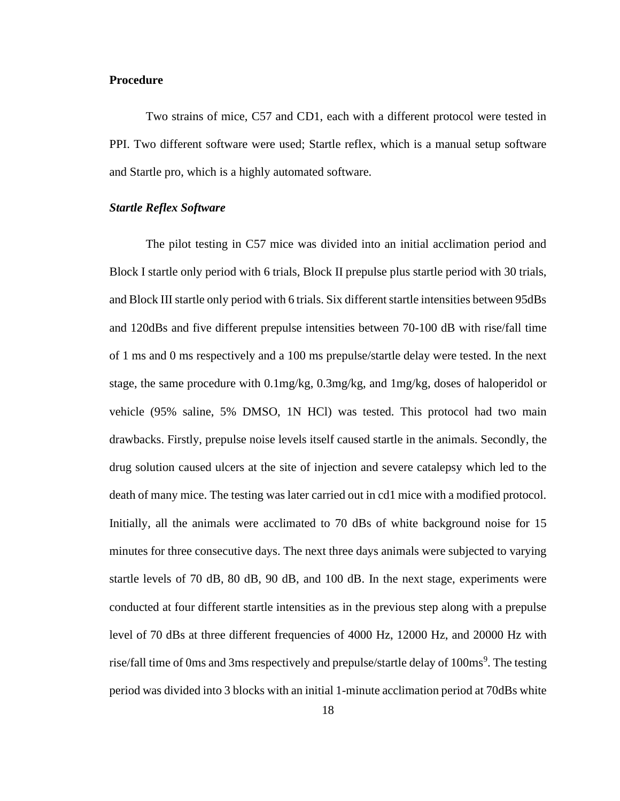#### **Procedure**

Two strains of mice, C57 and CD1, each with a different protocol were tested in PPI. Two different software were used; Startle reflex, which is a manual setup software and Startle pro, which is a highly automated software.

#### *Startle Reflex Software*

The pilot testing in C57 mice was divided into an initial acclimation period and Block I startle only period with 6 trials, Block II prepulse plus startle period with 30 trials, and Block III startle only period with 6 trials. Six different startle intensities between 95dBs and 120dBs and five different prepulse intensities between 70-100 dB with rise/fall time of 1 ms and 0 ms respectively and a 100 ms prepulse/startle delay were tested. In the next stage, the same procedure with 0.1mg/kg, 0.3mg/kg, and 1mg/kg, doses of haloperidol or vehicle (95% saline, 5% DMSO, 1N HCl) was tested. This protocol had two main drawbacks. Firstly, prepulse noise levels itself caused startle in the animals. Secondly, the drug solution caused ulcers at the site of injection and severe catalepsy which led to the death of many mice. The testing was later carried out in cd1 mice with a modified protocol. Initially, all the animals were acclimated to 70 dBs of white background noise for 15 minutes for three consecutive days. The next three days animals were subjected to varying startle levels of 70 dB, 80 dB, 90 dB, and 100 dB. In the next stage, experiments were conducted at four different startle intensities as in the previous step along with a prepulse level of 70 dBs at three different frequencies of 4000 Hz, 12000 Hz, and 20000 Hz with rise/fall time of 0ms and 3ms respectively and prepulse/startle delay of 100ms<sup>9</sup>. The testing period was divided into 3 blocks with an initial 1-minute acclimation period at 70dBs white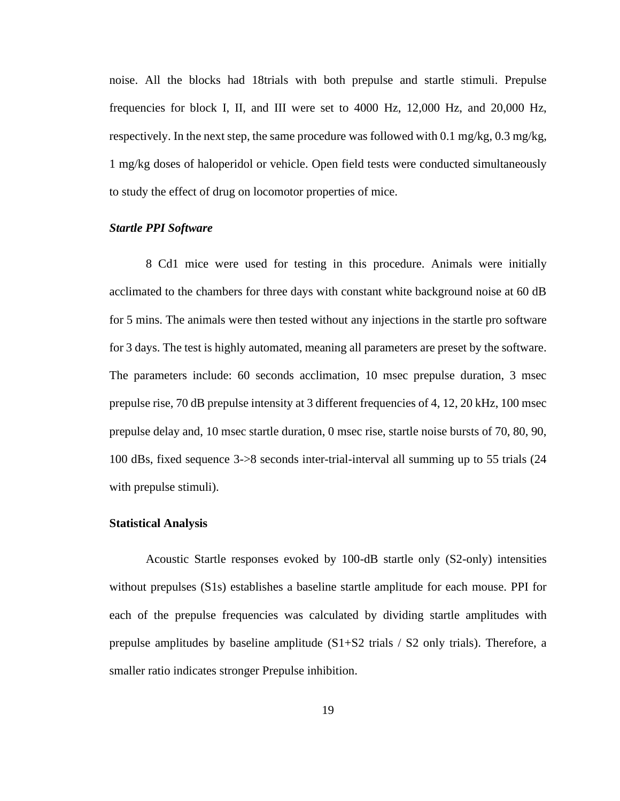noise. All the blocks had 18trials with both prepulse and startle stimuli. Prepulse frequencies for block I, II, and III were set to 4000 Hz, 12,000 Hz, and 20,000 Hz, respectively. In the next step, the same procedure was followed with 0.1 mg/kg,  $0.3 \text{ mg/kg}$ , 1 mg/kg doses of haloperidol or vehicle. Open field tests were conducted simultaneously to study the effect of drug on locomotor properties of mice.

#### *Startle PPI Software*

8 Cd1 mice were used for testing in this procedure. Animals were initially acclimated to the chambers for three days with constant white background noise at 60 dB for 5 mins. The animals were then tested without any injections in the startle pro software for 3 days. The test is highly automated, meaning all parameters are preset by the software. The parameters include: 60 seconds acclimation, 10 msec prepulse duration, 3 msec prepulse rise, 70 dB prepulse intensity at 3 different frequencies of 4, 12, 20 kHz, 100 msec prepulse delay and, 10 msec startle duration, 0 msec rise, startle noise bursts of 70, 80, 90, 100 dBs, fixed sequence 3->8 seconds inter-trial-interval all summing up to 55 trials (24 with prepulse stimuli).

#### **Statistical Analysis**

Acoustic Startle responses evoked by 100-dB startle only (S2-only) intensities without prepulses (S1s) establishes a baseline startle amplitude for each mouse. PPI for each of the prepulse frequencies was calculated by dividing startle amplitudes with prepulse amplitudes by baseline amplitude  $(S1+S2 \text{ trials} / S2 \text{ only trials})$ . Therefore, a smaller ratio indicates stronger Prepulse inhibition.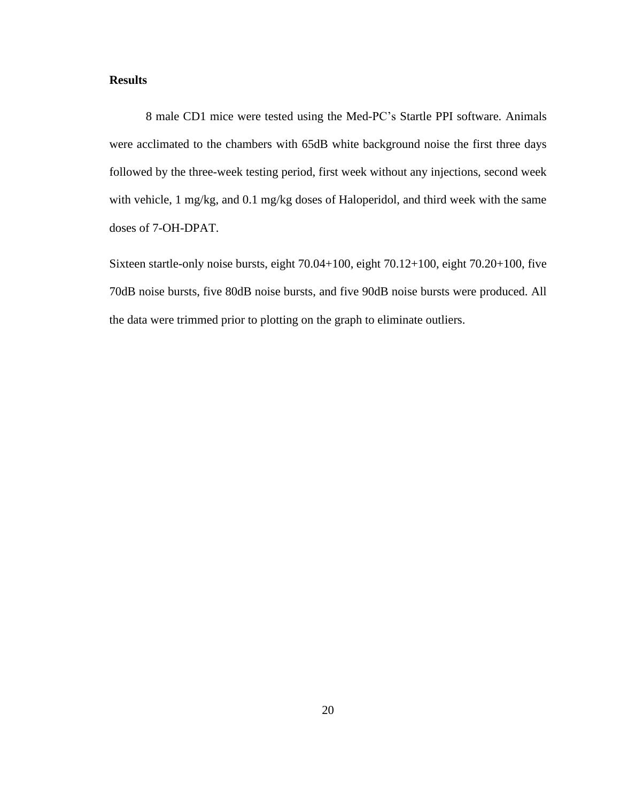#### **Results**

8 male CD1 mice were tested using the Med-PC's Startle PPI software. Animals were acclimated to the chambers with 65dB white background noise the first three days followed by the three-week testing period, first week without any injections, second week with vehicle, 1 mg/kg, and 0.1 mg/kg doses of Haloperidol, and third week with the same doses of 7-OH-DPAT.

Sixteen startle-only noise bursts, eight 70.04+100, eight 70.12+100, eight 70.20+100, five 70dB noise bursts, five 80dB noise bursts, and five 90dB noise bursts were produced. All the data were trimmed prior to plotting on the graph to eliminate outliers.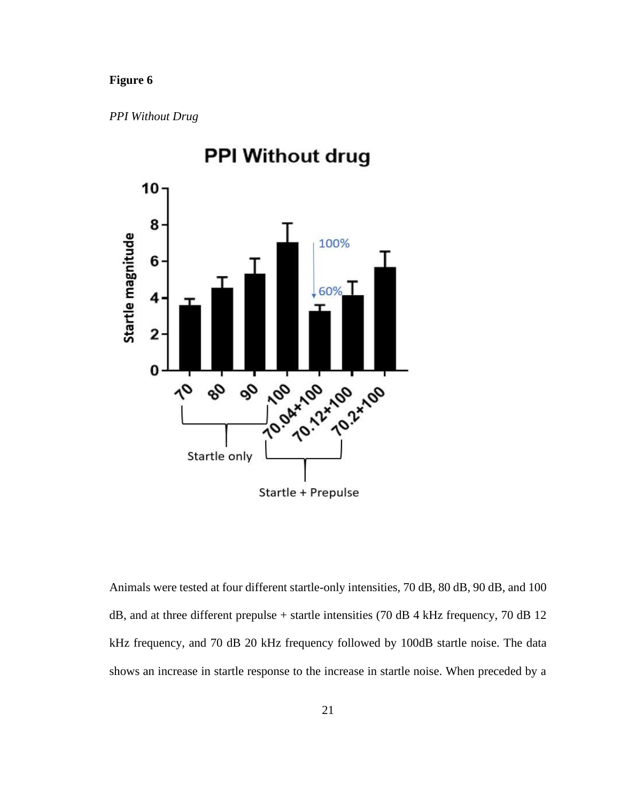## **Figure 6**

*PPI Without Drug*



**PPI Without drug** 

Animals were tested at four different startle-only intensities, 70 dB, 80 dB, 90 dB, and 100 dB, and at three different prepulse + startle intensities (70 dB 4 kHz frequency, 70 dB 12 kHz frequency, and 70 dB 20 kHz frequency followed by 100dB startle noise. The data shows an increase in startle response to the increase in startle noise. When preceded by a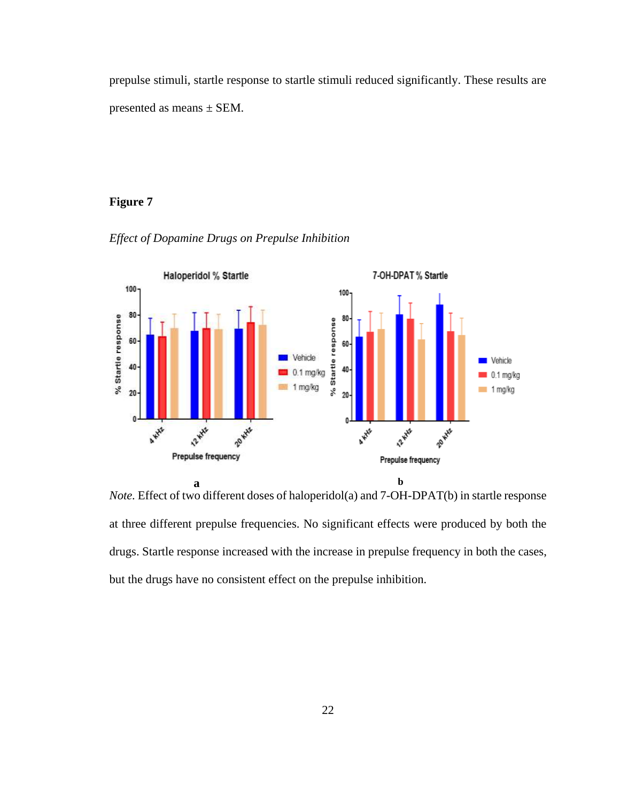prepulse stimuli, startle response to startle stimuli reduced significantly. These results are presented as means ± SEM.

# **Figure 7**



*Effect of Dopamine Drugs on Prepulse Inhibition*

*Note.* Effect of two different doses of haloperidol(a) and 7-OH-DPAT(b) in startle response at three different prepulse frequencies. No significant effects were produced by both the drugs. Startle response increased with the increase in prepulse frequency in both the cases, but the drugs have no consistent effect on the prepulse inhibition*.*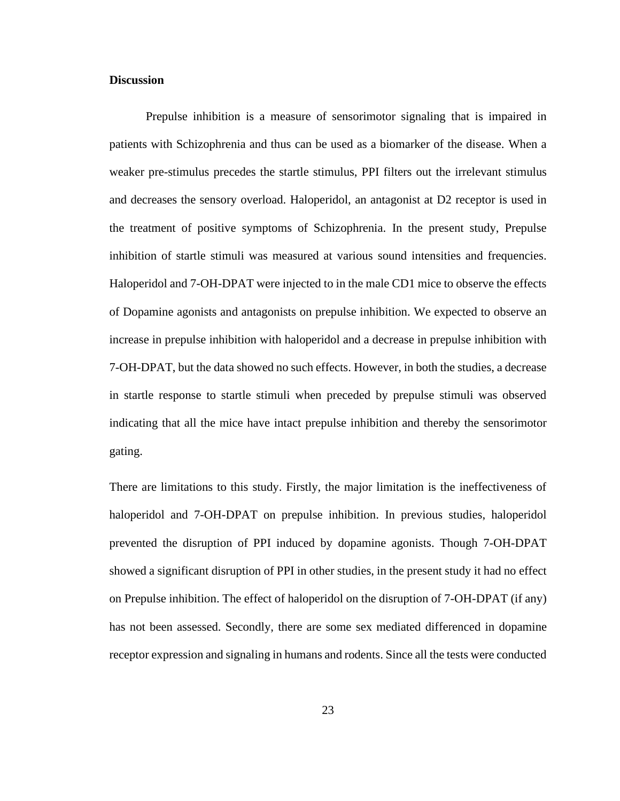#### **Discussion**

Prepulse inhibition is a measure of sensorimotor signaling that is impaired in patients with Schizophrenia and thus can be used as a biomarker of the disease. When a weaker pre-stimulus precedes the startle stimulus, PPI filters out the irrelevant stimulus and decreases the sensory overload. Haloperidol, an antagonist at D2 receptor is used in the treatment of positive symptoms of Schizophrenia. In the present study, Prepulse inhibition of startle stimuli was measured at various sound intensities and frequencies. Haloperidol and 7-OH-DPAT were injected to in the male CD1 mice to observe the effects of Dopamine agonists and antagonists on prepulse inhibition. We expected to observe an increase in prepulse inhibition with haloperidol and a decrease in prepulse inhibition with 7-OH-DPAT, but the data showed no such effects. However, in both the studies, a decrease in startle response to startle stimuli when preceded by prepulse stimuli was observed indicating that all the mice have intact prepulse inhibition and thereby the sensorimotor gating.

There are limitations to this study. Firstly, the major limitation is the ineffectiveness of haloperidol and 7-OH-DPAT on prepulse inhibition. In previous studies, haloperidol prevented the disruption of PPI induced by dopamine agonists. Though 7-OH-DPAT showed a significant disruption of PPI in other studies, in the present study it had no effect on Prepulse inhibition. The effect of haloperidol on the disruption of 7-OH-DPAT (if any) has not been assessed. Secondly, there are some sex mediated differenced in dopamine receptor expression and signaling in humans and rodents. Since all the tests were conducted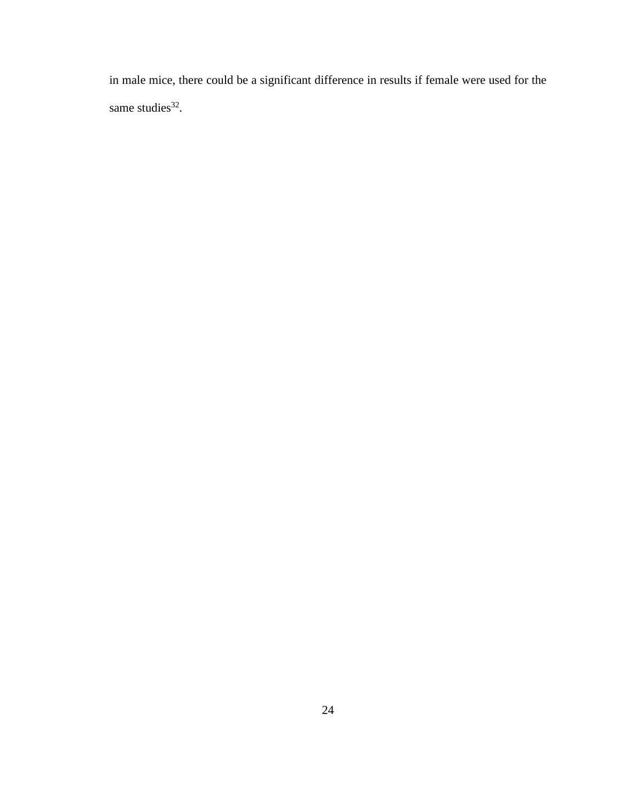in male mice, there could be a significant difference in results if female were used for the same studies.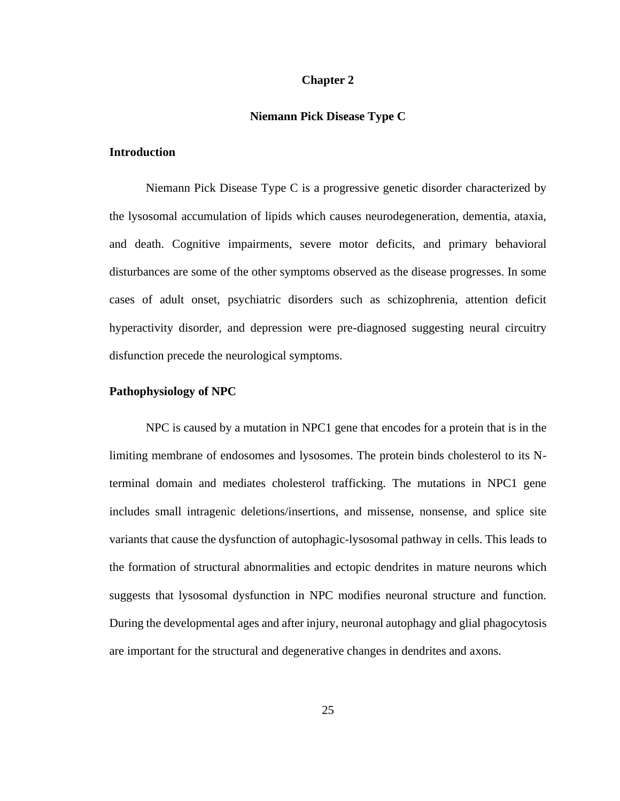#### **Chapter 2**

#### **Niemann Pick Disease Type C**

#### **Introduction**

Niemann Pick Disease Type C is a progressive genetic disorder characterized by the lysosomal accumulation of lipids which causes neurodegeneration, dementia, ataxia, and death. Cognitive impairments, severe motor deficits, and primary behavioral disturbances are some of the other symptoms observed as the disease progresses. In some cases of adult onset, psychiatric disorders such as schizophrenia, attention deficit hyperactivity disorder, and depression were pre-diagnosed suggesting neural circuitry disfunction precede the neurological symptoms.

#### **Pathophysiology of NPC**

NPC is caused by a mutation in NPC1 gene that encodes for a protein that is in the limiting membrane of endosomes and lysosomes. The protein binds cholesterol to its Nterminal domain and mediates cholesterol trafficking. The mutations in NPC1 gene includes small intragenic deletions/insertions, and missense, nonsense, and splice site variants that cause the dysfunction of autophagic-lysosomal pathway in cells. This leads to the formation of structural abnormalities and ectopic dendrites in mature neurons which suggests that lysosomal dysfunction in NPC modifies neuronal structure and function. During the developmental ages and after injury, neuronal autophagy and glial phagocytosis are important for the structural and degenerative changes in dendrites and axons.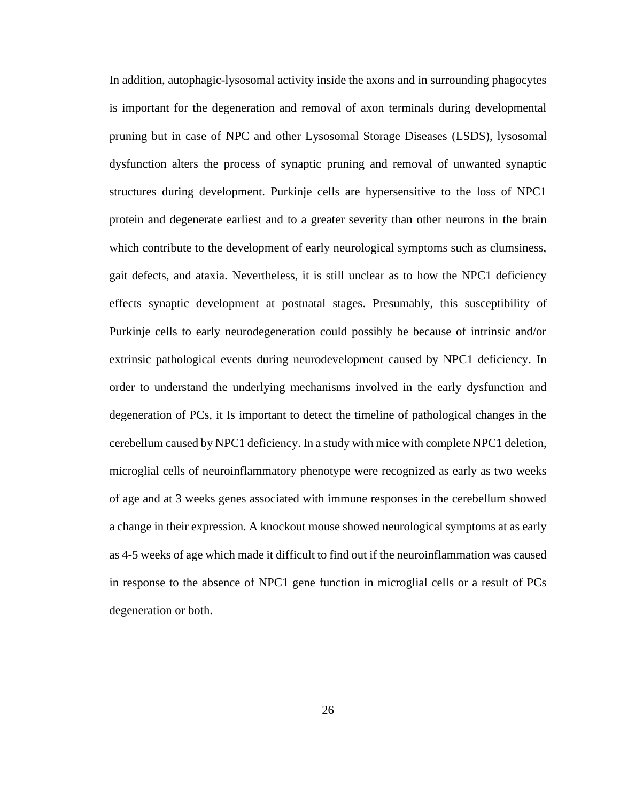In addition, autophagic-lysosomal activity inside the axons and in surrounding phagocytes is important for the degeneration and removal of axon terminals during developmental pruning but in case of NPC and other Lysosomal Storage Diseases (LSDS), lysosomal dysfunction alters the process of synaptic pruning and removal of unwanted synaptic structures during development. Purkinje cells are hypersensitive to the loss of NPC1 protein and degenerate earliest and to a greater severity than other neurons in the brain which contribute to the development of early neurological symptoms such as clumsiness, gait defects, and ataxia. Nevertheless, it is still unclear as to how the NPC1 deficiency effects synaptic development at postnatal stages. Presumably, this susceptibility of Purkinje cells to early neurodegeneration could possibly be because of intrinsic and/or extrinsic pathological events during neurodevelopment caused by NPC1 deficiency. In order to understand the underlying mechanisms involved in the early dysfunction and degeneration of PCs, it Is important to detect the timeline of pathological changes in the cerebellum caused by NPC1 deficiency. In a study with mice with complete NPC1 deletion, microglial cells of neuroinflammatory phenotype were recognized as early as two weeks of age and at 3 weeks genes associated with immune responses in the cerebellum showed a change in their expression. A knockout mouse showed neurological symptoms at as early as 4-5 weeks of age which made it difficult to find out if the neuroinflammation was caused in response to the absence of NPC1 gene function in microglial cells or a result of PCs degeneration or both.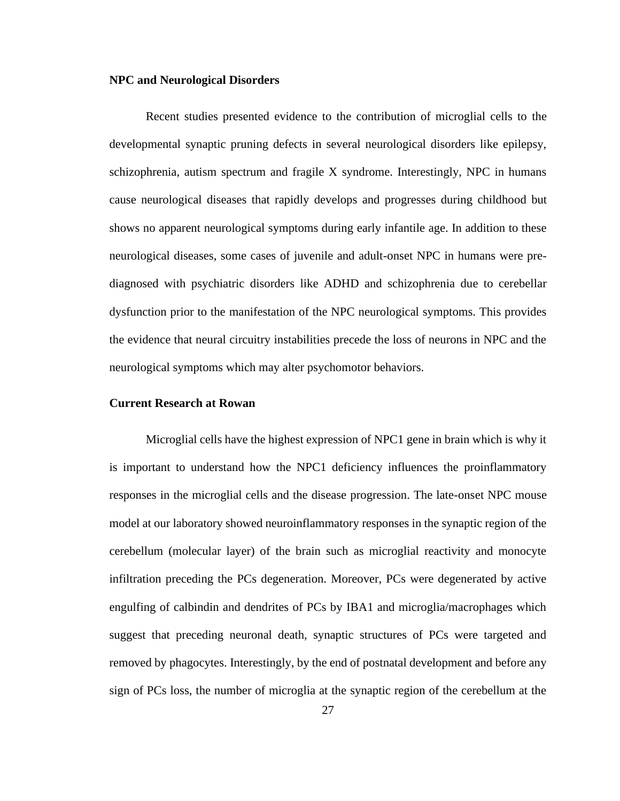## **NPC and Neurological Disorders**

Recent studies presented evidence to the contribution of microglial cells to the developmental synaptic pruning defects in several neurological disorders like epilepsy, schizophrenia, autism spectrum and fragile X syndrome. Interestingly, NPC in humans cause neurological diseases that rapidly develops and progresses during childhood but shows no apparent neurological symptoms during early infantile age. In addition to these neurological diseases, some cases of juvenile and adult-onset NPC in humans were prediagnosed with psychiatric disorders like ADHD and schizophrenia due to cerebellar dysfunction prior to the manifestation of the NPC neurological symptoms. This provides the evidence that neural circuitry instabilities precede the loss of neurons in NPC and the neurological symptoms which may alter psychomotor behaviors.

#### **Current Research at Rowan**

Microglial cells have the highest expression of NPC1 gene in brain which is why it is important to understand how the NPC1 deficiency influences the proinflammatory responses in the microglial cells and the disease progression. The late-onset NPC mouse model at our laboratory showed neuroinflammatory responses in the synaptic region of the cerebellum (molecular layer) of the brain such as microglial reactivity and monocyte infiltration preceding the PCs degeneration. Moreover, PCs were degenerated by active engulfing of calbindin and dendrites of PCs by IBA1 and microglia/macrophages which suggest that preceding neuronal death, synaptic structures of PCs were targeted and removed by phagocytes. Interestingly, by the end of postnatal development and before any sign of PCs loss, the number of microglia at the synaptic region of the cerebellum at the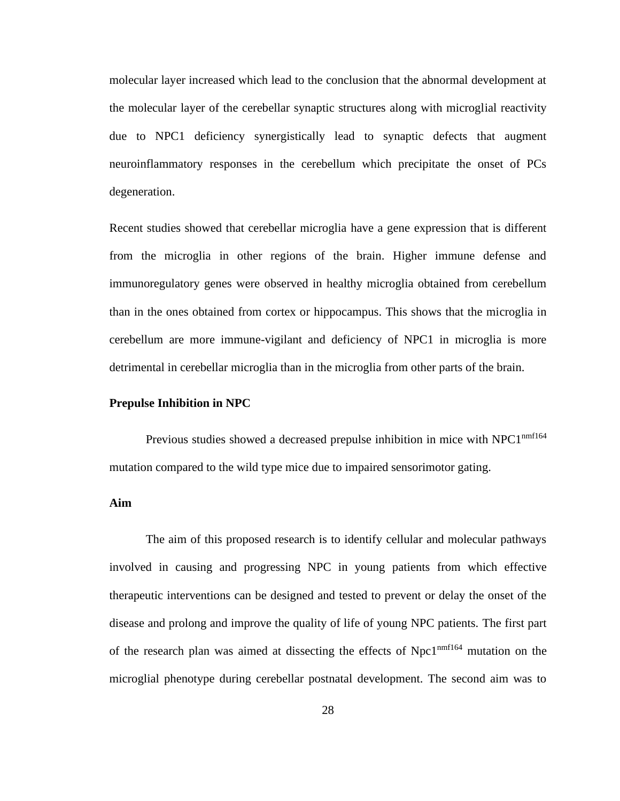molecular layer increased which lead to the conclusion that the abnormal development at the molecular layer of the cerebellar synaptic structures along with microglial reactivity due to NPC1 deficiency synergistically lead to synaptic defects that augment neuroinflammatory responses in the cerebellum which precipitate the onset of PCs degeneration.

Recent studies showed that cerebellar microglia have a gene expression that is different from the microglia in other regions of the brain. Higher immune defense and immunoregulatory genes were observed in healthy microglia obtained from cerebellum than in the ones obtained from cortex or hippocampus. This shows that the microglia in cerebellum are more immune-vigilant and deficiency of NPC1 in microglia is more detrimental in cerebellar microglia than in the microglia from other parts of the brain.

#### **Prepulse Inhibition in NPC**

Previous studies showed a decreased prepulse inhibition in mice with NPC1<sup>nmf164</sup> mutation compared to the wild type mice due to impaired sensorimotor gating.

#### **Aim**

The aim of this proposed research is to identify cellular and molecular pathways involved in causing and progressing NPC in young patients from which effective therapeutic interventions can be designed and tested to prevent or delay the onset of the disease and prolong and improve the quality of life of young NPC patients. The first part of the research plan was aimed at dissecting the effects of Npc1<sup>nmf164</sup> mutation on the microglial phenotype during cerebellar postnatal development. The second aim was to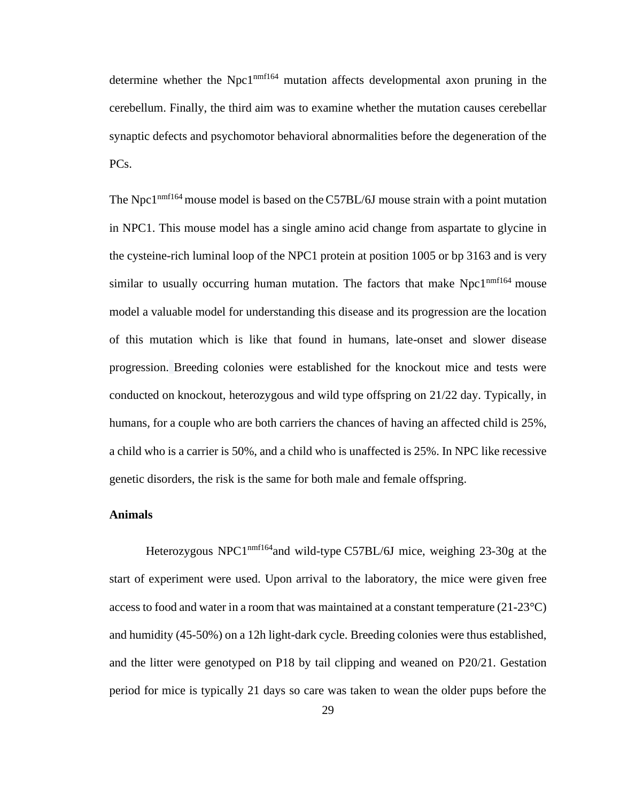determine whether the Npc1<sup>nmf164</sup> mutation affects developmental axon pruning in the cerebellum. Finally, the third aim was to examine whether the mutation causes cerebellar synaptic defects and psychomotor behavioral abnormalities before the degeneration of the PC<sub>s</sub>.

The Npc1<sup>nmf164</sup> mouse model is based on the C57BL/6J mouse strain with a point mutation in NPC1. This mouse model has a single amino acid change from aspartate to glycine in the cysteine-rich luminal loop of the NPC1 protein at position 1005 or bp 3163 and is very similar to usually occurring human mutation. The factors that make  $Npc1<sup>nmfl64</sup>$  mouse model a valuable model for understanding this disease and its progression are the location of this mutation which is like that found in humans, late-onset and slower disease progression. Breeding colonies were established for the knockout mice and tests were conducted on knockout, heterozygous and wild type offspring on 21/22 day. Typically, in humans, for a couple who are both carriers the chances of having an affected child is 25%, a child who is a carrier is 50%, and a child who is unaffected is 25%. In NPC like recessive genetic disorders, the risk is the same for both male and female offspring.

#### **Animals**

Heterozygous NPC1 $n<sup>nnfl64</sup>$  and wild-type C57BL/6J mice, weighing 23-30g at the start of experiment were used. Upon arrival to the laboratory, the mice were given free access to food and water in a room that was maintained at a constant temperature (21-23°C) and humidity (45-50%) on a 12h light-dark cycle. Breeding colonies were thus established, and the litter were genotyped on P18 by tail clipping and weaned on P20/21. Gestation period for mice is typically 21 days so care was taken to wean the older pups before the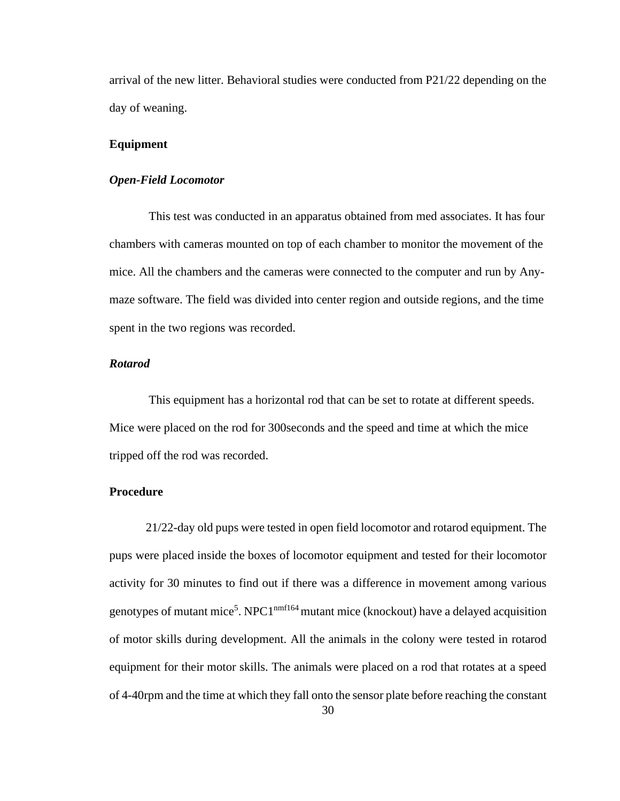arrival of the new litter. Behavioral studies were conducted from P21/22 depending on the day of weaning.

#### **Equipment**

#### *Open-Field Locomotor*

This test was conducted in an apparatus obtained from med associates. It has four chambers with cameras mounted on top of each chamber to monitor the movement of the mice. All the chambers and the cameras were connected to the computer and run by Anymaze software. The field was divided into center region and outside regions, and the time spent in the two regions was recorded.

### *Rotarod*

This equipment has a horizontal rod that can be set to rotate at different speeds. Mice were placed on the rod for 300seconds and the speed and time at which the mice tripped off the rod was recorded.

#### **Procedure**

21/22-day old pups were tested in open field locomotor and rotarod equipment. The pups were placed inside the boxes of locomotor equipment and tested for their locomotor activity for 30 minutes to find out if there was a difference in movement among various genotypes of mutant mice<sup>5</sup>. NPC1<sup>nmf164</sup> mutant mice (knockout) have a delayed acquisition of motor skills during development. All the animals in the colony were tested in rotarod equipment for their motor skills. The animals were placed on a rod that rotates at a speed of 4-40rpm and the time at which they fall onto the sensor plate before reaching the constant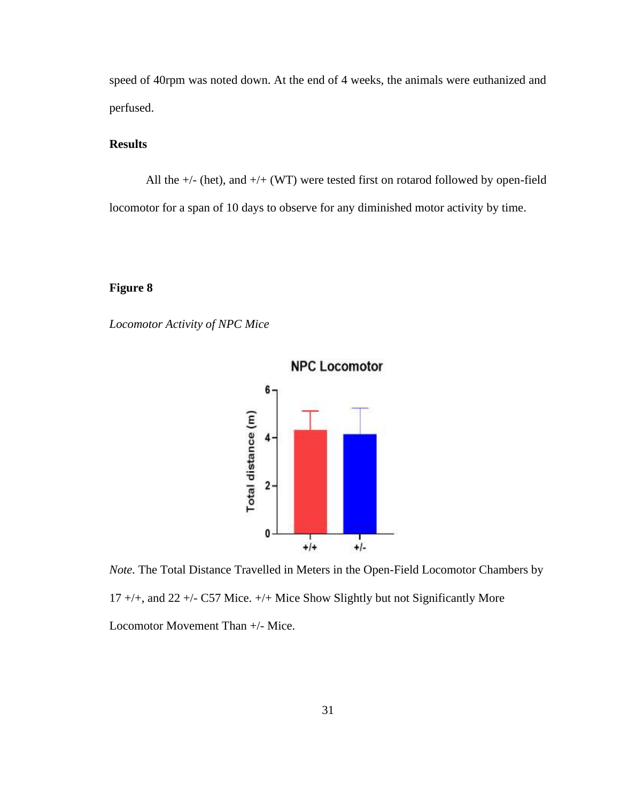speed of 40rpm was noted down. At the end of 4 weeks, the animals were euthanized and perfused.

## **Results**

All the  $+/-$  (het), and  $+/-$  (WT) were tested first on rotarod followed by open-field locomotor for a span of 10 days to observe for any diminished motor activity by time.

## **Figure 8**

*Locomotor Activity of NPC Mice*



*Note.* The Total Distance Travelled in Meters in the Open-Field Locomotor Chambers by 17 +/+, and 22 +/- C57 Mice. +/+ Mice Show Slightly but not Significantly More Locomotor Movement Than +/- Mice.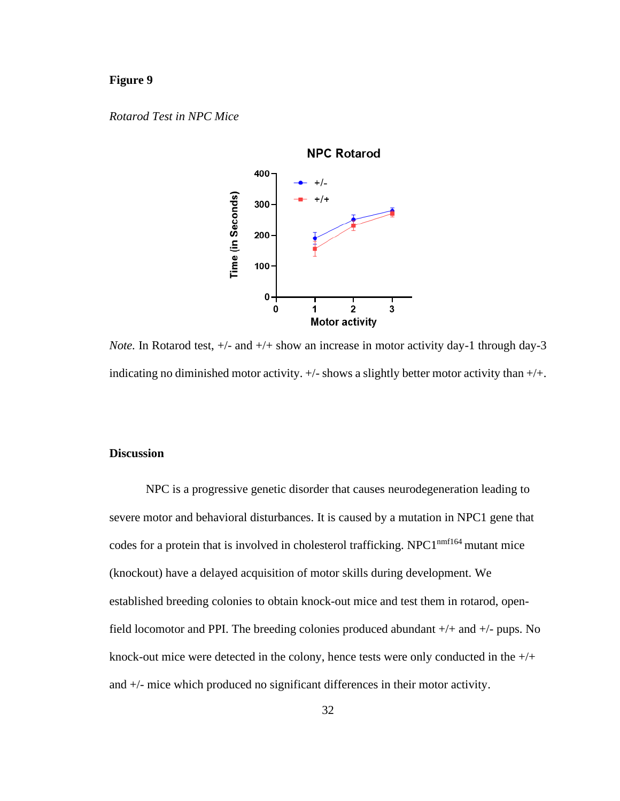## **Figure 9**

*Rotarod Test in NPC Mice*



*Note.* In Rotarod test,  $+/-$  and  $+/+$  show an increase in motor activity day-1 through day-3 indicating no diminished motor activity. +/- shows a slightly better motor activity than +/+.

## **Discussion**

NPC is a progressive genetic disorder that causes neurodegeneration leading to severe motor and behavioral disturbances. It is caused by a mutation in NPC1 gene that codes for a protein that is involved in cholesterol trafficking. NPC1<sup>nmf164</sup> mutant mice (knockout) have a delayed acquisition of motor skills during development. We established breeding colonies to obtain knock-out mice and test them in rotarod, openfield locomotor and PPI. The breeding colonies produced abundant +/+ and +/- pups. No knock-out mice were detected in the colony, hence tests were only conducted in the +/+ and +/- mice which produced no significant differences in their motor activity.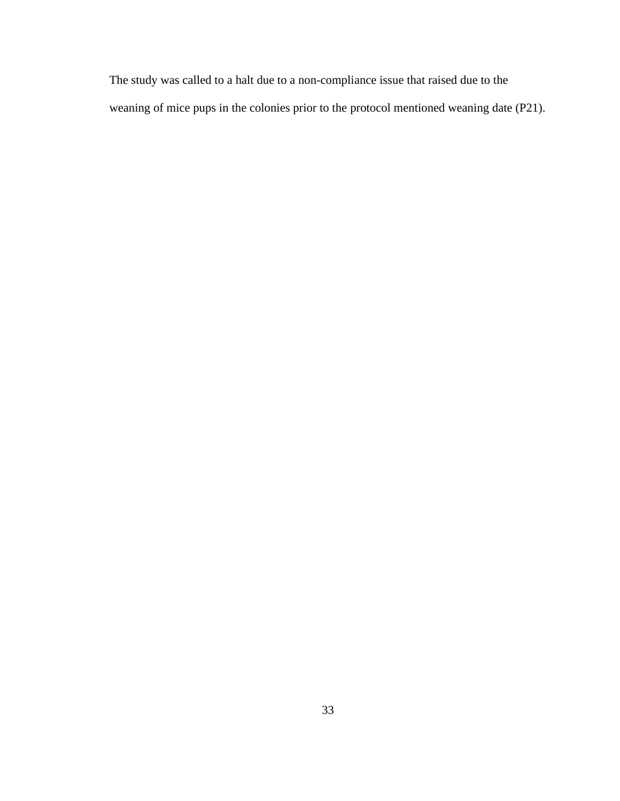The study was called to a halt due to a non-compliance issue that raised due to the weaning of mice pups in the colonies prior to the protocol mentioned weaning date (P21).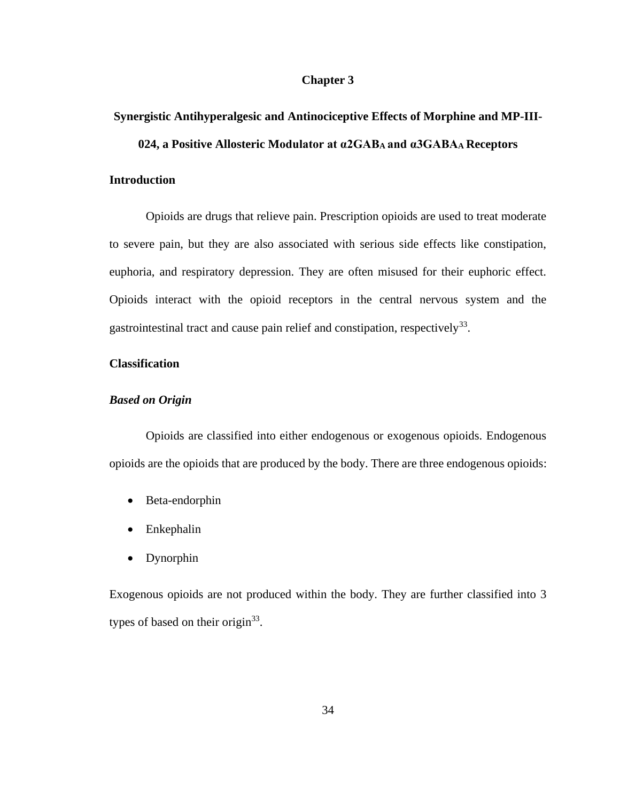#### **Chapter 3**

#### **Synergistic Antihyperalgesic and Antinociceptive Effects of Morphine and MP-III-**

#### **024, a Positive Allosteric Modulator at α2GABA and α3GABAA Receptors**

## **Introduction**

Opioids are drugs that relieve pain. Prescription opioids are used to treat moderate to severe pain, but they are also associated with serious side effects like constipation, euphoria, and respiratory depression. They are often misused for their euphoric effect. Opioids interact with the opioid receptors in the central nervous system and the gastrointestinal tract and cause pain relief and constipation, respectively<sup>33</sup>.

#### **Classification**

#### *Based on Origin*

Opioids are classified into either endogenous or exogenous opioids. Endogenous opioids are the opioids that are produced by the body. There are three endogenous opioids:

- Beta-endorphin
- Enkephalin
- Dynorphin

Exogenous opioids are not produced within the body. They are further classified into 3 types of based on their origin $^{33}$ .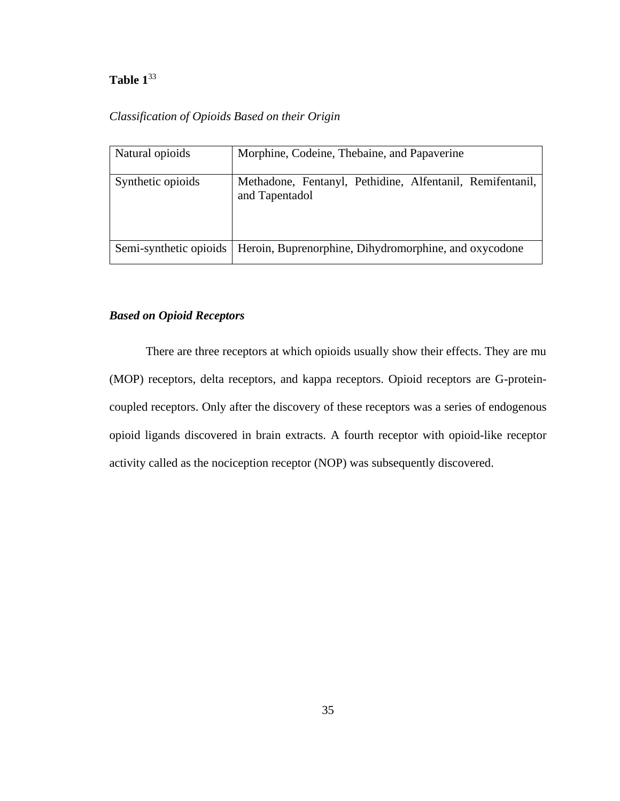## **Table 1**<sup>33</sup>

## *Classification of Opioids Based on their Origin*

| Natural opioids        | Morphine, Codeine, Thebaine, and Papaverine                                 |
|------------------------|-----------------------------------------------------------------------------|
| Synthetic opioids      | Methadone, Fentanyl, Pethidine, Alfentanil, Remifentanil,<br>and Tapentadol |
| Semi-synthetic opioids | Heroin, Buprenorphine, Dihydromorphine, and oxycodone                       |

## *Based on Opioid Receptors*

There are three receptors at which opioids usually show their effects. They are mu (MOP) receptors, delta receptors, and kappa receptors. Opioid receptors are G-proteincoupled receptors. Only after the discovery of these receptors was a series of endogenous opioid ligands discovered in brain extracts. A fourth receptor with opioid-like receptor activity called as the nociception receptor (NOP) was subsequently discovered.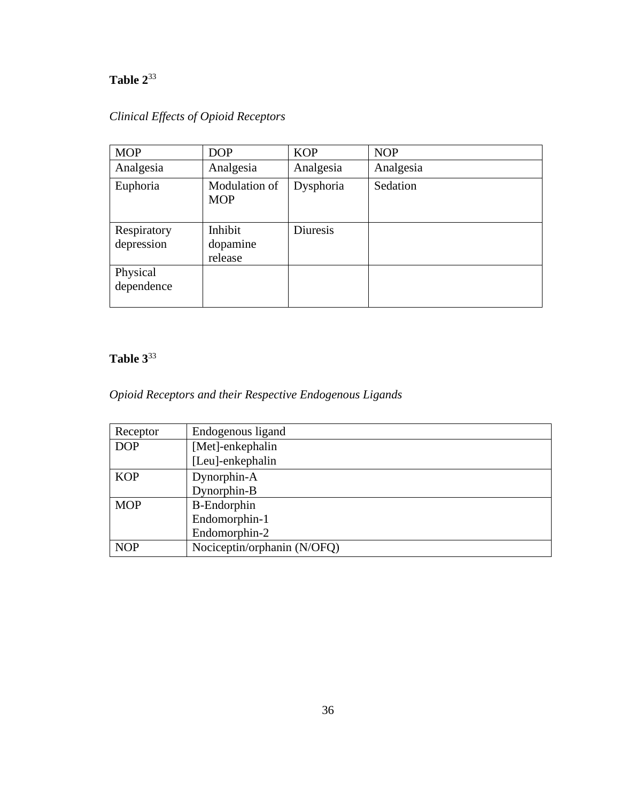# **Table 2**<sup>33</sup>

| <b>MOP</b>  | <b>DOP</b>                  | <b>KOP</b> | <b>NOP</b> |
|-------------|-----------------------------|------------|------------|
| Analgesia   | Analgesia                   | Analgesia  | Analgesia  |
| Euphoria    | Modulation of<br><b>MOP</b> | Dysphoria  | Sedation   |
| Respiratory | Inhibit                     | Diuresis   |            |
| depression  | dopamine                    |            |            |
|             | release                     |            |            |
| Physical    |                             |            |            |
| dependence  |                             |            |            |

## *Clinical Effects of Opioid Receptors*

# **Table 3**<sup>33</sup>

## *Opioid Receptors and their Respective Endogenous Ligands*

| Receptor   | Endogenous ligand           |
|------------|-----------------------------|
| <b>DOP</b> | [Met]-enkephalin            |
|            | [Leu]-enkephalin            |
| <b>KOP</b> | Dynorphin-A                 |
|            | Dynorphin-B                 |
| <b>MOP</b> | <b>B-Endorphin</b>          |
|            | Endomorphin-1               |
|            | Endomorphin-2               |
| <b>NOP</b> | Nociceptin/orphanin (N/OFQ) |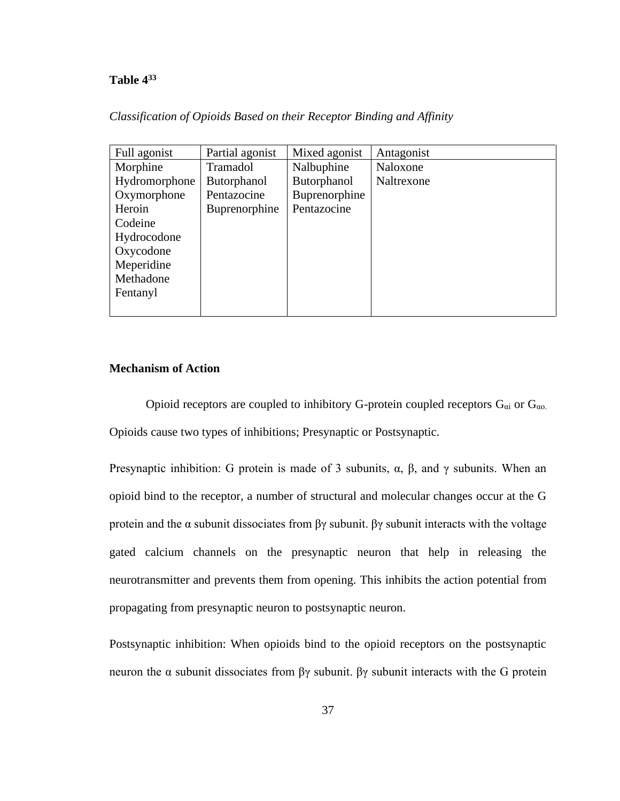## **Table 4<sup>33</sup>**

| Classification of Opioids Based on their Receptor Binding and Affinity |  |  |  |  |  |  |
|------------------------------------------------------------------------|--|--|--|--|--|--|
|------------------------------------------------------------------------|--|--|--|--|--|--|

| Full agonist  | Partial agonist      | Mixed agonist | Antagonist |
|---------------|----------------------|---------------|------------|
| Morphine      | Tramadol             | Nalbuphine    | Naloxone   |
| Hydromorphone | <b>Butorphanol</b>   | Butorphanol   | Naltrexone |
| Oxymorphone   | Pentazocine          | Buprenorphine |            |
| Heroin        | <b>Buprenorphine</b> | Pentazocine   |            |
| Codeine       |                      |               |            |
| Hydrocodone   |                      |               |            |
| Oxycodone     |                      |               |            |
| Meperidine    |                      |               |            |
| Methadone     |                      |               |            |
| Fentanyl      |                      |               |            |
|               |                      |               |            |

## **Mechanism of Action**

Opioid receptors are coupled to inhibitory G-protein coupled receptors  $G_{\alpha i}$  or  $G_{\alpha o}$ . Opioids cause two types of inhibitions; Presynaptic or Postsynaptic.

Presynaptic inhibition: G protein is made of 3 subunits,  $\alpha$ ,  $\beta$ , and  $\gamma$  subunits. When an opioid bind to the receptor, a number of structural and molecular changes occur at the G protein and the α subunit dissociates from βγ subunit. βγ subunit interacts with the voltage gated calcium channels on the presynaptic neuron that help in releasing the neurotransmitter and prevents them from opening. This inhibits the action potential from propagating from presynaptic neuron to postsynaptic neuron.

Postsynaptic inhibition: When opioids bind to the opioid receptors on the postsynaptic neuron the α subunit dissociates from  $βγ$  subunit.  $βγ$  subunit interacts with the G protein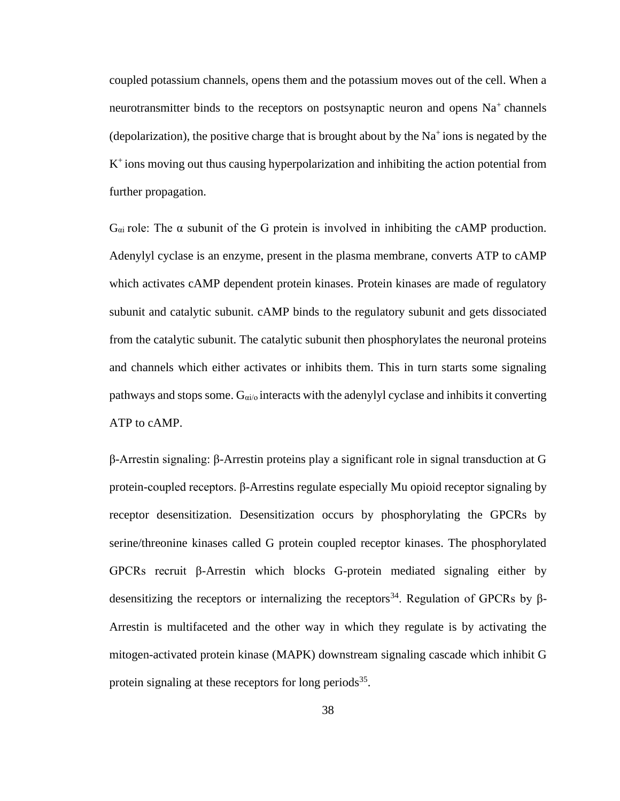coupled potassium channels, opens them and the potassium moves out of the cell. When a neurotransmitter binds to the receptors on postsynaptic neuron and opens  $Na<sup>+</sup>$  channels (depolarization), the positive charge that is brought about by the  $Na<sup>+</sup>$  ions is negated by the K<sup>+</sup> ions moving out thus causing hyperpolarization and inhibiting the action potential from further propagation.

 $G_{\alpha i}$  role: The  $\alpha$  subunit of the G protein is involved in inhibiting the cAMP production. Adenylyl cyclase is an enzyme, present in the plasma membrane, converts ATP to cAMP which activates cAMP dependent protein kinases. Protein kinases are made of regulatory subunit and catalytic subunit. cAMP binds to the regulatory subunit and gets dissociated from the catalytic subunit. The catalytic subunit then phosphorylates the neuronal proteins and channels which either activates or inhibits them. This in turn starts some signaling pathways and stops some.  $G_{\alpha i/\alpha}$  interacts with the adenylyl cyclase and inhibits it converting ATP to cAMP.

β-Arrestin signaling: β-Arrestin proteins play a significant role in signal transduction at G protein-coupled receptors. β-Arrestins regulate especially Mu opioid receptor signaling by receptor desensitization. Desensitization occurs by phosphorylating the GPCRs by serine/threonine kinases called G protein coupled receptor kinases. The phosphorylated GPCRs recruit β-Arrestin which blocks G-protein mediated signaling either by desensitizing the receptors or internalizing the receptors<sup>34</sup>. Regulation of GPCRs by  $\beta$ -Arrestin is multifaceted and the other way in which they regulate is by activating the mitogen-activated protein kinase (MAPK) downstream signaling cascade which inhibit G protein signaling at these receptors for long periods<sup>35</sup>.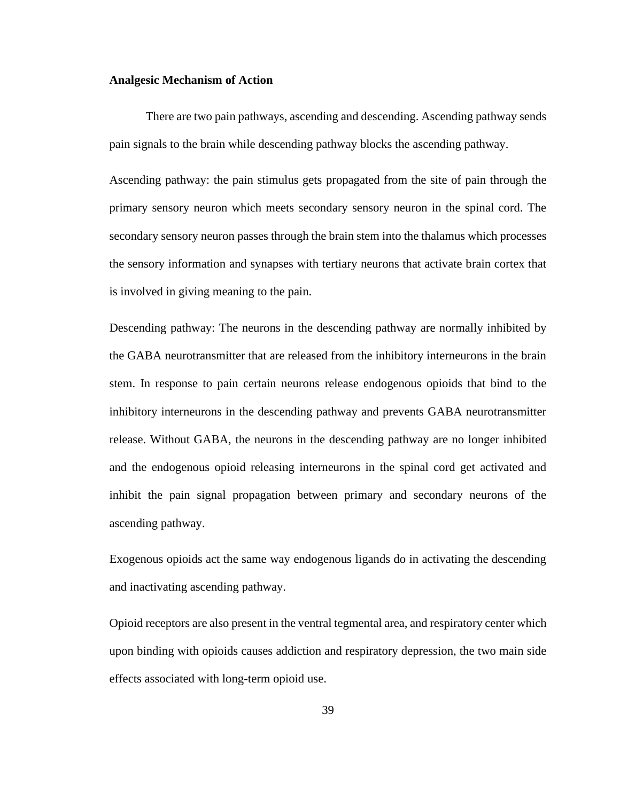#### **Analgesic Mechanism of Action**

There are two pain pathways, ascending and descending. Ascending pathway sends pain signals to the brain while descending pathway blocks the ascending pathway.

Ascending pathway: the pain stimulus gets propagated from the site of pain through the primary sensory neuron which meets secondary sensory neuron in the spinal cord. The secondary sensory neuron passes through the brain stem into the thalamus which processes the sensory information and synapses with tertiary neurons that activate brain cortex that is involved in giving meaning to the pain.

Descending pathway: The neurons in the descending pathway are normally inhibited by the GABA neurotransmitter that are released from the inhibitory interneurons in the brain stem. In response to pain certain neurons release endogenous opioids that bind to the inhibitory interneurons in the descending pathway and prevents GABA neurotransmitter release. Without GABA, the neurons in the descending pathway are no longer inhibited and the endogenous opioid releasing interneurons in the spinal cord get activated and inhibit the pain signal propagation between primary and secondary neurons of the ascending pathway.

Exogenous opioids act the same way endogenous ligands do in activating the descending and inactivating ascending pathway.

Opioid receptors are also present in the ventral tegmental area, and respiratory center which upon binding with opioids causes addiction and respiratory depression, the two main side effects associated with long-term opioid use.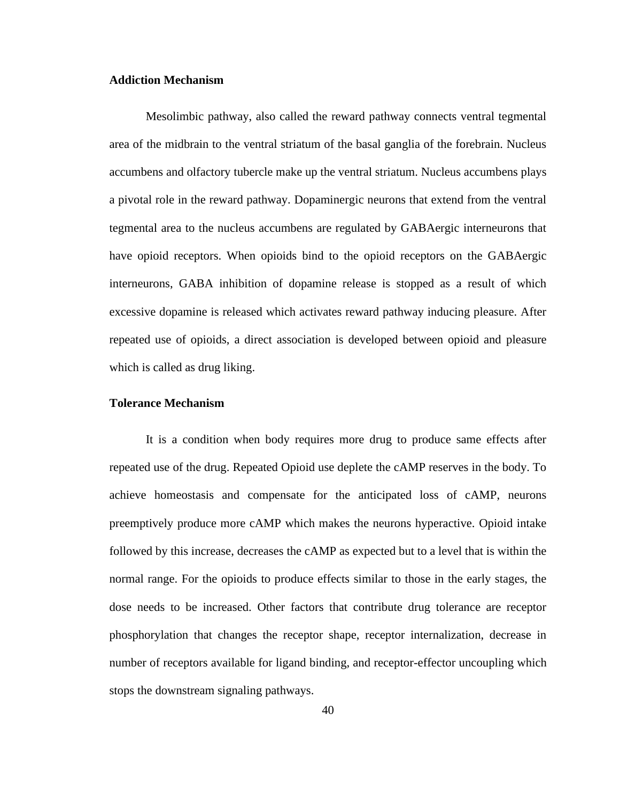#### **Addiction Mechanism**

Mesolimbic pathway, also called the reward pathway connects ventral tegmental area of the midbrain to the ventral striatum of the basal ganglia of the forebrain. Nucleus accumbens and olfactory tubercle make up the ventral striatum. Nucleus accumbens plays a pivotal role in the reward pathway. Dopaminergic neurons that extend from the ventral tegmental area to the nucleus accumbens are regulated by GABAergic interneurons that have opioid receptors. When opioids bind to the opioid receptors on the GABAergic interneurons, GABA inhibition of dopamine release is stopped as a result of which excessive dopamine is released which activates reward pathway inducing pleasure. After repeated use of opioids, a direct association is developed between opioid and pleasure which is called as drug liking.

#### **Tolerance Mechanism**

It is a condition when body requires more drug to produce same effects after repeated use of the drug. Repeated Opioid use deplete the cAMP reserves in the body. To achieve homeostasis and compensate for the anticipated loss of cAMP, neurons preemptively produce more cAMP which makes the neurons hyperactive. Opioid intake followed by this increase, decreases the cAMP as expected but to a level that is within the normal range. For the opioids to produce effects similar to those in the early stages, the dose needs to be increased. Other factors that contribute drug tolerance are receptor phosphorylation that changes the receptor shape, receptor internalization, decrease in number of receptors available for ligand binding, and receptor-effector uncoupling which stops the downstream signaling pathways.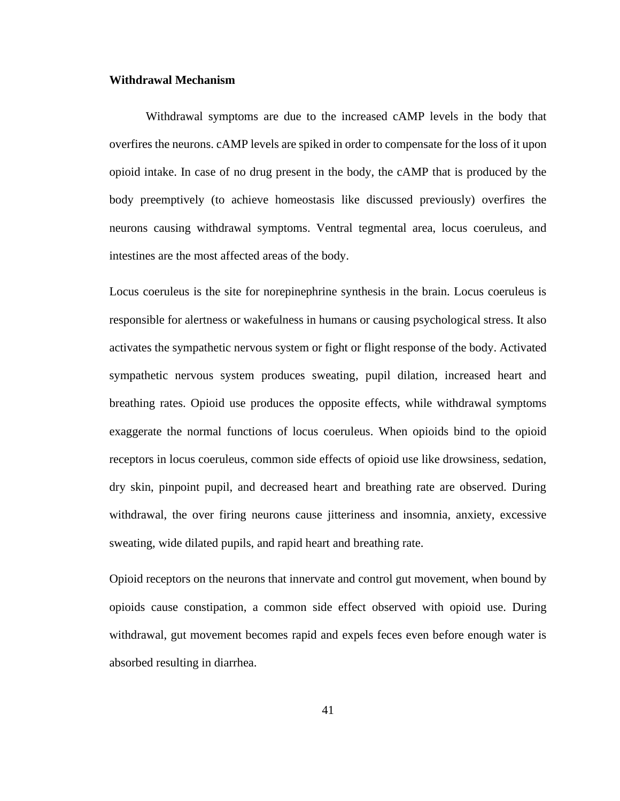#### **Withdrawal Mechanism**

Withdrawal symptoms are due to the increased cAMP levels in the body that overfires the neurons. cAMP levels are spiked in order to compensate for the loss of it upon opioid intake. In case of no drug present in the body, the cAMP that is produced by the body preemptively (to achieve homeostasis like discussed previously) overfires the neurons causing withdrawal symptoms. Ventral tegmental area, locus coeruleus, and intestines are the most affected areas of the body.

Locus coeruleus is the site for norepinephrine synthesis in the brain. Locus coeruleus is responsible for alertness or wakefulness in humans or causing psychological stress. It also activates the sympathetic nervous system or fight or flight response of the body. Activated sympathetic nervous system produces sweating, pupil dilation, increased heart and breathing rates. Opioid use produces the opposite effects, while withdrawal symptoms exaggerate the normal functions of locus coeruleus. When opioids bind to the opioid receptors in locus coeruleus, common side effects of opioid use like drowsiness, sedation, dry skin, pinpoint pupil, and decreased heart and breathing rate are observed. During withdrawal, the over firing neurons cause jitteriness and insomnia, anxiety, excessive sweating, wide dilated pupils, and rapid heart and breathing rate.

Opioid receptors on the neurons that innervate and control gut movement, when bound by opioids cause constipation, a common side effect observed with opioid use. During withdrawal, gut movement becomes rapid and expels feces even before enough water is absorbed resulting in diarrhea.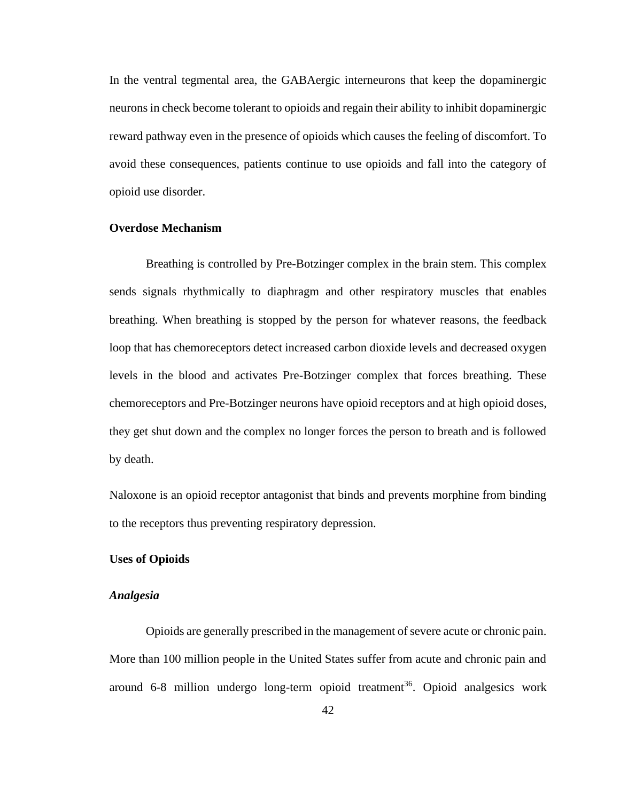In the ventral tegmental area, the GABAergic interneurons that keep the dopaminergic neurons in check become tolerant to opioids and regain their ability to inhibit dopaminergic reward pathway even in the presence of opioids which causes the feeling of discomfort. To avoid these consequences, patients continue to use opioids and fall into the category of opioid use disorder.

## **Overdose Mechanism**

Breathing is controlled by Pre-Botzinger complex in the brain stem. This complex sends signals rhythmically to diaphragm and other respiratory muscles that enables breathing. When breathing is stopped by the person for whatever reasons, the feedback loop that has chemoreceptors detect increased carbon dioxide levels and decreased oxygen levels in the blood and activates Pre-Botzinger complex that forces breathing. These chemoreceptors and Pre-Botzinger neurons have opioid receptors and at high opioid doses, they get shut down and the complex no longer forces the person to breath and is followed by death.

Naloxone is an opioid receptor antagonist that binds and prevents morphine from binding to the receptors thus preventing respiratory depression.

#### **Uses of Opioids**

#### *Analgesia*

Opioids are generally prescribed in the management of severe acute or chronic pain. More than 100 million people in the United States suffer from acute and chronic pain and around 6-8 million undergo long-term opioid treatment<sup>36</sup>. Opioid analgesics work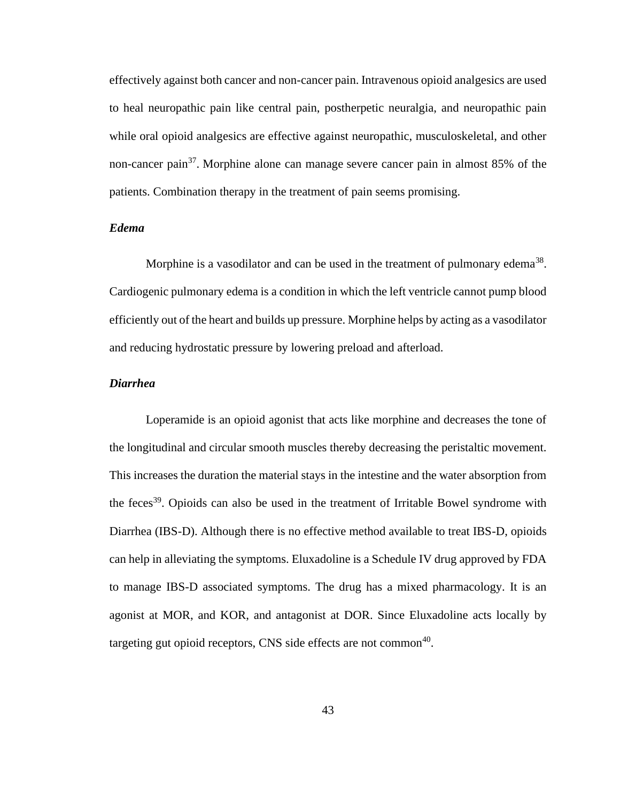effectively against both cancer and non-cancer pain. Intravenous opioid analgesics are used to heal neuropathic pain like central pain, postherpetic neuralgia, and neuropathic pain while oral opioid analgesics are effective against neuropathic, musculoskeletal, and other non-cancer pain<sup>37</sup>. Morphine alone can manage severe cancer pain in almost 85% of the patients. Combination therapy in the treatment of pain seems promising.

## *Edema*

Morphine is a vasodilator and can be used in the treatment of pulmonary edema<sup>38</sup>. Cardiogenic pulmonary edema is a condition in which the left ventricle cannot pump blood efficiently out of the heart and builds up pressure. Morphine helps by acting as a vasodilator and reducing hydrostatic pressure by lowering preload and afterload.

#### *Diarrhea*

Loperamide is an opioid agonist that acts like morphine and decreases the tone of the longitudinal and circular smooth muscles thereby decreasing the peristaltic movement. This increases the duration the material stays in the intestine and the water absorption from the feces<sup>39</sup>. Opioids can also be used in the treatment of Irritable Bowel syndrome with Diarrhea (IBS-D). Although there is no effective method available to treat IBS-D, opioids can help in alleviating the symptoms. Eluxadoline is a Schedule IV drug approved by FDA to manage IBS-D associated symptoms. The drug has a mixed pharmacology. It is an agonist at MOR, and KOR, and antagonist at DOR. Since Eluxadoline acts locally by targeting gut opioid receptors, CNS side effects are not common<sup>40</sup>.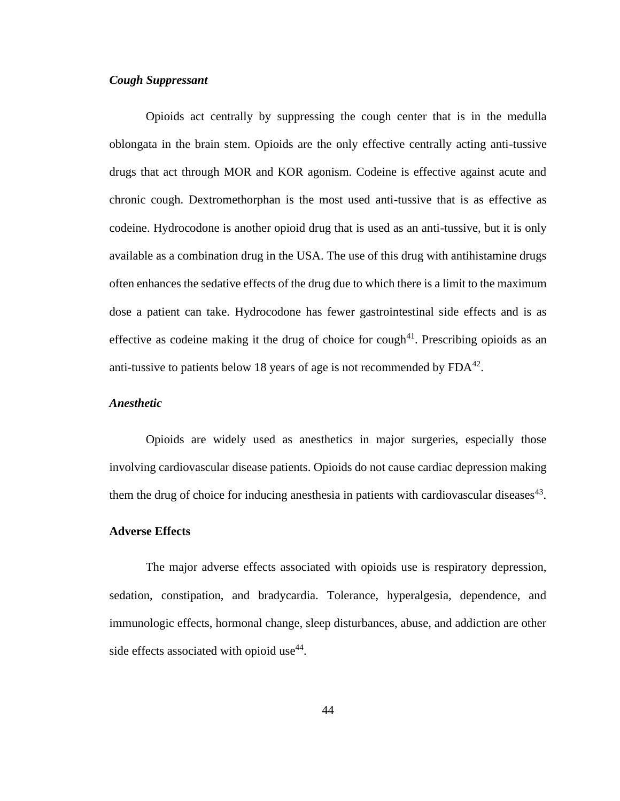#### *Cough Suppressant*

Opioids act centrally by suppressing the cough center that is in the medulla oblongata in the brain stem. Opioids are the only effective centrally acting anti-tussive drugs that act through MOR and KOR agonism. Codeine is effective against acute and chronic cough. Dextromethorphan is the most used anti-tussive that is as effective as codeine. Hydrocodone is another opioid drug that is used as an anti-tussive, but it is only available as a combination drug in the USA. The use of this drug with antihistamine drugs often enhances the sedative effects of the drug due to which there is a limit to the maximum dose a patient can take. Hydrocodone has fewer gastrointestinal side effects and is as effective as codeine making it the drug of choice for cough<sup>41</sup>. Prescribing opioids as an anti-tussive to patients below 18 years of age is not recommended by  $FDA^{42}$ .

#### *Anesthetic*

Opioids are widely used as anesthetics in major surgeries, especially those involving cardiovascular disease patients. Opioids do not cause cardiac depression making them the drug of choice for inducing anesthesia in patients with cardiovascular diseases $43$ .

#### **Adverse Effects**

The major adverse effects associated with opioids use is respiratory depression, sedation, constipation, and bradycardia. Tolerance, hyperalgesia, dependence, and immunologic effects, hormonal change, sleep disturbances, abuse, and addiction are other side effects associated with opioid use<sup>44</sup>.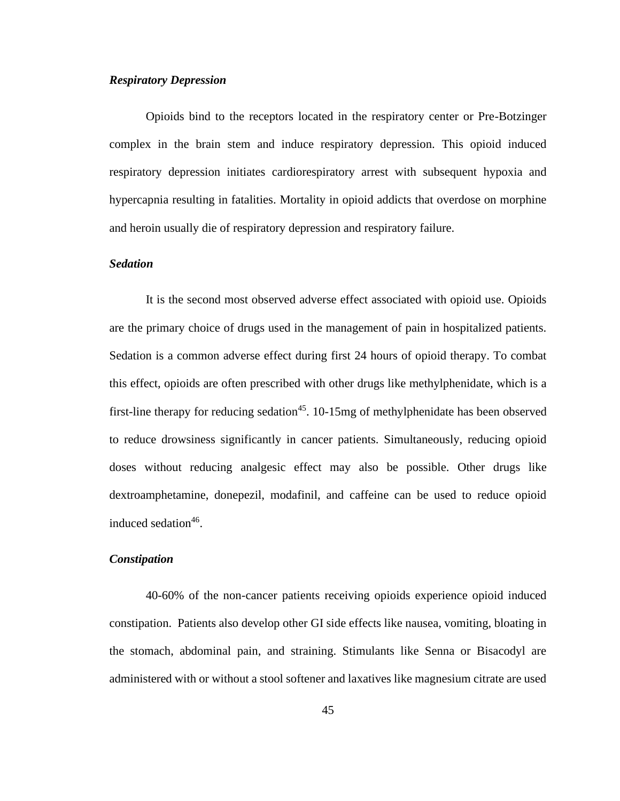## *Respiratory Depression*

Opioids bind to the receptors located in the respiratory center or Pre-Botzinger complex in the brain stem and induce respiratory depression. This opioid induced respiratory depression initiates cardiorespiratory arrest with subsequent hypoxia and hypercapnia resulting in fatalities. Mortality in opioid addicts that overdose on morphine and heroin usually die of respiratory depression and respiratory failure.

#### *Sedation*

It is the second most observed adverse effect associated with opioid use. Opioids are the primary choice of drugs used in the management of pain in hospitalized patients. Sedation is a common adverse effect during first 24 hours of opioid therapy. To combat this effect, opioids are often prescribed with other drugs like methylphenidate, which is a first-line therapy for reducing sedation<sup>45</sup>. 10-15mg of methylphenidate has been observed to reduce drowsiness significantly in cancer patients. Simultaneously, reducing opioid doses without reducing analgesic effect may also be possible. Other drugs like dextroamphetamine, donepezil, modafinil, and caffeine can be used to reduce opioid induced sedation<sup>46</sup>.

#### *Constipation*

40-60% of the non-cancer patients receiving opioids experience opioid induced constipation. Patients also develop other GI side effects like nausea, vomiting, bloating in the stomach, abdominal pain, and straining. Stimulants like Senna or Bisacodyl are administered with or without a stool softener and laxatives like magnesium citrate are used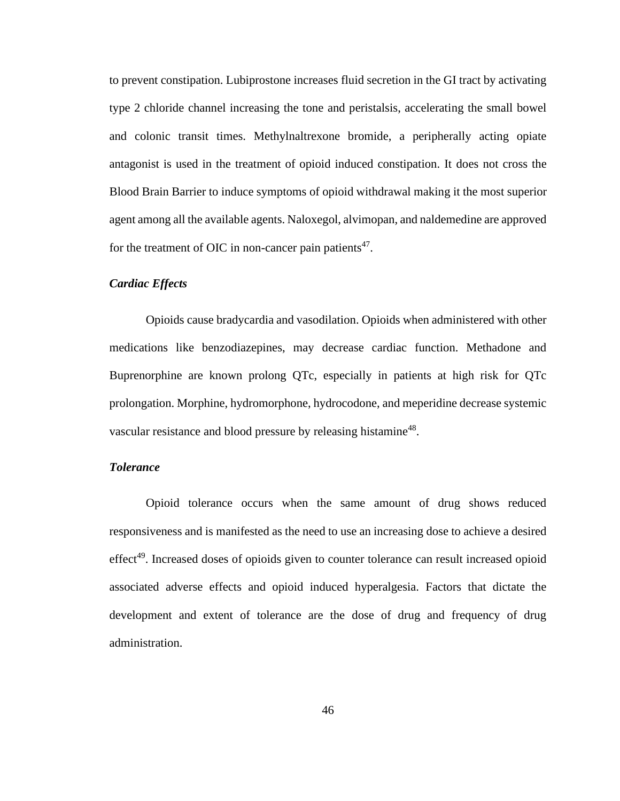to prevent constipation. Lubiprostone increases fluid secretion in the GI tract by activating type 2 chloride channel increasing the tone and peristalsis, accelerating the small bowel and colonic transit times. Methylnaltrexone bromide, a peripherally acting opiate antagonist is used in the treatment of opioid induced constipation. It does not cross the Blood Brain Barrier to induce symptoms of opioid withdrawal making it the most superior agent among all the available agents. Naloxegol, alvimopan, and naldemedine are approved for the treatment of OIC in non-cancer pain patients $47$ .

#### *Cardiac Effects*

Opioids cause bradycardia and vasodilation. Opioids when administered with other medications like benzodiazepines, may decrease cardiac function. Methadone and Buprenorphine are known prolong QTc, especially in patients at high risk for QTc prolongation. Morphine, hydromorphone, hydrocodone, and meperidine decrease systemic vascular resistance and blood pressure by releasing histamine<sup>48</sup>.

#### *Tolerance*

Opioid tolerance occurs when the same amount of drug shows reduced responsiveness and is manifested as the need to use an increasing dose to achieve a desired effect<sup>49</sup>. Increased doses of opioids given to counter tolerance can result increased opioid associated adverse effects and opioid induced hyperalgesia. Factors that dictate the development and extent of tolerance are the dose of drug and frequency of drug administration.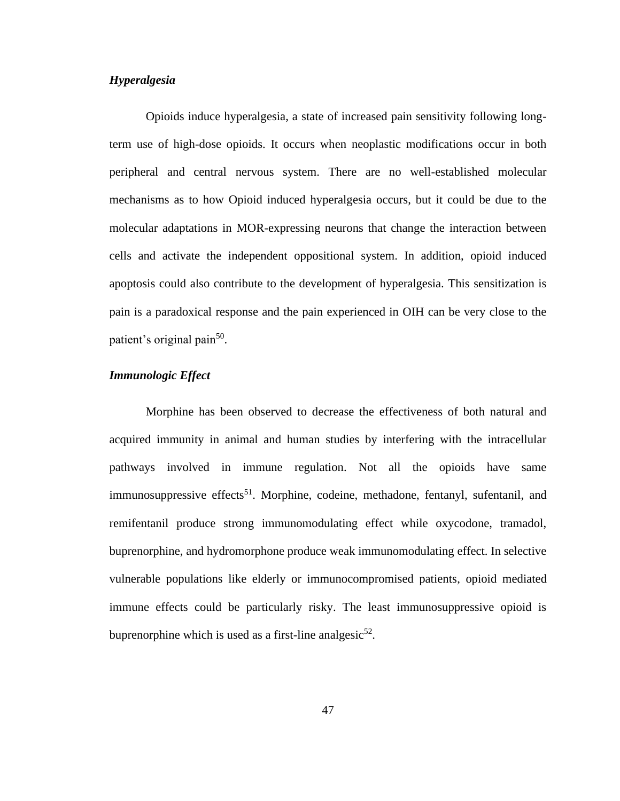## *Hyperalgesia*

Opioids induce hyperalgesia, a state of increased pain sensitivity following longterm use of high-dose opioids. It occurs when neoplastic modifications occur in both peripheral and central nervous system. There are no well-established molecular mechanisms as to how Opioid induced hyperalgesia occurs, but it could be due to the molecular adaptations in MOR-expressing neurons that change the interaction between cells and activate the independent oppositional system. In addition, opioid induced apoptosis could also contribute to the development of hyperalgesia. This sensitization is pain is a paradoxical response and the pain experienced in OIH can be very close to the patient's original pain<sup>50</sup>.

## *Immunologic Effect*

Morphine has been observed to decrease the effectiveness of both natural and acquired immunity in animal and human studies by interfering with the intracellular pathways involved in immune regulation. Not all the opioids have same immunosuppressive effects<sup>51</sup>. Morphine, codeine, methadone, fentanyl, sufentanil, and remifentanil produce strong immunomodulating effect while oxycodone, tramadol, buprenorphine, and hydromorphone produce weak immunomodulating effect. In selective vulnerable populations like elderly or immunocompromised patients, opioid mediated immune effects could be particularly risky. The least immunosuppressive opioid is buprenorphine which is used as a first-line analgesic $52$ .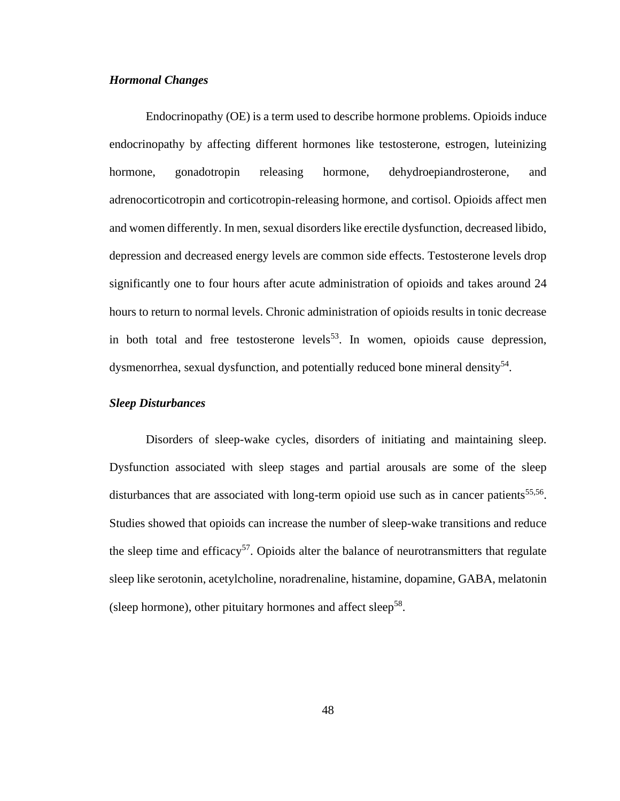## *Hormonal Changes*

Endocrinopathy (OE) is a term used to describe hormone problems. Opioids induce endocrinopathy by affecting different hormones like testosterone, estrogen, luteinizing hormone, gonadotropin releasing hormone, dehydroepiandrosterone, and adrenocorticotropin and corticotropin-releasing hormone, and cortisol. Opioids affect men and women differently. In men, sexual disorders like erectile dysfunction, decreased libido, depression and decreased energy levels are common side effects. Testosterone levels drop significantly one to four hours after acute administration of opioids and takes around 24 hours to return to normal levels. Chronic administration of opioids results in tonic decrease in both total and free testosterone levels<sup>53</sup>. In women, opioids cause depression, dysmenorrhea, sexual dysfunction, and potentially reduced bone mineral density<sup>54</sup>.

#### *Sleep Disturbances*

Disorders of sleep-wake cycles, disorders of initiating and maintaining sleep. Dysfunction associated with sleep stages and partial arousals are some of the sleep disturbances that are associated with long-term opioid use such as in cancer patients<sup>55,56</sup>. Studies showed that opioids can increase the number of sleep-wake transitions and reduce the sleep time and efficacy<sup>57</sup>. Opioids alter the balance of neurotransmitters that regulate sleep like serotonin, acetylcholine, noradrenaline, histamine, dopamine, GABA, melatonin (sleep hormone), other pituitary hormones and affect sleep<sup>58</sup>.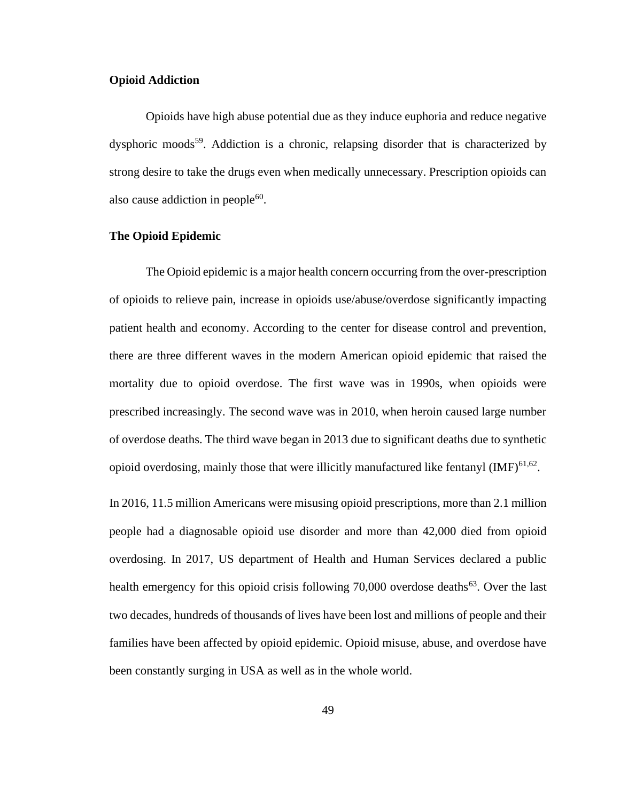#### **Opioid Addiction**

Opioids have high abuse potential due as they induce euphoria and reduce negative dysphoric moods<sup>59</sup>. Addiction is a chronic, relapsing disorder that is characterized by strong desire to take the drugs even when medically unnecessary. Prescription opioids can also cause addiction in people $^{60}$ .

#### **The Opioid Epidemic**

The Opioid epidemic is a major health concern occurring from the over-prescription of opioids to relieve pain, increase in opioids use/abuse/overdose significantly impacting patient health and economy. According to the center for disease control and prevention, there are three different waves in the modern American opioid epidemic that raised the mortality due to opioid overdose. The first wave was in 1990s, when opioids were prescribed increasingly. The second wave was in 2010, when heroin caused large number of overdose deaths. The third wave began in 2013 due to significant deaths due to synthetic opioid overdosing, mainly those that were illicitly manufactured like fentanyl  $(MF)^{61,62}$ .

In 2016, 11.5 million Americans were misusing opioid prescriptions, more than 2.1 million people had a diagnosable opioid use disorder and more than 42,000 died from opioid overdosing. In 2017, US department of Health and Human Services declared a public health emergency for this opioid crisis following 70,000 overdose deaths<sup>63</sup>. Over the last two decades, hundreds of thousands of lives have been lost and millions of people and their families have been affected by opioid epidemic. Opioid misuse, abuse, and overdose have been constantly surging in USA as well as in the whole world.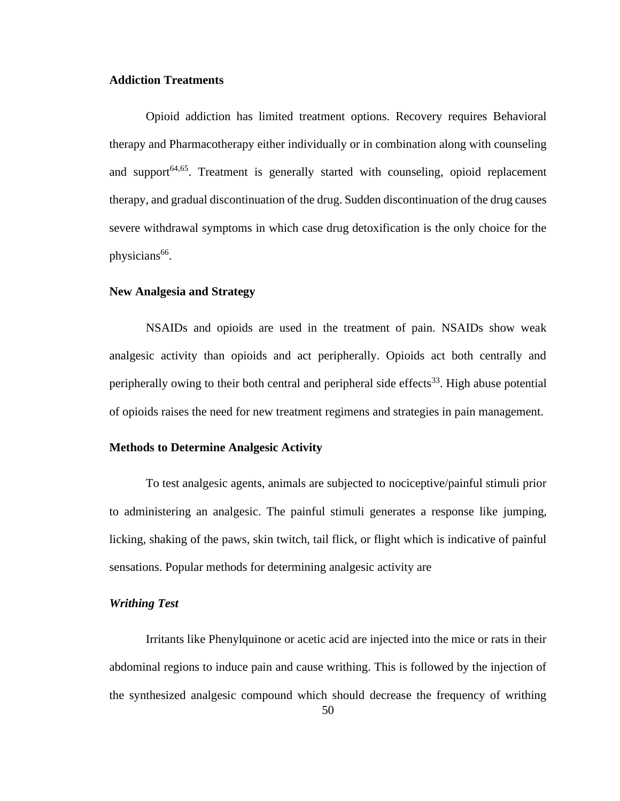#### **Addiction Treatments**

Opioid addiction has limited treatment options. Recovery requires Behavioral therapy and Pharmacotherapy either individually or in combination along with counseling and support $64,65$ . Treatment is generally started with counseling, opioid replacement therapy, and gradual discontinuation of the drug. Sudden discontinuation of the drug causes severe withdrawal symptoms in which case drug detoxification is the only choice for the physicians<sup>66</sup>.

#### **New Analgesia and Strategy**

NSAIDs and opioids are used in the treatment of pain. NSAIDs show weak analgesic activity than opioids and act peripherally. Opioids act both centrally and peripherally owing to their both central and peripheral side effects<sup>33</sup>. High abuse potential of opioids raises the need for new treatment regimens and strategies in pain management.

#### **Methods to Determine Analgesic Activity**

To test analgesic agents, animals are subjected to nociceptive/painful stimuli prior to administering an analgesic. The painful stimuli generates a response like jumping, licking, shaking of the paws, skin twitch, tail flick, or flight which is indicative of painful sensations. Popular methods for determining analgesic activity are

#### *Writhing Test*

Irritants like Phenylquinone or acetic acid are injected into the mice or rats in their abdominal regions to induce pain and cause writhing. This is followed by the injection of the synthesized analgesic compound which should decrease the frequency of writhing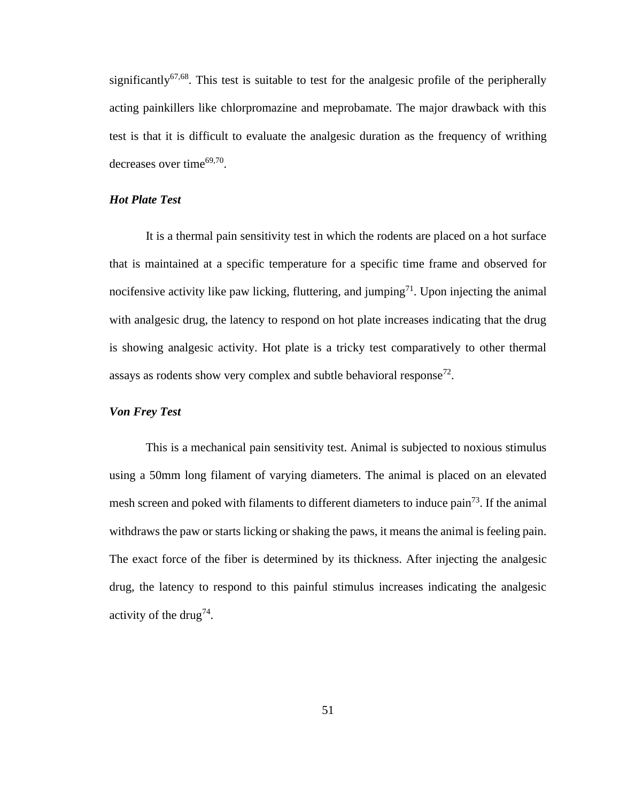significantly<sup>67,68</sup>. This test is suitable to test for the analgesic profile of the peripherally acting painkillers like chlorpromazine and meprobamate. The major drawback with this test is that it is difficult to evaluate the analgesic duration as the frequency of writhing decreases over time $^{69,70}$ .

## *Hot Plate Test*

It is a thermal pain sensitivity test in which the rodents are placed on a hot surface that is maintained at a specific temperature for a specific time frame and observed for nocifensive activity like paw licking, fluttering, and jumping<sup>71</sup>. Upon injecting the animal with analgesic drug, the latency to respond on hot plate increases indicating that the drug is showing analgesic activity. Hot plate is a tricky test comparatively to other thermal assays as rodents show very complex and subtle behavioral response<sup>72</sup>.

#### *Von Frey Test*

This is a mechanical pain sensitivity test. Animal is subjected to noxious stimulus using a 50mm long filament of varying diameters. The animal is placed on an elevated mesh screen and poked with filaments to different diameters to induce pain<sup>73</sup>. If the animal withdraws the paw or starts licking or shaking the paws, it means the animal is feeling pain. The exact force of the fiber is determined by its thickness. After injecting the analgesic drug, the latency to respond to this painful stimulus increases indicating the analgesic activity of the drug<sup>74</sup>.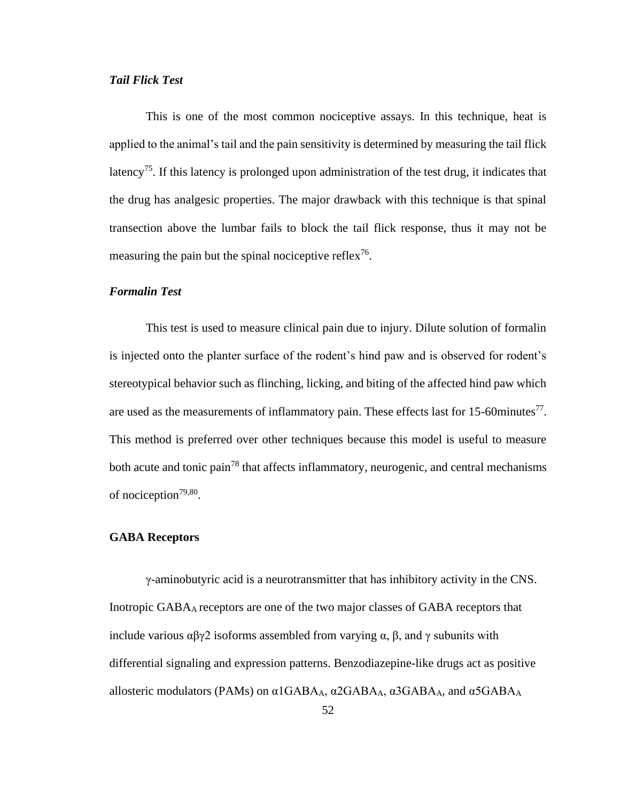#### *Tail Flick Test*

This is one of the most common nociceptive assays. In this technique, heat is applied to the animal's tail and the pain sensitivity is determined by measuring the tail flick latency<sup>75</sup>. If this latency is prolonged upon administration of the test drug, it indicates that the drug has analgesic properties. The major drawback with this technique is that spinal transection above the lumbar fails to block the tail flick response, thus it may not be measuring the pain but the spinal nociceptive reflex<sup>76</sup>.

#### *Formalin Test*

This test is used to measure clinical pain due to injury. Dilute solution of formalin is injected onto the planter surface of the rodent's hind paw and is observed for rodent's stereotypical behavior such as flinching, licking, and biting of the affected hind paw which are used as the measurements of inflammatory pain. These effects last for 15-60minutes $^{77}$ . This method is preferred over other techniques because this model is useful to measure both acute and tonic pain<sup>78</sup> that affects inflammatory, neurogenic, and central mechanisms of nociception<sup>79,80</sup>.

#### **GABA Receptors**

γ-aminobutyric acid is a neurotransmitter that has inhibitory activity in the CNS. Inotropic GABAA receptors are one of the two major classes of GABA receptors that include various  $\alpha\beta\gamma$ 2 isoforms assembled from varying  $\alpha$ ,  $\beta$ , and  $\gamma$  subunits with differential signaling and expression patterns. Benzodiazepine-like drugs act as positive allosteric modulators (PAMs) on  $\alpha$ 1GABA<sub>A</sub>,  $\alpha$ 2GABA<sub>A</sub>,  $\alpha$ 3GABA<sub>A</sub>, and  $\alpha$ 5GABA<sub>A</sub>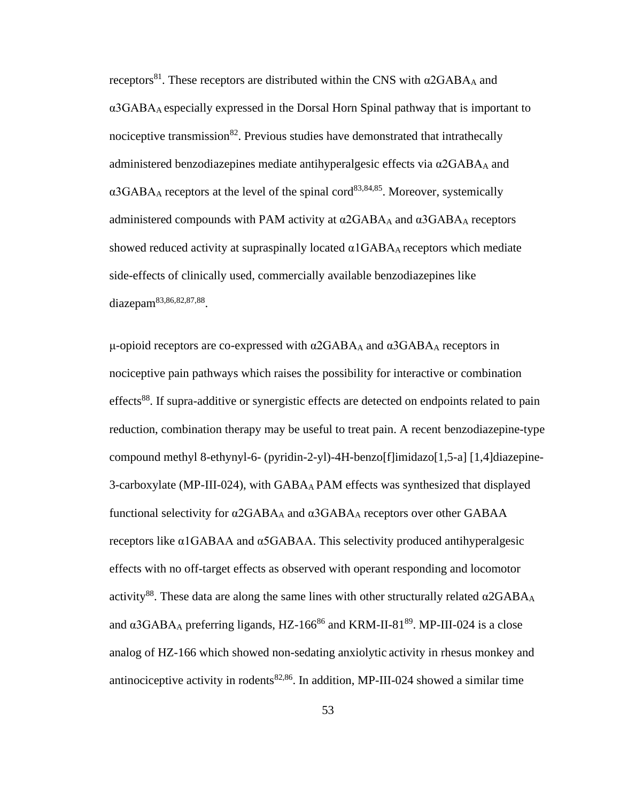<span id="page-64-1"></span><span id="page-64-0"></span>receptors<sup>81</sup>. These receptors are distributed within the CNS with  $α2GABA<sub>A</sub>$  and  $\alpha$ 3GABA<sub>A</sub> especially expressed in the Dorsal Horn Spinal pathway that is important to nociceptive transmission<sup>82</sup>. Previous studies have demonstrated that intrathecally administered benzodiazepines mediate antihyperalgesic effects via  $\alpha$ 2GABA<sub>A</sub> and  $\alpha$ 3GABA<sub>A</sub> receptors at the level of the spinal cord<sup>83,84,85</sup>. Moreover, systemically administered compounds with PAM activity at α2GABA<sup>A</sup> and α3GABA<sup>A</sup> receptors showed reduced activity at supraspinally located  $\alpha$ 1GABA<sub>A</sub> receptors which mediate side-effects of clinically used, commercially available benzodiazepines like diazepam<sup>[83,8](#page-64-0)[6,82,](#page-64-1)87,88</sup>.

<span id="page-64-3"></span><span id="page-64-2"></span>μ-opioid receptors are co-expressed with  $α2GABA<sub>A</sub>$  and  $α3GABA<sub>A</sub>$  receptors in nociceptive pain pathways which raises the possibility for interactive or combination effects<sup>[88](#page-64-2)</sup>. If supra-additive or synergistic effects are detected on endpoints related to pain reduction, combination therapy may be useful to treat pain. A recent benzodiazepine-type compound methyl 8-ethynyl-6- (pyridin-2-yl)-4H-benzo[f]imidazo[1,5-a] [1,4]diazepine-3-carboxylate (MP-III-024), with GABAA PAM effects was synthesized that displayed functional selectivity for  $α2GABA_A$  and  $α3GABA_A$  receptors over other GABAA receptors like α1GABAA and α5GABAA. This selectivity produced antihyperalgesic effects with no off-target effects as observed with operant responding and locomotor activity<sup>[88](#page-64-2)</sup>. These data are along the same lines with other structurally related  $\alpha$ 2GABA<sub>A</sub> and  $\alpha$ 3GABA<sub>A</sub> preferring ligands, HZ-166<sup>[86](#page-64-3)</sup> and KRM-II-81<sup>89</sup>. MP-III-024 is a close analog of HZ-166 which showed non-sedating anxiolytic activity in rhesus monkey and antinociceptive activity in rodents<sup>[82](#page-64-1)[,86](#page-64-3)</sup>. In addition, MP-III-024 showed a similar time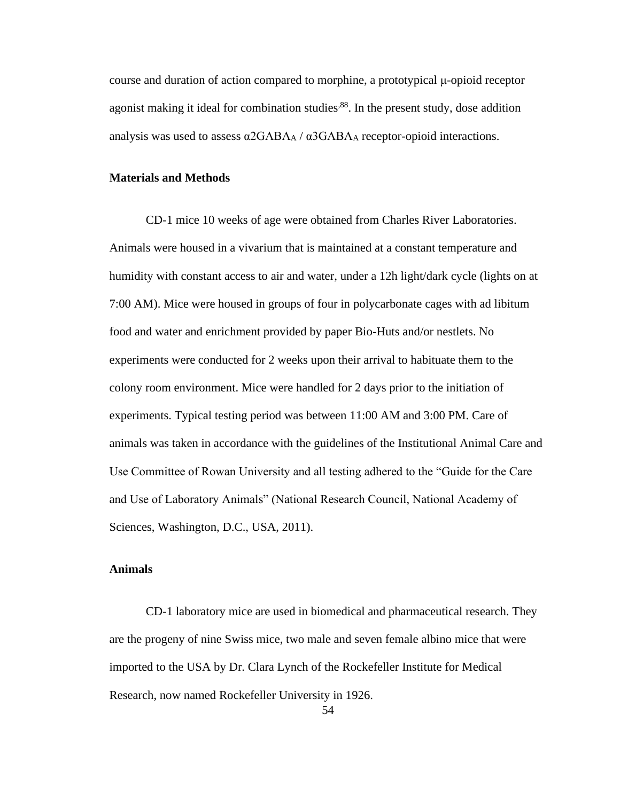course and duration of action compared to morphine, a prototypical μ-opioid receptor agonist making it ideal for combination studies<sup>88</sup>. In the present study, dose addition analysis was used to assess  $\alpha$ 2GABA<sub>A</sub> /  $\alpha$ 3GABA<sub>A</sub> receptor-opioid interactions.

## **Materials and Methods**

CD-1 mice 10 weeks of age were obtained from Charles River Laboratories. Animals were housed in a vivarium that is maintained at a constant temperature and humidity with constant access to air and water, under a 12h light/dark cycle (lights on at 7:00 AM). Mice were housed in groups of four in polycarbonate cages with ad libitum food and water and enrichment provided by paper Bio-Huts and/or nestlets. No experiments were conducted for 2 weeks upon their arrival to habituate them to the colony room environment. Mice were handled for 2 days prior to the initiation of experiments. Typical testing period was between 11:00 AM and 3:00 PM. Care of animals was taken in accordance with the guidelines of the Institutional Animal Care and Use Committee of Rowan University and all testing adhered to the "Guide for the Care and Use of Laboratory Animals" (National Research Council, National Academy of Sciences, Washington, D.C., USA, 2011).

#### **Animals**

CD-1 laboratory mice are used in biomedical and pharmaceutical research. They are the progeny of nine Swiss mice, two male and seven female albino mice that were imported to the USA by Dr. Clara Lynch of the Rockefeller Institute for Medical Research, now named Rockefeller University in 1926.

54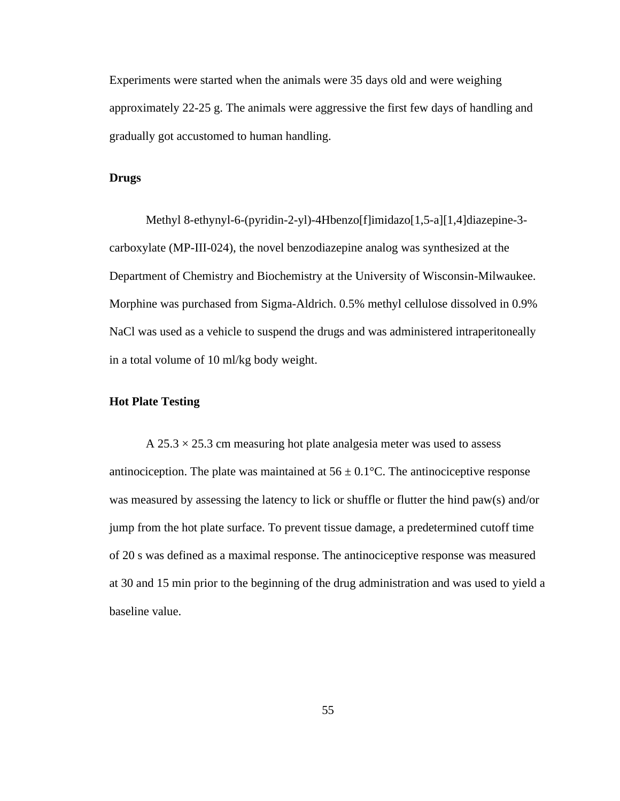Experiments were started when the animals were 35 days old and were weighing approximately 22-25 g. The animals were aggressive the first few days of handling and gradually got accustomed to human handling.

#### **Drugs**

Methyl 8-ethynyl-6-(pyridin-2-yl)-4Hbenzo[f]imidazo[1,5-a][1,4]diazepine-3 carboxylate (MP-III-024), the novel benzodiazepine analog was synthesized at the Department of Chemistry and Biochemistry at the University of Wisconsin-Milwaukee. Morphine was purchased from Sigma-Aldrich. 0.5% methyl cellulose dissolved in 0.9% NaCl was used as a vehicle to suspend the drugs and was administered intraperitoneally in a total volume of 10 ml/kg body weight.

#### **Hot Plate Testing**

A  $25.3 \times 25.3$  cm measuring hot plate analgesia meter was used to assess antinociception. The plate was maintained at  $56 \pm 0.1$ °C. The antinociceptive response was measured by assessing the latency to lick or shuffle or flutter the hind paw(s) and/or jump from the hot plate surface. To prevent tissue damage, a predetermined cutoff time of 20 s was defined as a maximal response. The antinociceptive response was measured at 30 and 15 min prior to the beginning of the drug administration and was used to yield a baseline value.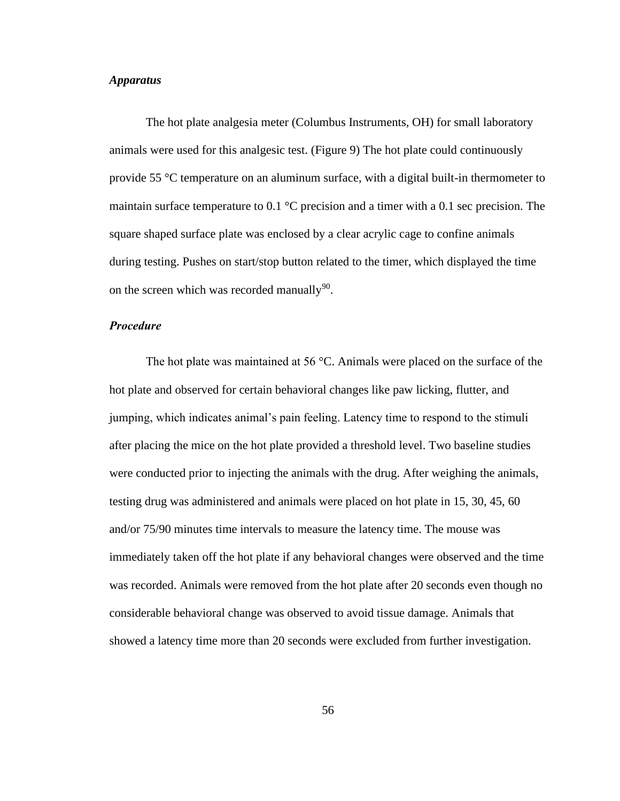### *Apparatus*

The hot plate analgesia meter (Columbus Instruments, OH) for small laboratory animals were used for this analgesic test. (Figure 9) The hot plate could continuously provide 55 °C temperature on an aluminum surface, with a digital built-in thermometer to maintain surface temperature to 0.1  $^{\circ}$ C precision and a timer with a 0.1 sec precision. The square shaped surface plate was enclosed by a clear acrylic cage to confine animals during testing. Pushes on start/stop button related to the timer, which displayed the time on the screen which was recorded manually $90$ .

#### *Procedure*

The hot plate was maintained at 56 °C. Animals were placed on the surface of the hot plate and observed for certain behavioral changes like paw licking, flutter, and jumping, which indicates animal's pain feeling. Latency time to respond to the stimuli after placing the mice on the hot plate provided a threshold level. Two baseline studies were conducted prior to injecting the animals with the drug. After weighing the animals, testing drug was administered and animals were placed on hot plate in 15, 30, 45, 60 and/or 75/90 minutes time intervals to measure the latency time. The mouse was immediately taken off the hot plate if any behavioral changes were observed and the time was recorded. Animals were removed from the hot plate after 20 seconds even though no considerable behavioral change was observed to avoid tissue damage. Animals that showed a latency time more than 20 seconds were excluded from further investigation.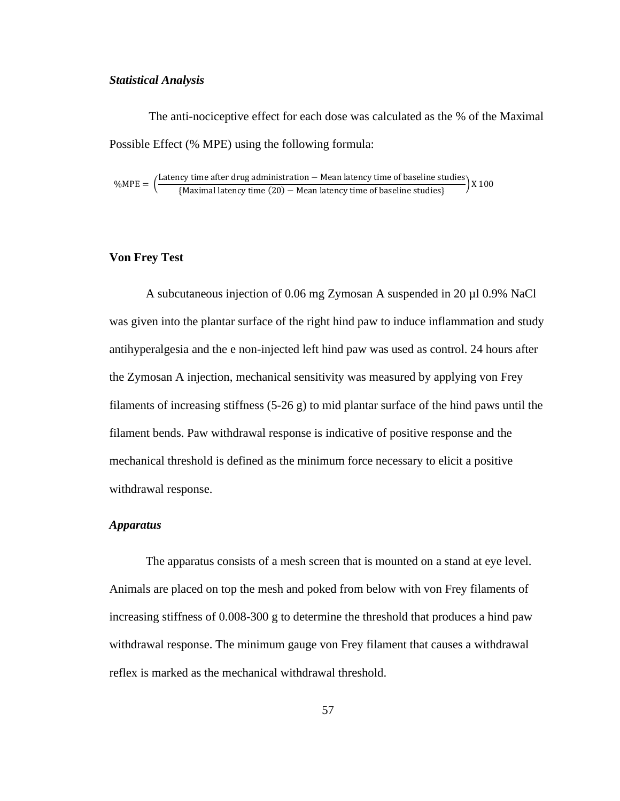#### *Statistical Analysis*

The anti-nociceptive effect for each dose was calculated as the % of the Maximal Possible Effect (% MPE) using the following formula:

%MPE =  $\frac{\text{Latency time after drug administration} - \text{Mean latency time of baseline studies}}{\text{Mearities.} (20) - \text{Mear letters time of baseline studies}}$ (Maximal latency time (20) − Mean latency time of baseline studies} X 100

#### **Von Frey Test**

A subcutaneous injection of 0.06 mg Zymosan A suspended in 20 µl 0.9% NaCl was given into the plantar surface of the right hind paw to induce inflammation and study antihyperalgesia and the e non-injected left hind paw was used as control. 24 hours after the Zymosan A injection, mechanical sensitivity was measured by applying von Frey filaments of increasing stiffness  $(5-26 g)$  to mid plantar surface of the hind paws until the filament bends. Paw withdrawal response is indicative of positive response and the mechanical threshold is defined as the minimum force necessary to elicit a positive withdrawal response.

#### *Apparatus*

The apparatus consists of a mesh screen that is mounted on a stand at eye level. Animals are placed on top the mesh and poked from below with von Frey filaments of increasing stiffness of 0.008-300 g to determine the threshold that produces a hind paw withdrawal response. The minimum gauge von Frey filament that causes a withdrawal reflex is marked as the mechanical withdrawal threshold.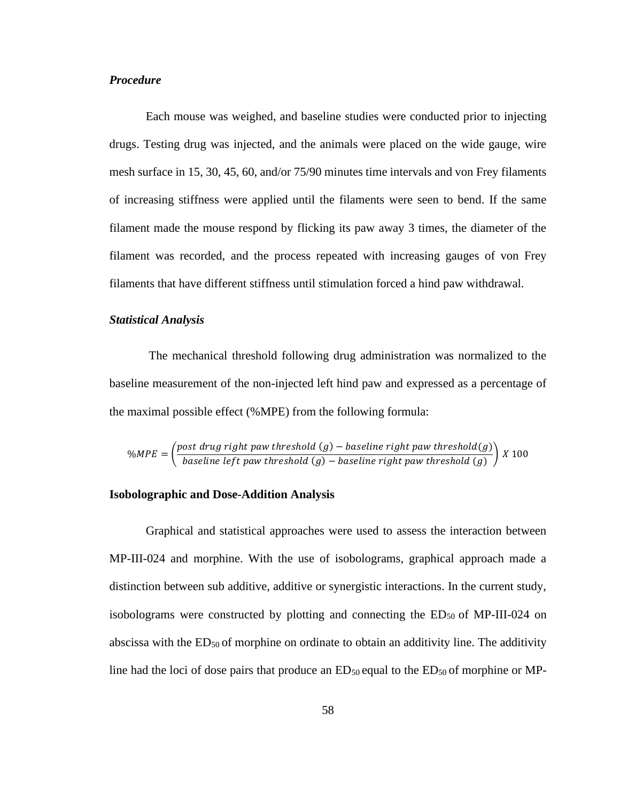#### *Procedure*

Each mouse was weighed, and baseline studies were conducted prior to injecting drugs. Testing drug was injected, and the animals were placed on the wide gauge, wire mesh surface in 15, 30, 45, 60, and/or 75/90 minutes time intervals and von Frey filaments of increasing stiffness were applied until the filaments were seen to bend. If the same filament made the mouse respond by flicking its paw away 3 times, the diameter of the filament was recorded, and the process repeated with increasing gauges of von Frey filaments that have different stiffness until stimulation forced a hind paw withdrawal.

#### *Statistical Analysis*

The mechanical threshold following drug administration was normalized to the baseline measurement of the non-injected left hind paw and expressed as a percentage of the maximal possible effect (%MPE) from the following formula:

$$
\%MPE = \left(\frac{post \; drug \; right \; paw \; threshold \; (g) - baseline \; right \; paw \; threshold \; (g)}{baseline \; left \; paw \; threshold \; (g) - baseline \; right \; paw \; threshold \; (g)}\right) \; X \; 100
$$

#### **Isobolographic and Dose-Addition Analysis**

Graphical and statistical approaches were used to assess the interaction between MP-III-024 and morphine. With the use of isobolograms, graphical approach made a distinction between sub additive, additive or synergistic interactions. In the current study, isobolograms were constructed by plotting and connecting the  $ED_{50}$  of MP-III-024 on abscissa with the  $ED_{50}$  of morphine on ordinate to obtain an additivity line. The additivity line had the loci of dose pairs that produce an  $ED_{50}$  equal to the  $ED_{50}$  of morphine or MP-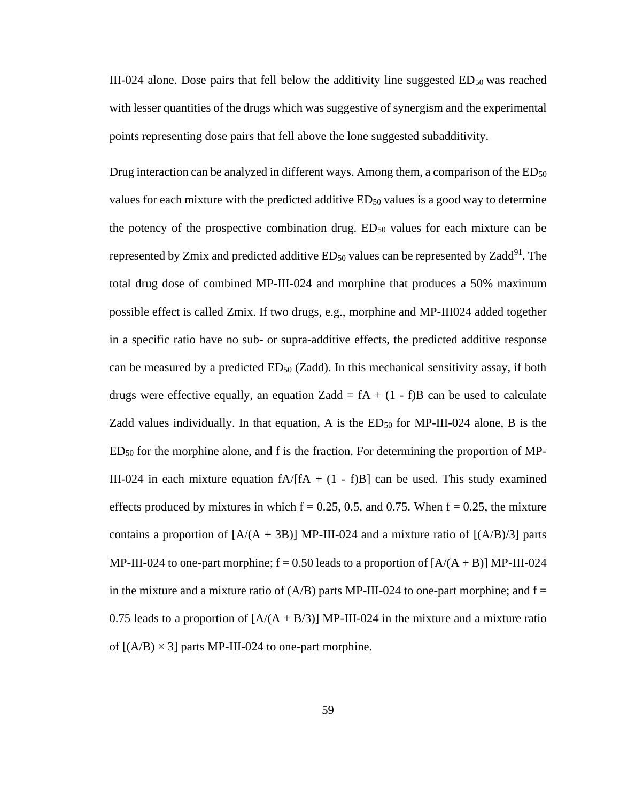III-024 alone. Dose pairs that fell below the additivity line suggested ED50 was reached with lesser quantities of the drugs which was suggestive of synergism and the experimental points representing dose pairs that fell above the lone suggested subadditivity.

Drug interaction can be analyzed in different ways. Among them, a comparison of the  $ED_{50}$ values for each mixture with the predicted additive  $ED<sub>50</sub>$  values is a good way to determine the potency of the prospective combination drug.  $ED_{50}$  values for each mixture can be represented by Zmix and predicted additive  $ED_{50}$  values can be represented by Zadd<sup>91</sup>. The total drug dose of combined MP-III-024 and morphine that produces a 50% maximum possible effect is called Zmix. If two drugs, e.g., morphine and MP-III024 added together in a specific ratio have no sub- or supra-additive effects, the predicted additive response can be measured by a predicted  $ED_{50}$  (Zadd). In this mechanical sensitivity assay, if both drugs were effective equally, an equation Zadd =  $fA + (1 - f)B$  can be used to calculate Zadd values individually. In that equation, A is the  $ED<sub>50</sub>$  for MP-III-024 alone, B is the  $ED_{50}$  for the morphine alone, and f is the fraction. For determining the proportion of MP-III-024 in each mixture equation  $fA/[fA + (1 - f)B]$  can be used. This study examined effects produced by mixtures in which  $f = 0.25, 0.5$ , and 0.75. When  $f = 0.25$ , the mixture contains a proportion of  $[A/(A + 3B)]$  MP-III-024 and a mixture ratio of  $[(A/B)/3]$  parts MP-III-024 to one-part morphine;  $f = 0.50$  leads to a proportion of  $[A/(A + B)]$  MP-III-024 in the mixture and a mixture ratio of  $(A/B)$  parts MP-III-024 to one-part morphine; and  $f =$ 0.75 leads to a proportion of  $[A/(A + B/3)]$  MP-III-024 in the mixture and a mixture ratio of  $[(A/B) \times 3]$  parts MP-III-024 to one-part morphine.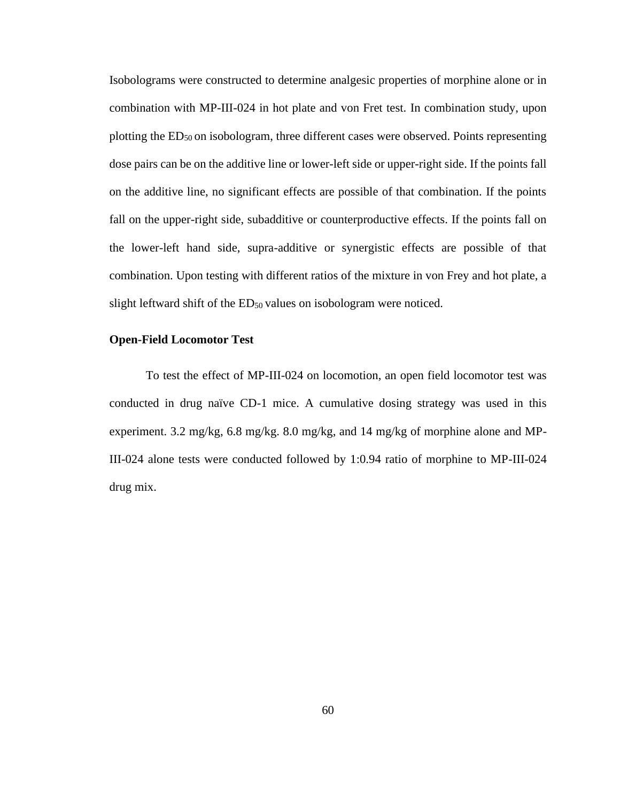Isobolograms were constructed to determine analgesic properties of morphine alone or in combination with MP-III-024 in hot plate and von Fret test. In combination study, upon plotting the ED50 on isobologram, three different cases were observed. Points representing dose pairs can be on the additive line or lower-left side or upper-right side. If the points fall on the additive line, no significant effects are possible of that combination. If the points fall on the upper-right side, subadditive or counterproductive effects. If the points fall on the lower-left hand side, supra-additive or synergistic effects are possible of that combination. Upon testing with different ratios of the mixture in von Frey and hot plate, a slight leftward shift of the  $ED<sub>50</sub>$  values on isobologram were noticed.

#### **Open-Field Locomotor Test**

To test the effect of MP-III-024 on locomotion, an open field locomotor test was conducted in drug naïve CD-1 mice. A cumulative dosing strategy was used in this experiment. 3.2 mg/kg, 6.8 mg/kg. 8.0 mg/kg, and 14 mg/kg of morphine alone and MP-III-024 alone tests were conducted followed by 1:0.94 ratio of morphine to MP-III-024 drug mix.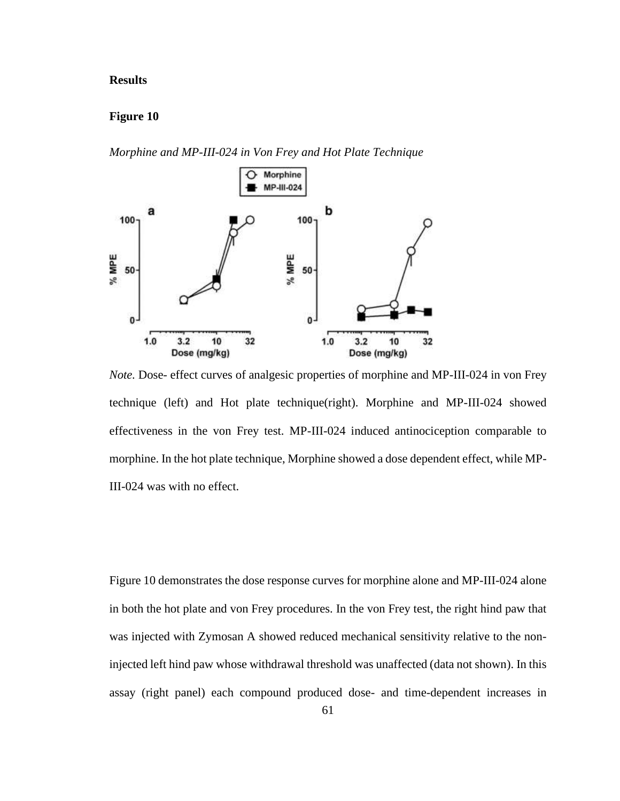### **Results**

### **Figure 10**

*Morphine and MP-III-024 in Von Frey and Hot Plate Technique*



*Note.* Dose- effect curves of analgesic properties of morphine and MP-III-024 in von Frey technique (left) and Hot plate technique(right). Morphine and MP-III-024 showed effectiveness in the von Frey test. MP-III-024 induced antinociception comparable to morphine. In the hot plate technique, Morphine showed a dose dependent effect, while MP-III-024 was with no effect.

Figure 10 demonstrates the dose response curves for morphine alone and MP-III-024 alone in both the hot plate and von Frey procedures. In the von Frey test, the right hind paw that was injected with Zymosan A showed reduced mechanical sensitivity relative to the noninjected left hind paw whose withdrawal threshold was unaffected (data not shown). In this assay (right panel) each compound produced dose- and time-dependent increases in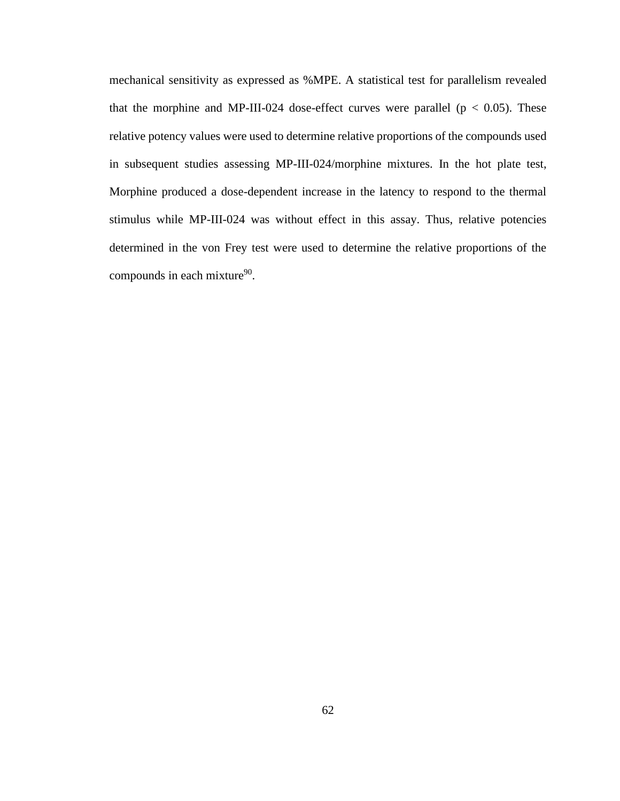mechanical sensitivity as expressed as %MPE. A statistical test for parallelism revealed that the morphine and MP-III-024 dose-effect curves were parallel ( $p < 0.05$ ). These relative potency values were used to determine relative proportions of the compounds used in subsequent studies assessing MP-III-024/morphine mixtures. In the hot plate test, Morphine produced a dose-dependent increase in the latency to respond to the thermal stimulus while MP-III-024 was without effect in this assay. Thus, relative potencies determined in the von Frey test were used to determine the relative proportions of the compounds in each mixture<sup>90</sup>.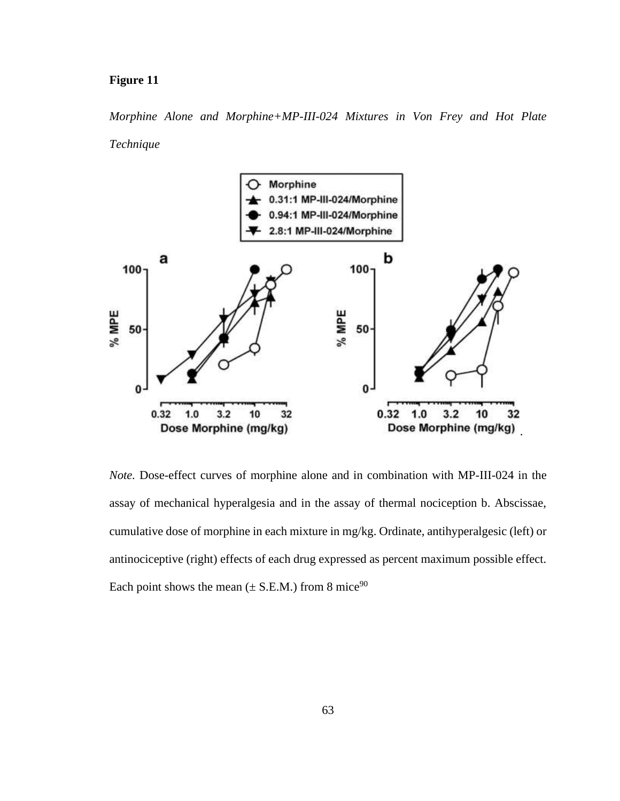### **Figure 11**

*Morphine Alone and Morphine+MP-III-024 Mixtures in Von Frey and Hot Plate Technique*



*Note.* Dose-effect curves of morphine alone and in combination with MP-III-024 in the assay of mechanical hyperalgesia and in the assay of thermal nociception b. Abscissae, cumulative dose of morphine in each mixture in mg/kg. Ordinate, antihyperalgesic (left) or antinociceptive (right) effects of each drug expressed as percent maximum possible effect. Each point shows the mean  $(\pm S.E.M.)$  from 8 mice<sup>90</sup>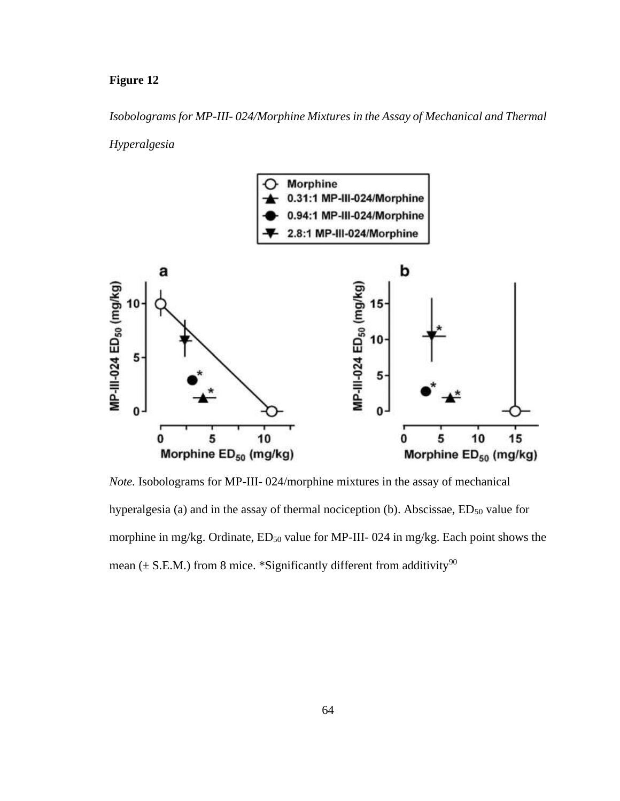# **Figure 12**

*Isobolograms for MP-III- 024/Morphine Mixtures in the Assay of Mechanical and Thermal*

*Hyperalgesia* 



*Note.* Isobolograms for MP-III- 024/morphine mixtures in the assay of mechanical hyperalgesia (a) and in the assay of thermal nociception (b). Abscissae,  $ED_{50}$  value for morphine in mg/kg. Ordinate,  $ED_{50}$  value for MP-III-024 in mg/kg. Each point shows the mean ( $\pm$  S.E.M.) from 8 mice. \*Significantly different from additivity<sup>90</sup>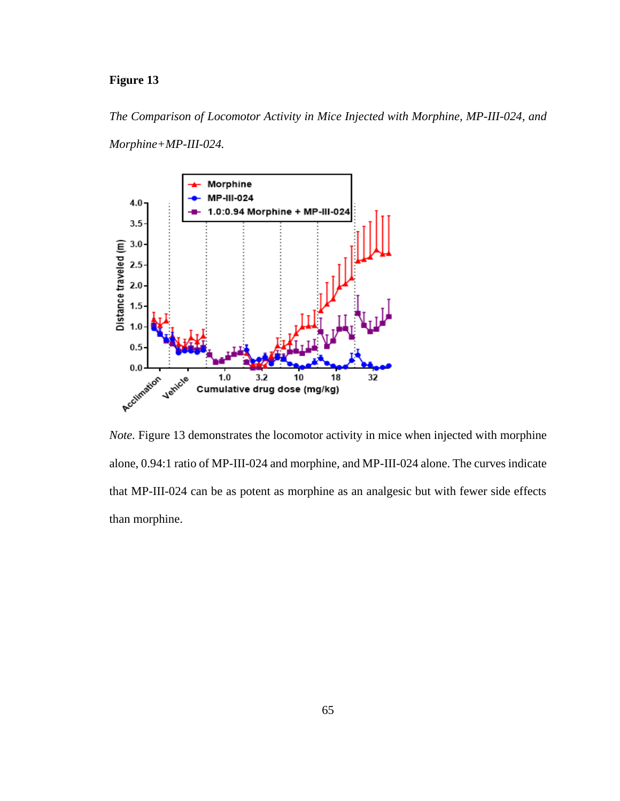# **Figure 13**

*The Comparison of Locomotor Activity in Mice Injected with Morphine, MP-III-024, and* 

*Morphine+MP-III-024.* 



*Note*. Figure 13 demonstrates the locomotor activity in mice when injected with morphine alone, 0.94:1 ratio of MP-III-024 and morphine, and MP-III-024 alone. The curves indicate that MP-III-024 can be as potent as morphine as an analgesic but with fewer side effects than morphine.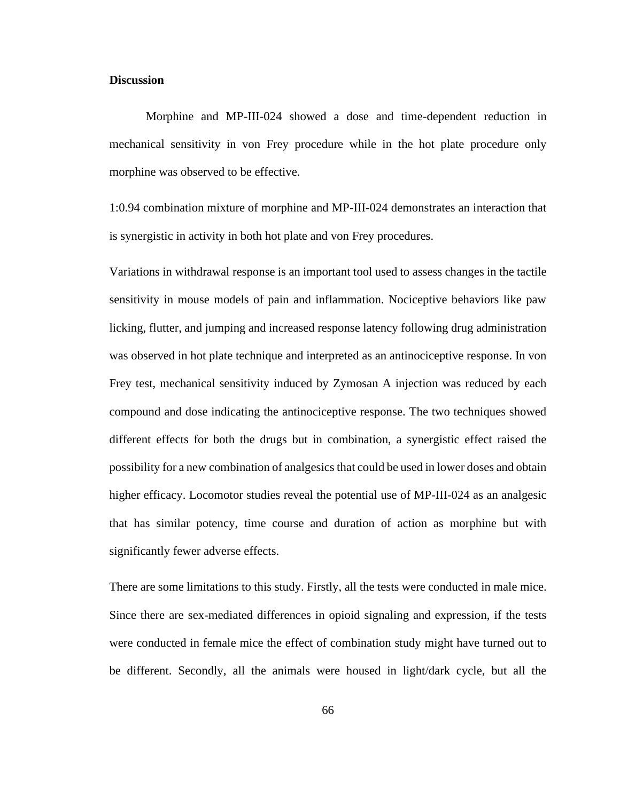#### **Discussion**

Morphine and MP-III-024 showed a dose and time-dependent reduction in mechanical sensitivity in von Frey procedure while in the hot plate procedure only morphine was observed to be effective.

1:0.94 combination mixture of morphine and MP-III-024 demonstrates an interaction that is synergistic in activity in both hot plate and von Frey procedures.

Variations in withdrawal response is an important tool used to assess changes in the tactile sensitivity in mouse models of pain and inflammation. Nociceptive behaviors like paw licking, flutter, and jumping and increased response latency following drug administration was observed in hot plate technique and interpreted as an antinociceptive response. In von Frey test, mechanical sensitivity induced by Zymosan A injection was reduced by each compound and dose indicating the antinociceptive response. The two techniques showed different effects for both the drugs but in combination, a synergistic effect raised the possibility for a new combination of analgesics that could be used in lower doses and obtain higher efficacy. Locomotor studies reveal the potential use of MP-III-024 as an analgesic that has similar potency, time course and duration of action as morphine but with significantly fewer adverse effects.

There are some limitations to this study. Firstly, all the tests were conducted in male mice. Since there are sex-mediated differences in opioid signaling and expression, if the tests were conducted in female mice the effect of combination study might have turned out to be different. Secondly, all the animals were housed in light/dark cycle, but all the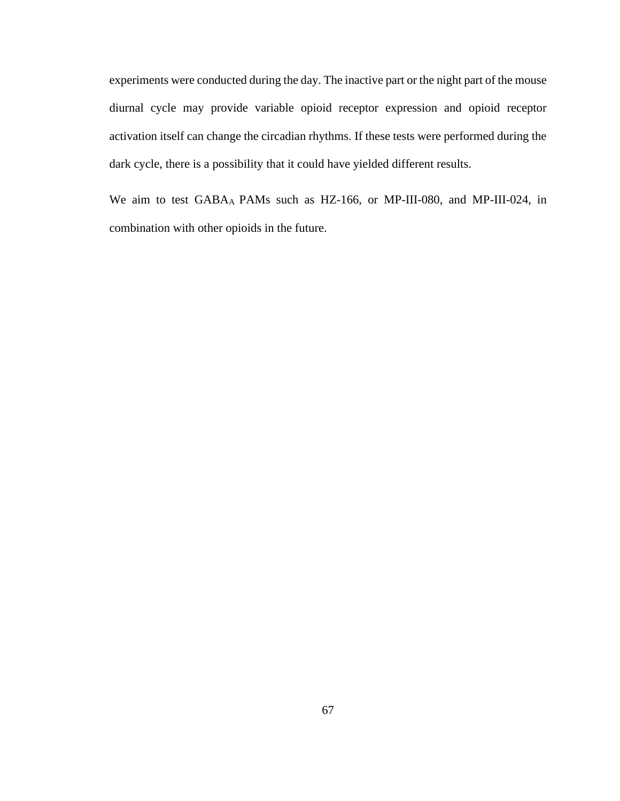experiments were conducted during the day. The inactive part or the night part of the mouse diurnal cycle may provide variable opioid receptor expression and opioid receptor activation itself can change the circadian rhythms. If these tests were performed during the dark cycle, there is a possibility that it could have yielded different results.

We aim to test GABAA PAMs such as HZ-166, or MP-III-080, and MP-III-024, in combination with other opioids in the future.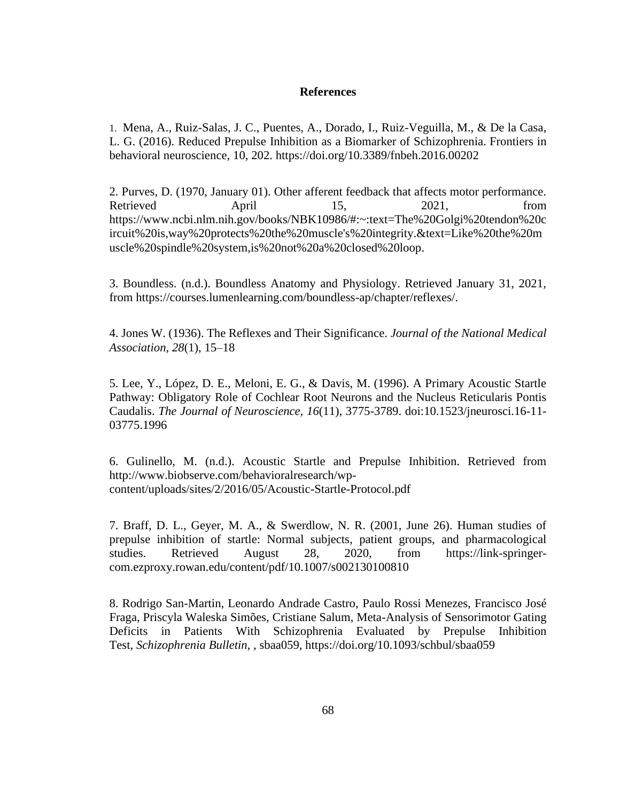### **References**

1. Mena, A., Ruiz-Salas, J. C., Puentes, A., Dorado, I., Ruiz-Veguilla, M., & De la Casa, L. G. (2016). Reduced Prepulse Inhibition as a Biomarker of Schizophrenia. Frontiers in behavioral neuroscience, 10, 202.<https://doi.org/10.3389/fnbeh.2016.00202>

2. Purves, D. (1970, January 01). Other afferent feedback that affects motor performance. Retrieved April 15, 2021, from [https://www.ncbi.nlm.nih.gov/books/NBK10986/#:~:text=The%20Golgi%20tendon%20c](https://www.ncbi.nlm.nih.gov/books/NBK10986/#:~:text=The%20Golgi%20tendon%20circuit%20is,way%20protects%20the%20muscle) [ircuit%20is,way%20protects%20the%20muscle's%20integrity.&text=Like%20the%20m](https://www.ncbi.nlm.nih.gov/books/NBK10986/#:~:text=The%20Golgi%20tendon%20circuit%20is,way%20protects%20the%20muscle) [uscle%20spindle%20system,is%20not%20a%20closed%20loop.](https://www.ncbi.nlm.nih.gov/books/NBK10986/#:~:text=The%20Golgi%20tendon%20circuit%20is,way%20protects%20the%20muscle)

3. Boundless. (n.d.). Boundless Anatomy and Physiology. Retrieved January 31, 2021, from [https://courses.lumenlearning.com/boundless-ap/chapter/reflexes/.](https://courses.lumenlearning.com/boundless-ap/chapter/reflexes/)

4. Jones W. (1936). The Reflexes and Their Significance. *Journal of the National Medical Association*, *28*(1), 15–18

5. Lee, Y., López, D. E., Meloni, E. G., & Davis, M. (1996). A Primary Acoustic Startle Pathway: Obligatory Role of Cochlear Root Neurons and the Nucleus Reticularis Pontis Caudalis. *The Journal of Neuroscience, 16*(11), 3775-3789. doi:10.1523/jneurosci.16-11- 03775.1996

6. Gulinello, M. (n.d.). Acoustic Startle and Prepulse Inhibition. Retrieved from [http://www.biobserve.com/behavioralresearch/wp](http://www.biobserve.com/behavioralresearch/wp-content/uploads/sites/2/2016/05/Acoustic-Startle-Protocol.pdf)[content/uploads/sites/2/2016/05/Acoustic-Startle-Protocol.pdf](http://www.biobserve.com/behavioralresearch/wp-content/uploads/sites/2/2016/05/Acoustic-Startle-Protocol.pdf)

7. Braff, D. L., Geyer, M. A., & Swerdlow, N. R. (2001, June 26). Human studies of prepulse inhibition of startle: Normal subjects, patient groups, and pharmacological studies. Retrieved August 28, 2020, from [https://link-springer](https://link-springer-com.ezproxy.rowan.edu/content/pdf/10.1007/s002130100810)[com.ezproxy.rowan.edu/content/pdf/10.1007/s002130100810](https://link-springer-com.ezproxy.rowan.edu/content/pdf/10.1007/s002130100810)

8. Rodrigo San-Martin, Leonardo Andrade Castro, Paulo Rossi Menezes, Francisco José Fraga, Priscyla Waleska Simões, Cristiane Salum, Meta-Analysis of Sensorimotor Gating Deficits in Patients With Schizophrenia Evaluated by Prepulse Inhibition Test, *Schizophrenia Bulletin*, , sbaa059, <https://doi.org/10.1093/schbul/sbaa059>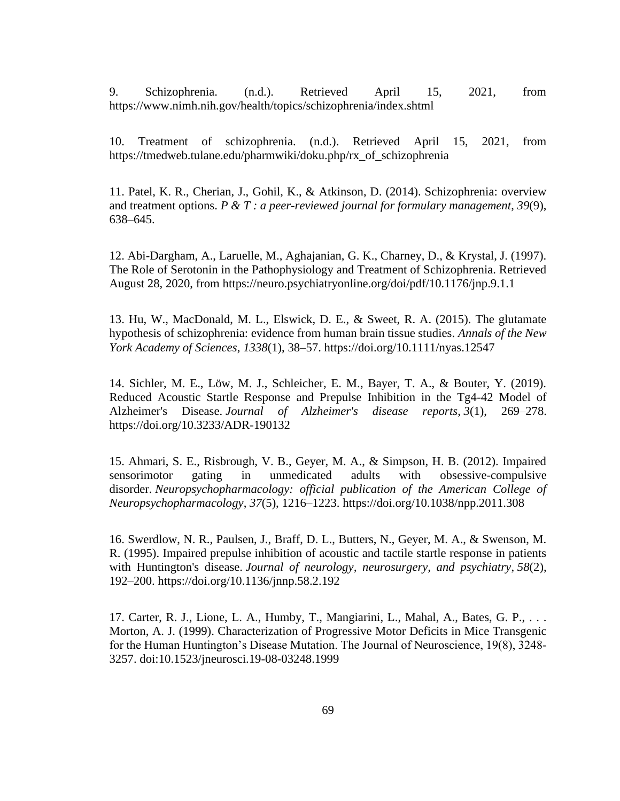9. Schizophrenia. (n.d.). Retrieved April 15, 2021, from https://www.nimh.nih.gov/health/topics/schizophrenia/index.shtml

10. Treatment of schizophrenia. (n.d.). Retrieved April 15, 2021, from [https://tmedweb.tulane.edu/pharmwiki/doku.php/rx\\_of\\_schizophrenia](https://tmedweb.tulane.edu/pharmwiki/doku.php/rx_of_schizophrenia)

11. Patel, K. R., Cherian, J., Gohil, K., & Atkinson, D. (2014). Schizophrenia: overview and treatment options. *P & T : a peer-reviewed journal for formulary management*, *39*(9), 638–645.

12. Abi-Dargham, A., Laruelle, M., Aghajanian, G. K., Charney, D., & Krystal, J. (1997). The Role of Serotonin in the Pathophysiology and Treatment of Schizophrenia. Retrieved August 28, 2020, from<https://neuro.psychiatryonline.org/doi/pdf/10.1176/jnp.9.1.1>

13. Hu, W., MacDonald, M. L., Elswick, D. E., & Sweet, R. A. (2015). The glutamate hypothesis of schizophrenia: evidence from human brain tissue studies. *Annals of the New York Academy of Sciences*, *1338*(1), 38–57.<https://doi.org/10.1111/nyas.12547>

14. Sichler, M. E., Löw, M. J., Schleicher, E. M., Bayer, T. A., & Bouter, Y. (2019). Reduced Acoustic Startle Response and Prepulse Inhibition in the Tg4-42 Model of Alzheimer's Disease. *Journal of Alzheimer's disease reports*, *3*(1), 269–278. <https://doi.org/10.3233/ADR-190132>

15. Ahmari, S. E., Risbrough, V. B., Geyer, M. A., & Simpson, H. B. (2012). Impaired sensorimotor gating in unmedicated adults with obsessive-compulsive disorder. *Neuropsychopharmacology: official publication of the American College of Neuropsychopharmacology*, *37*(5), 1216–1223.<https://doi.org/10.1038/npp.2011.308>

16. Swerdlow, N. R., Paulsen, J., Braff, D. L., Butters, N., Geyer, M. A., & Swenson, M. R. (1995). Impaired prepulse inhibition of acoustic and tactile startle response in patients with Huntington's disease. *Journal of neurology, neurosurgery, and psychiatry*, *58*(2), 192–200.<https://doi.org/10.1136/jnnp.58.2.192>

17. Carter, R. J., Lione, L. A., Humby, T., Mangiarini, L., Mahal, A., Bates, G. P., . . . Morton, A. J. (1999). Characterization of Progressive Motor Deficits in Mice Transgenic for the Human Huntington's Disease Mutation. The Journal of Neuroscience, 19(8), 3248- 3257. doi:10.1523/jneurosci.19-08-03248.1999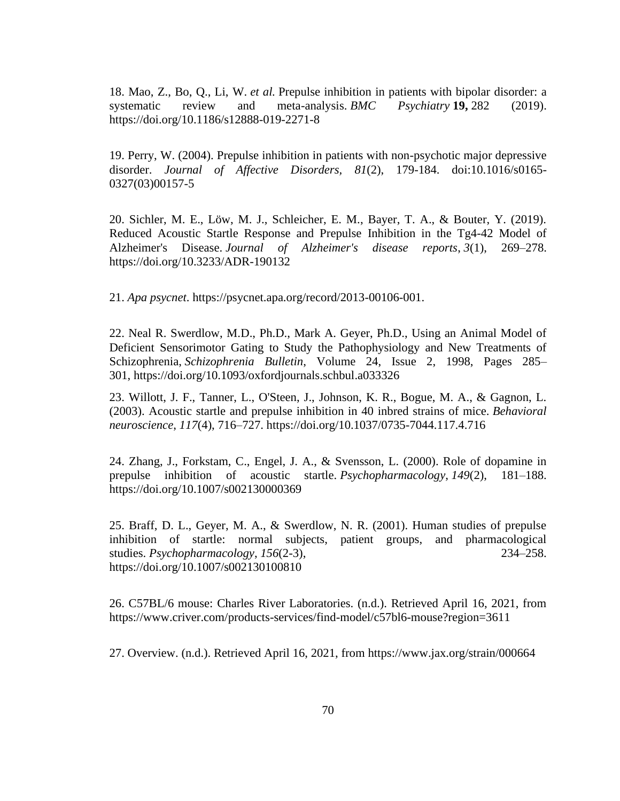18. Mao, Z., Bo, Q., Li, W. *et al.* Prepulse inhibition in patients with bipolar disorder: a systematic review and meta-analysis. *BMC Psychiatry* **19,** 282 (2019). <https://doi.org/10.1186/s12888-019-2271-8>

19. Perry, W. (2004). Prepulse inhibition in patients with non-psychotic major depressive disorder. *Journal of Affective Disorders, 81*(2), 179-184. doi:10.1016/s0165- 0327(03)00157-5

20. Sichler, M. E., Löw, M. J., Schleicher, E. M., Bayer, T. A., & Bouter, Y. (2019). Reduced Acoustic Startle Response and Prepulse Inhibition in the Tg4-42 Model of Alzheimer's Disease. *Journal of Alzheimer's disease reports*, *3*(1), 269–278. <https://doi.org/10.3233/ADR-190132>

21. *Apa psycnet*. [https://psycnet.apa.org/record/2013-00106-001.](https://psycnet.apa.org/record/2013-00106-001)

22. Neal R. Swerdlow, M.D., Ph.D., Mark A. Geyer, Ph.D., Using an Animal Model of Deficient Sensorimotor Gating to Study the Pathophysiology and New Treatments of Schizophrenia, *Schizophrenia Bulletin*, Volume 24, Issue 2, 1998, Pages 285– 301, <https://doi.org/10.1093/oxfordjournals.schbul.a033326>

23. Willott, J. F., Tanner, L., O'Steen, J., Johnson, K. R., Bogue, M. A., & Gagnon, L. (2003). Acoustic startle and prepulse inhibition in 40 inbred strains of mice. *Behavioral neuroscience*, *117*(4), 716–727.<https://doi.org/10.1037/0735-7044.117.4.716>

24. Zhang, J., Forkstam, C., Engel, J. A., & Svensson, L. (2000). Role of dopamine in prepulse inhibition of acoustic startle. *Psychopharmacology*, *149*(2), 181–188. <https://doi.org/10.1007/s002130000369>

25. Braff, D. L., Geyer, M. A., & Swerdlow, N. R. (2001). Human studies of prepulse inhibition of startle: normal subjects, patient groups, and pharmacological studies. *Psychopharmacology*, *156*(2-3), 234–258. <https://doi.org/10.1007/s002130100810>

26. C57BL/6 mouse: Charles River Laboratories. (n.d.). Retrieved April 16, 2021, from https://www.criver.com/products-services/find-model/c57bl6-mouse?region=3611

27. Overview. (n.d.). Retrieved April 16, 2021, from https://www.jax.org/strain/000664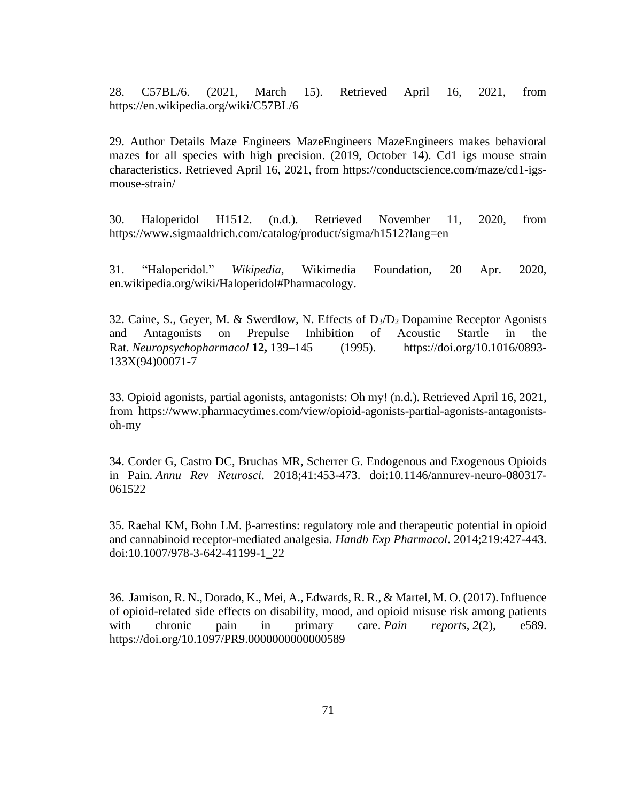28. C57BL/6. (2021, March 15). Retrieved April 16, 2021, from https://en.wikipedia.org/wiki/C57BL/6

29. Author Details Maze Engineers MazeEngineers MazeEngineers makes behavioral mazes for all species with high precision. (2019, October 14). Cd1 igs mouse strain characteristics. Retrieved April 16, 2021, from [https://conductscience.com/maze/cd1-igs](https://conductscience.com/maze/cd1-igs-mouse-strain/)[mouse-strain/](https://conductscience.com/maze/cd1-igs-mouse-strain/)

30. Haloperidol H1512. (n.d.). Retrieved November 11, 2020, from <https://www.sigmaaldrich.com/catalog/product/sigma/h1512?lang=en>

31. "Haloperidol." *Wikipedia*, Wikimedia Foundation, 20 Apr. 2020, en.wikipedia.org/wiki/Haloperidol#Pharmacology.

32. Caine, S., Geyer, M. & Swerdlow, N. Effects of  $D_3/D_2$  Dopamine Receptor Agonists and Antagonists on Prepulse Inhibition of Acoustic Startle in the Rat. *Neuropsychopharmacol* **12,** 139–145 (1995). [https://doi.org/10.1016/0893-](https://doi.org/10.1016/0893-133X(94)00071-7) [133X\(94\)00071-7](https://doi.org/10.1016/0893-133X(94)00071-7)

33. Opioid agonists, partial agonists, antagonists: Oh my! (n.d.). Retrieved April 16, 2021, from https://www.pharmacytimes.com/view/opioid-agonists-partial-agonists-antagonistsoh-my

34. Corder G, Castro DC, Bruchas MR, Scherrer G. Endogenous and Exogenous Opioids in Pain. *Annu Rev Neurosci*. 2018;41:453-473. doi:10.1146/annurev-neuro-080317- 061522

35. Raehal KM, Bohn LM. β-arrestins: regulatory role and therapeutic potential in opioid and cannabinoid receptor-mediated analgesia. *Handb Exp Pharmacol*. 2014;219:427-443. doi:10.1007/978-3-642-41199-1\_22

36. Jamison, R. N., Dorado, K., Mei, A., Edwards, R. R., & Martel, M. O. (2017). Influence of opioid-related side effects on disability, mood, and opioid misuse risk among patients with chronic pain in primary care. *Pain reports*, 2(2), e589. <https://doi.org/10.1097/PR9.0000000000000589>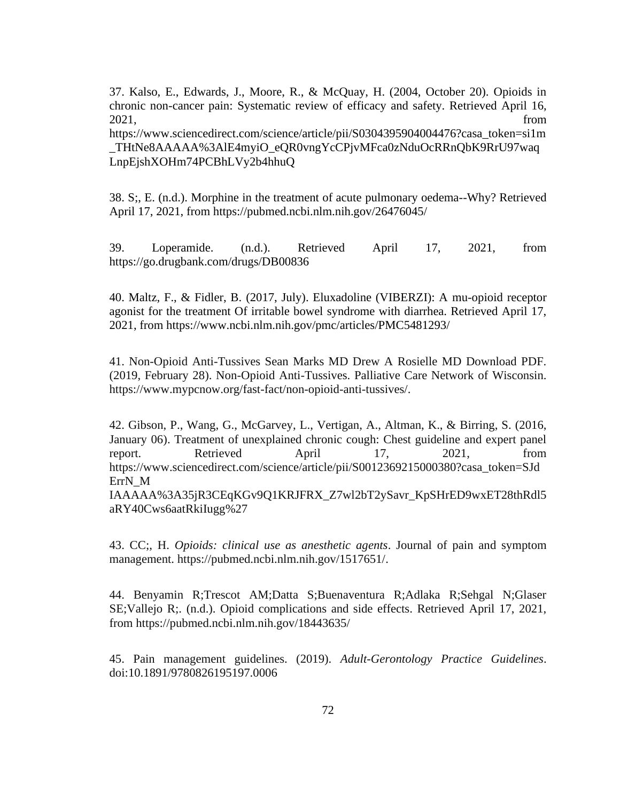37. Kalso, E., Edwards, J., Moore, R., & McQuay, H. (2004, October 20). Opioids in chronic non-cancer pain: Systematic review of efficacy and safety. Retrieved April 16, 2021, from

https://www.sciencedirect.com/science/article/pii/S0304395904004476?casa\_token=si1m \_THtNe8AAAAA%3AlE4myiO\_eQR0vngYcCPjvMFca0zNduOcRRnQbK9RrU97waq LnpEjshXOHm74PCBhLVy2b4hhuQ

38. S;, E. (n.d.). Morphine in the treatment of acute pulmonary oedema--Why? Retrieved April 17, 2021, from https://pubmed.ncbi.nlm.nih.gov/26476045/

39. Loperamide. (n.d.). Retrieved April 17, 2021, from https://go.drugbank.com/drugs/DB00836

40. Maltz, F., & Fidler, B. (2017, July). Eluxadoline (VIBERZI): A mu-opioid receptor agonist for the treatment Of irritable bowel syndrome with diarrhea. Retrieved April 17, 2021, from<https://www.ncbi.nlm.nih.gov/pmc/articles/PMC5481293/>

41. Non-Opioid Anti-Tussives Sean Marks MD Drew A Rosielle MD Download PDF. (2019, February 28). Non-Opioid Anti-Tussives. Palliative Care Network of Wisconsin. https://www.mypcnow.org/fast-fact/non-opioid-anti-tussives/.

42. Gibson, P., Wang, G., McGarvey, L., Vertigan, A., Altman, K., & Birring, S. (2016, January 06). Treatment of unexplained chronic cough: Chest guideline and expert panel report. Retrieved April 17, 2021, from [https://www.sciencedirect.com/science/article/pii/S0012369215000380?casa\\_token=SJd](https://www.sciencedirect.com/science/article/pii/S0012369215000380?casa_token=SJdErrN_M) [ErrN\\_M](https://www.sciencedirect.com/science/article/pii/S0012369215000380?casa_token=SJdErrN_M) IAAAAA%3A35jR3CEqKGv9Q1KRJFRX\_Z7wl2bT2ySavr\_KpSHrED9wxET28thRdl5 aRY40Cws6aatRkiIugg%27

43. CC;, H. *Opioids: clinical use as anesthetic agents*. Journal of pain and symptom management. [https://pubmed.ncbi.nlm.nih.gov/1517651/.](https://pubmed.ncbi.nlm.nih.gov/1517651/)

44. Benyamin R;Trescot AM;Datta S;Buenaventura R;Adlaka R;Sehgal N;Glaser SE;Vallejo R;. (n.d.). Opioid complications and side effects. Retrieved April 17, 2021, from https://pubmed.ncbi.nlm.nih.gov/18443635/

45. Pain management guidelines. (2019). *Adult-Gerontology Practice Guidelines*. doi:10.1891/9780826195197.0006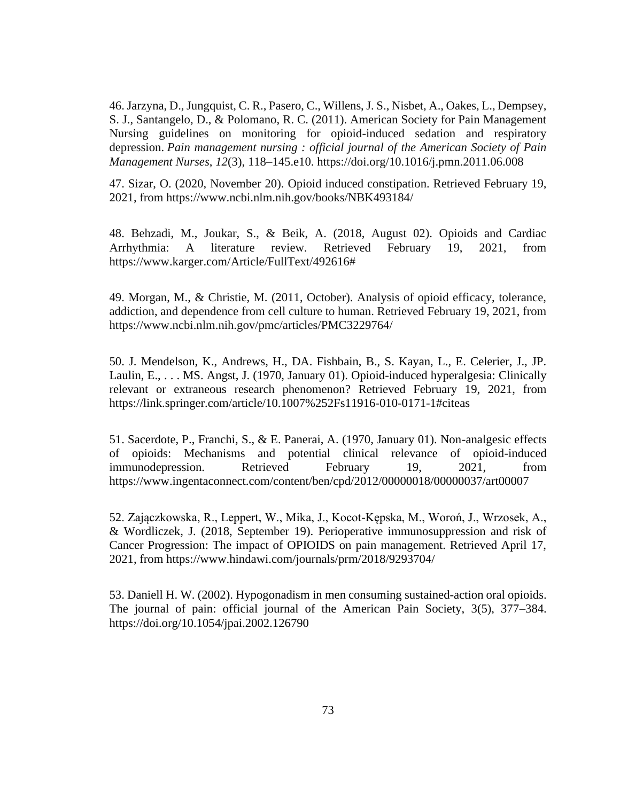46. Jarzyna, D., Jungquist, C. R., Pasero, C., Willens, J. S., Nisbet, A., Oakes, L., Dempsey, S. J., Santangelo, D., & Polomano, R. C. (2011). American Society for Pain Management Nursing guidelines on monitoring for opioid-induced sedation and respiratory depression. *Pain management nursing : official journal of the American Society of Pain Management Nurses*, *12*(3), 118–145.e10.<https://doi.org/10.1016/j.pmn.2011.06.008>

47. Sizar, O. (2020, November 20). Opioid induced constipation. Retrieved February 19, 2021, from <https://www.ncbi.nlm.nih.gov/books/NBK493184/>

48. Behzadi, M., Joukar, S., & Beik, A. (2018, August 02). Opioids and Cardiac Arrhythmia: A literature review. Retrieved February 19, 2021, from [https://www.karger.com/Article/FullText/492616#](https://www.karger.com/Article/FullText/492616)

49. Morgan, M., & Christie, M. (2011, October). Analysis of opioid efficacy, tolerance, addiction, and dependence from cell culture to human. Retrieved February 19, 2021, from <https://www.ncbi.nlm.nih.gov/pmc/articles/PMC3229764/>

50. J. Mendelson, K., Andrews, H., DA. Fishbain, B., S. Kayan, L., E. Celerier, J., JP. Laulin, E., . . . MS. Angst, J. (1970, January 01). Opioid-induced hyperalgesia: Clinically relevant or extraneous research phenomenon? Retrieved February 19, 2021, from <https://link.springer.com/article/10.1007%252Fs11916-010-0171-1#citeas>

51. Sacerdote, P., Franchi, S., & E. Panerai, A. (1970, January 01). Non-analgesic effects of opioids: Mechanisms and potential clinical relevance of opioid-induced immunodepression. Retrieved February 19, 2021, from <https://www.ingentaconnect.com/content/ben/cpd/2012/00000018/00000037/art00007>

52. Zajączkowska, R., Leppert, W., Mika, J., Kocot-Kępska, M., Woroń, J., Wrzosek, A., & Wordliczek, J. (2018, September 19). Perioperative immunosuppression and risk of Cancer Progression: The impact of OPIOIDS on pain management. Retrieved April 17, 2021, from https://www.hindawi.com/journals/prm/2018/9293704/

53. Daniell H. W. (2002). Hypogonadism in men consuming sustained-action oral opioids. The journal of pain: official journal of the American Pain Society, 3(5), 377–384. https://doi.org/10.1054/jpai.2002.126790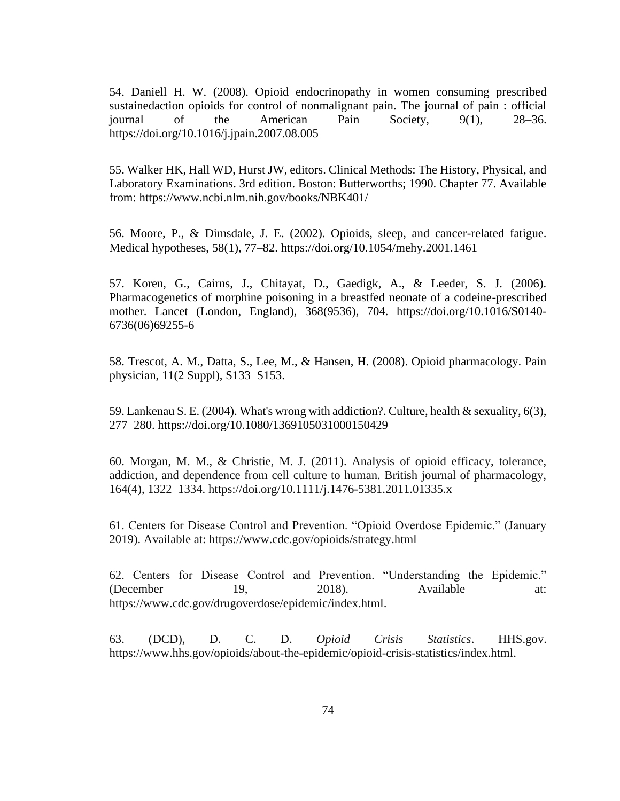54. Daniell H. W. (2008). Opioid endocrinopathy in women consuming prescribed sustainedaction opioids for control of nonmalignant pain. The journal of pain : official journal of the American Pain Society, 9(1), 28–36. <https://doi.org/10.1016/j.jpain.2007.08.005>

55. Walker HK, Hall WD, Hurst JW, editors. Clinical Methods: The History, Physical, and Laboratory Examinations. 3rd edition. Boston: Butterworths; 1990. Chapter 77. Available from:<https://www.ncbi.nlm.nih.gov/books/NBK401/>

56. Moore, P., & Dimsdale, J. E. (2002). Opioids, sleep, and cancer-related fatigue. Medical hypotheses, 58(1), 77–82.<https://doi.org/10.1054/mehy.2001.1461>

57. Koren, G., Cairns, J., Chitayat, D., Gaedigk, A., & Leeder, S. J. (2006). Pharmacogenetics of morphine poisoning in a breastfed neonate of a codeine-prescribed mother. Lancet (London, England), 368(9536), 704. https://doi.org/10.1016/S0140- 6736(06)69255-6

58. Trescot, A. M., Datta, S., Lee, M., & Hansen, H. (2008). Opioid pharmacology. Pain physician, 11(2 Suppl), S133–S153.

59. Lankenau S. E. (2004). What's wrong with addiction?. Culture, health & sexuality, 6(3), 277–280.<https://doi.org/10.1080/1369105031000150429>

60. Morgan, M. M., & Christie, M. J. (2011). Analysis of opioid efficacy, tolerance, addiction, and dependence from cell culture to human. British journal of pharmacology, 164(4), 1322–1334.<https://doi.org/10.1111/j.1476-5381.2011.01335.x>

61. Centers for Disease Control and Prevention. "Opioid Overdose Epidemic." (January 2019). Available at:<https://www.cdc.gov/opioids/strategy.html>

62. Centers for Disease Control and Prevention. "Understanding the Epidemic." (December 19, 2018). Available at: [https://www.cdc.gov/drugoverdose/epidemic/index.html.](https://www.cdc.gov/drugoverdose/epidemic/index.html)

63. (DCD), D. C. D. *Opioid Crisis Statistics*. HHS.gov. [https://www.hhs.gov/opioids/about-the-epidemic/opioid-crisis-statistics/index.html.](https://www.hhs.gov/opioids/about-the-epidemic/opioid-crisis-statistics/index.html)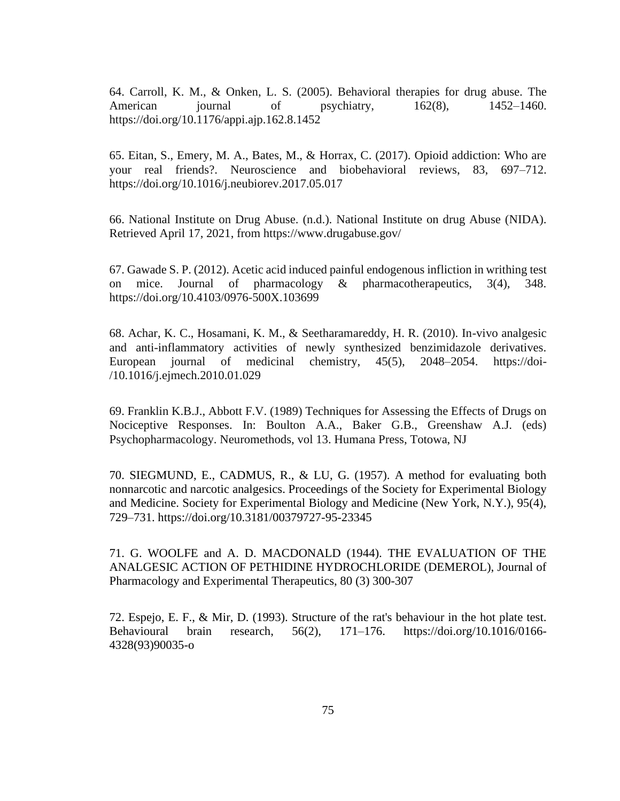64. Carroll, K. M., & Onken, L. S. (2005). Behavioral therapies for drug abuse. The American journal of psychiatry,  $162(8)$ ,  $1452-1460$ . <https://doi.org/10.1176/appi.ajp.162.8.1452>

65. Eitan, S., Emery, M. A., Bates, M., & Horrax, C. (2017). Opioid addiction: Who are your real friends?. Neuroscience and biobehavioral reviews, 83, 697–712. <https://doi.org/10.1016/j.neubiorev.2017.05.017>

66. National Institute on Drug Abuse. (n.d.). National Institute on drug Abuse (NIDA). Retrieved April 17, 2021, from https://www.drugabuse.gov/

67. Gawade S. P. (2012). Acetic acid induced painful endogenous infliction in writhing test on mice. Journal of pharmacology & pharmacotherapeutics, 3(4), 348. <https://doi.org/10.4103/0976-500X.103699>

68. Achar, K. C., Hosamani, K. M., & Seetharamareddy, H. R. (2010). In-vivo analgesic and anti-inflammatory activities of newly synthesized benzimidazole derivatives. European journal of medicinal chemistry, 45(5), 2048–2054. https://doi- /10.1016/j.ejmech.2010.01.029

69. Franklin K.B.J., Abbott F.V. (1989) Techniques for Assessing the Effects of Drugs on Nociceptive Responses. In: Boulton A.A., Baker G.B., Greenshaw A.J. (eds) Psychopharmacology. Neuromethods, vol 13. Humana Press, Totowa, NJ

70. SIEGMUND, E., CADMUS, R., & LU, G. (1957). A method for evaluating both nonnarcotic and narcotic analgesics. Proceedings of the Society for Experimental Biology and Medicine. Society for Experimental Biology and Medicine (New York, N.Y.), 95(4), 729–731.<https://doi.org/10.3181/00379727-95-23345>

71. G. WOOLFE and A. D. MACDONALD (1944). THE EVALUATION OF THE ANALGESIC ACTION OF PETHIDINE HYDROCHLORIDE (DEMEROL), Journal of Pharmacology and Experimental Therapeutics, 80 (3) 300-307

72. Espejo, E. F., & Mir, D. (1993). Structure of the rat's behaviour in the hot plate test. Behavioural brain research, 56(2), 171–176. https://doi.org/10.1016/0166- 4328(93)90035-o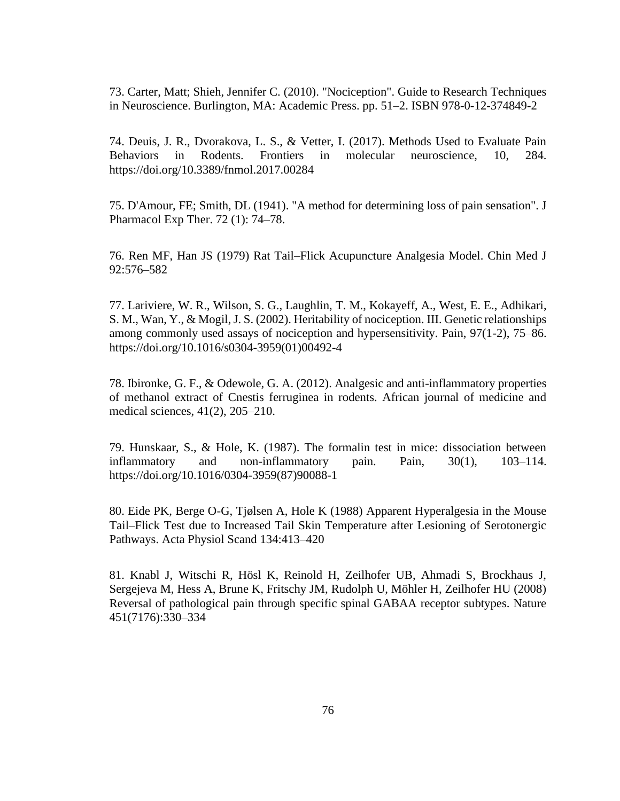73. Carter, Matt; Shieh, Jennifer C. (2010). "Nociception". Guide to Research Techniques in Neuroscience. Burlington, MA: Academic Press. pp. 51–2. ISBN 978-0-12-374849-2

74. Deuis, J. R., Dvorakova, L. S., & Vetter, I. (2017). Methods Used to Evaluate Pain Behaviors in Rodents. Frontiers in molecular neuroscience, 10, 284. <https://doi.org/10.3389/fnmol.2017.00284>

75. D'Amour, FE; Smith, DL (1941). "A method for determining loss of pain sensation". J Pharmacol Exp Ther. 72 (1): 74–78.

76. Ren MF, Han JS (1979) Rat Tail–Flick Acupuncture Analgesia Model. Chin Med J 92:576–582

77. Lariviere, W. R., Wilson, S. G., Laughlin, T. M., Kokayeff, A., West, E. E., Adhikari, S. M., Wan, Y., & Mogil, J. S. (2002). Heritability of nociception. III. Genetic relationships among commonly used assays of nociception and hypersensitivity. Pain, 97(1-2), 75–86. [https://doi.org/10.1016/s0304-3959\(01\)00492-4](https://doi.org/10.1016/s0304-3959(01)00492-4)

78. Ibironke, G. F., & Odewole, G. A. (2012). Analgesic and anti-inflammatory properties of methanol extract of Cnestis ferruginea in rodents. African journal of medicine and medical sciences, 41(2), 205–210.

79. Hunskaar, S., & Hole, K. (1987). The formalin test in mice: dissociation between inflammatory and non-inflammatory pain. Pain, 30(1), 103–114. [https://doi.org/10.1016/0304-3959\(87\)90088-1](https://doi.org/10.1016/0304-3959(87)90088-1)

80. Eide PK, Berge O-G, Tjølsen A, Hole K (1988) Apparent Hyperalgesia in the Mouse Tail–Flick Test due to Increased Tail Skin Temperature after Lesioning of Serotonergic Pathways. Acta Physiol Scand 134:413–420

81. Knabl J, Witschi R, Hösl K, Reinold H, Zeilhofer UB, Ahmadi S, Brockhaus J, Sergejeva M, Hess A, Brune K, Fritschy JM, Rudolph U, Möhler H, Zeilhofer HU (2008) Reversal of pathological pain through specific spinal GABAA receptor subtypes. Nature 451(7176):330–334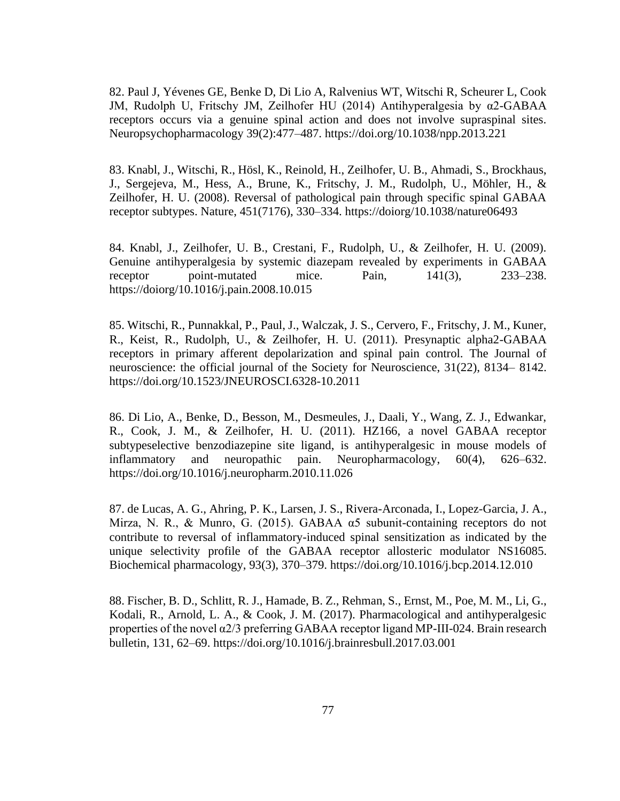82. Paul J, Yévenes GE, Benke D, Di Lio A, Ralvenius WT, Witschi R, Scheurer L, Cook JM, Rudolph U, Fritschy JM, Zeilhofer HU (2014) Antihyperalgesia by α2-GABAA receptors occurs via a genuine spinal action and does not involve supraspinal sites. Neuropsychopharmacology 39(2):477–487.<https://doi.org/10.1038/npp.2013.221>

83. Knabl, J., Witschi, R., Hösl, K., Reinold, H., Zeilhofer, U. B., Ahmadi, S., Brockhaus, J., Sergejeva, M., Hess, A., Brune, K., Fritschy, J. M., Rudolph, U., Möhler, H., & Zeilhofer, H. U. (2008). Reversal of pathological pain through specific spinal GABAA receptor subtypes. Nature, 451(7176), 330–334.<https://doiorg/10.1038/nature06493>

84. Knabl, J., Zeilhofer, U. B., Crestani, F., Rudolph, U., & Zeilhofer, H. U. (2009). Genuine antihyperalgesia by systemic diazepam revealed by experiments in GABAA receptor point-mutated mice. Pain, 141(3), 233–238. <https://doiorg/10.1016/j.pain.2008.10.015>

85. Witschi, R., Punnakkal, P., Paul, J., Walczak, J. S., Cervero, F., Fritschy, J. M., Kuner, R., Keist, R., Rudolph, U., & Zeilhofer, H. U. (2011). Presynaptic alpha2-GABAA receptors in primary afferent depolarization and spinal pain control. The Journal of neuroscience: the official journal of the Society for Neuroscience, 31(22), 8134– 8142. <https://doi.org/10.1523/JNEUROSCI.6328-10.2011>

86. Di Lio, A., Benke, D., Besson, M., Desmeules, J., Daali, Y., Wang, Z. J., Edwankar, R., Cook, J. M., & Zeilhofer, H. U. (2011). HZ166, a novel GABAA receptor subtypeselective benzodiazepine site ligand, is antihyperalgesic in mouse models of inflammatory and neuropathic pain. Neuropharmacology, 60(4), 626–632. <https://doi.org/10.1016/j.neuropharm.2010.11.026>

87. de Lucas, A. G., Ahring, P. K., Larsen, J. S., Rivera-Arconada, I., Lopez-Garcia, J. A., Mirza, N. R., & Munro, G. (2015). GABAA  $\alpha$ 5 subunit-containing receptors do not contribute to reversal of inflammatory-induced spinal sensitization as indicated by the unique selectivity profile of the GABAA receptor allosteric modulator NS16085. Biochemical pharmacology, 93(3), 370–379.<https://doi.org/10.1016/j.bcp.2014.12.010>

88. Fischer, B. D., Schlitt, R. J., Hamade, B. Z., Rehman, S., Ernst, M., Poe, M. M., Li, G., Kodali, R., Arnold, L. A., & Cook, J. M. (2017). Pharmacological and antihyperalgesic properties of the novel  $\alpha$ 2/3 preferring GABAA receptor ligand MP-III-024. Brain research bulletin, 131, 62–69.<https://doi.org/10.1016/j.brainresbull.2017.03.001>